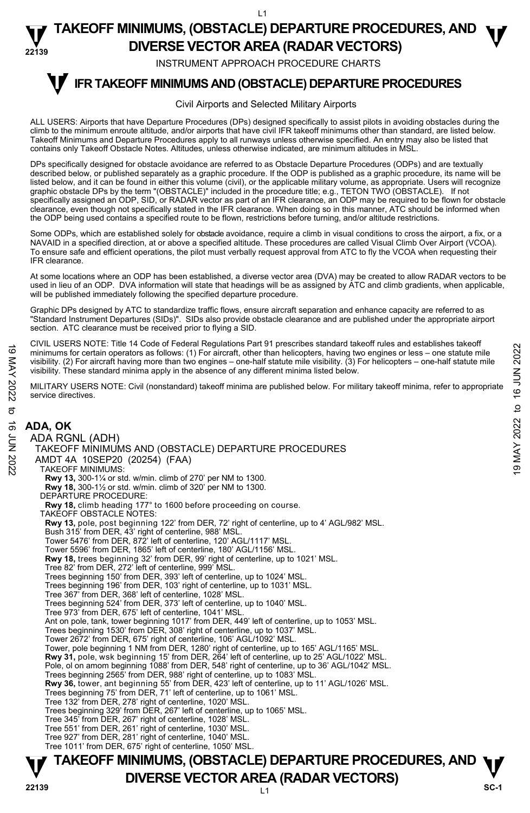$\overline{11}$ 

#### **22139 TAKEOFF MINIMUMS, (OBSTACLE) DEPARTURE PROCEDURES, AND**  $\Psi$ **DIVERSE VECTOR AREA (RADAR VECTORS)**

INSTRUMENT APPROACH PROCEDURE CHARTS

#### **IFR TAKEOFF MINIMUMS AND (OBSTACLE) DEPARTURE PROCEDURES T**

### Civil Airports and Selected Military Airports

ALL USERS: Airports that have Departure Procedures (DPs) designed specifically to assist pilots in avoiding obstacles during the climb to the minimum enroute altitude, and/or airports that have civil IFR takeoff minimums other than standard, are listed below. Takeoff Minimums and Departure Procedures apply to all runways unless otherwise specified. An entry may also be listed that contains only Takeoff Obstacle Notes. Altitudes, unless otherwise indicated, are minimum altitudes in MSL.

DPs specifically designed for obstacle avoidance are referred to as Obstacle Departure Procedures (ODPs) and are textually described below, or published separately as a graphic procedure. If the ODP is published as a graphic procedure, its name will be<br>listed below, and it can be found in either this volume (civil), or the applicable military graphic obstacle DPs by the term "(OBSTACLE)" included in the procedure title; e.g., TETON TWO (OBSTACLE). If not specifically assigned an ODP, SID, or RADAR vector as part of an IFR clearance, an ODP may be required to be flown for obstacle clearance, even though not specifically stated in the IFR clearance. When doing so in this manner, ATC should be informed when<br>the ODP being used contains a specified route to be flown, restrictions before turning, and/or

Some ODPs, which are established solely for obstacle avoidance, require a climb in visual conditions to cross the airport, a fix, or a<br>NAVAID in a specified direction, at or above a specified altitude. These procedures are To ensure safe and efficient operations, the pilot must verbally request approval from ATC to fly the VCOA when requesting their IFR clearance.

At some locations where an ODP has been established, a diverse vector area (DVA) may be created to allow RADAR vectors to be used in lieu of an ODP. DVA information will state that headings will be as assigned by ATC and climb gradients, when applicable, will be published immediately following the specified departure procedure.

Graphic DPs designed by ATC to standardize traffic flows, ensure aircraft separation and enhance capacity are referred to as "Standard Instrument Departures (SIDs)". SIDs also provide obstacle clearance and are published under the appropriate airport<br>section. ATC clearance must be received prior to flying a SID.

CIVIL USERS NOTE: Title 14 Code of Federal Regulations Part 91 prescribes standard takeoff rules and establishes takeoff minimums for certain operators as follows: (1) For aircraft, other than helicopters, having two engines or less – one statute mile visibility. (2) For aircraft having more than two engines – one-half statute mile visibility. (3) For helicopters – one-half statute mile visibility. These standard minima apply in the absence of any different minima listed below. CONTROLL THE PROCEDURES<br>
Minimums for certain operators as follows: (1) For aircraft due than helicopters, having two engines or less – one statute mile<br>
visibility. (2) For aircraft having more than two engines – one-ha

MILITARY USERS NOTE: Civil (nonstandard) takeoff minima are published below. For military takeoff minima, refer to appropriate service directives.

## **ADA, OK**  ADA RGNL (ADH)

**TAKEOFF MINIMUMS, (OBSTACLE) DEPARTURE PROCEDURES, AND**  $\Psi$ TAKEOFF MINIMUMS AND (OBSTACLE) DEPARTURE PROCEDURES AMDT 4A 10SEP20 (20254) (FAA) TAKEOFF MINIMUMS: **Rwy 13,** 300-1¼ or std. w/min. climb of 270' per NM to 1300. **Rwy 18,** 300-1½ or std. w/min. climb of 320' per NM to 1300. DEPARTURE PROCEDURE: **Rwy 18,** climb heading 177° to 1600 before proceeding on course. TAKEOFF OBSTACLE NOTES: **Rwy 13,** pole, post beginning 122' from DER, 72' right of centerline, up to 4' AGL/982' MSL. Bush 315' from DER, 43' right of centerline, 988' MSL. Tower 5476' from DER, 872' left of centerline, 120' AGL/1117' MSI Tower 5596' from DER, 1865' left of centerline, 180' AGL/1156' MSL. **Rwy 18,** trees beginning 32' from DER, 99' right of centerline, up to 1021' MSL. Tree 82' from DER, 272' left of centerline, 999' MSL. Trees beginning 150' from DER, 393' left of centerline, up to 1024' MSL. Trees beginning 196' from DER, 103' right of centerline, up to 1031' MSL. Tree 367' from DER, 368' left of centerline, 1028' MSL. Trees beginning 524' from DER, 373' left of centerline, up to 1040' MSL. Tree 973' from DER, 675' left of centerline, 1041' MSL. Ant on pole, tank, tower beginning 1017' from DER, 449' left of centerline, up to 1053' MSL. Trees beginning 1530' from DER, 308' right of centerline, up to 1037' MSL. Tower 2672' from DER, 675' right of centerline, 106' AGL/1092' MSL. Tower, pole beginning 1 NM from DER, 1280' right of centerline, up to 165' AGL/1165' MSL. **Rwy 31,** pole, wsk beginning 15' from DER, 264' left of centerline, up to 25' AGL/1022' MSL. Pole, ol on amom beginning 1088' from DER, 548' right of centerline, up to 36' AGL/1042' MSL.<br>Trees beginning 2565' from DER, 988' right of centerline, up to 1083' MSL. **Rwy 36,** tower, ant beginning 55' from DER, 423' left of centerline, up to 11' AGL/1026' MSL. Trees beginning 75' from DER, 71' left of centerline, up to 1061' MSL. Tree 132' from DER, 278' right of centerline, 1020' MSL. Trees beginning 329' from DER, 267' left of centerline, up to 1065' MSL. Tree 345' from DER, 267' right of centerline, 1028' MSL. Tree 551' from DER, 261' right of centerline, 1030' MSL. Tree 927' from DER, 281' right of centerline, 1040' MSL. Tree 1011' from DER, 675' right of centerline, 1050' MSL.

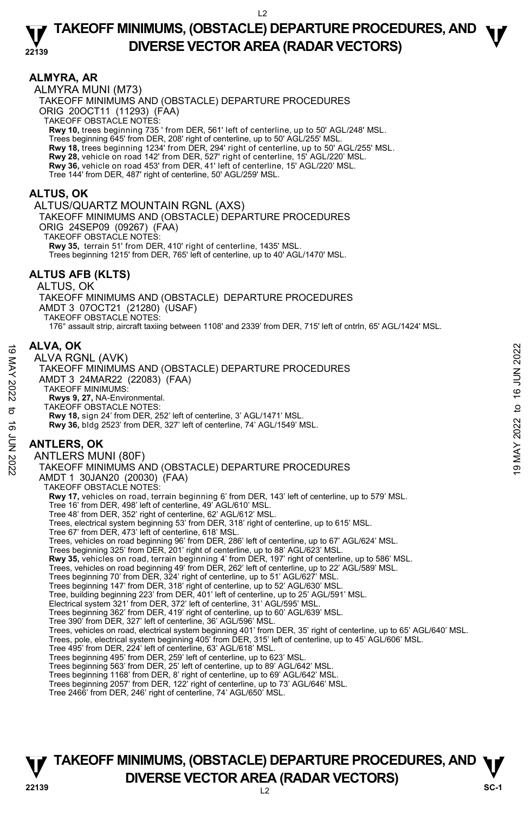### **ALMYRA, AR**

ALMYRA MUNI (M73) TAKEOFF MINIMUMS AND (OBSTACLE) DEPARTURE PROCEDURES ORIG 20OCT11 (11293) (FAA) TAKEOFF OBSTACLE NOTES: **Rwy 10,** trees beginning 735 ' from DER, 561' left of centerline, up to 50' AGL/248' MSL. Trees beginning 645' from DER, 208' right of centerline, up to 50' AGL/255' MSL. **Rwy 18,** trees beginning 1234' from DER, 294' right of centerline, up to 50' AGL/255' MSL. **Rwy 28,** vehicle on road 142' from DER, 527' right of centerline, 15' AGL/220' MSL.<br>**Rwy 36,** vehicle on road 453' from DER, 41' left of centerline, 15' AGL/220' MSL. Tree 144' from DER, 487' right of centerline, 50' AGL/259' MSL.

### **ALTUS, OK**

#### ALTUS/QUARTZ MOUNTAIN RGNL (AXS)

TAKEOFF MINIMUMS AND (OBSTACLE) DEPARTURE PROCEDURES

ORIG 24SEP09 (09267) (FAA) TAKEOFF OBSTACLE NOTES:

**Rwy 35,** terrain 51' from DER, 410' right of centerline, 1435' MSL.

Trees beginning 1215' from DER, 765' left of centerline, up to 40' AGL/1470' MSL.

### **ALTUS AFB (KLTS)**

#### ALTUS, OK TAKEOFF MINIMUMS AND (OBSTACLE) DEPARTURE PROCEDURES AMDT 3 07OCT21 (21280) (USAF) TAKEOFF OBSTACLE NOTES: 176° assault strip, aircraft taxiing between 1108' and 2339' from DER, 715' left of cntrln, 65' AGL/1424' MSL.

### **ALVA, OK**

ALVA RGNL (AVK) TAKEOFF MINIMUMS AND (OBSTACLE) DEPARTURE PROCEDURES AMDT 3 24MAR22 (22083) (FAA) TAKEOFF MINIMUMS:  **Rwys 9, 27,** NA-Environmental. TAKEOFF OBSTACLE NOTES: **Rwy 18,** sign 24' from DER, 252' left of centerline, 3' AGL/1471' MSL. **Rwy 36,** bldg 2523' from DER, 327' left of centerline, 74' AGL/1549' MSL. **ANTLERS, OK**  ANTLERS MUNI (80F) TAKEOFF MINIMUMS AND (OBSTACLE) DEPARTURE PROCEDURES AMDT 1 30JAN20 (20030) (FAA) TAKEOFF OBSTACLE NOTES: **Rwy 17,** vehicles on road, terrain beginning 6' from DER, 143' left of centerline, up to 579' MSL. Tree 16' from DER, 498' left of centerline, 49' AGL/610' MSL. Tree 48' from DER, 352' right of centerline, 62' AGL/612' MSL. Trees, electrical system beginning 53' from DER, 318' right of centerline, up to 615' MSL. Tree 67' from DER, 473' left of centerline, 618' MSL. Trees, vehicles on road beginning 96' from DER, 286' left of centerline, up to 67' AGL/624' MSL. Trees beginning 325' from DER, 201' right of centerline, up to 88' AGL/623' MSL. **Rwy 35,** vehicles on road, terrain beginning 4' from DER, 197' right of centerline, up to 586' MSL. Trees, vehicles on road beginning 49' from DER, 262' left of centerline, up to 22' AGL/589' MSL. Trees beginning 70' from DER, 324' right of centerline, up to 51' AGL/627' MSL. Trees beginning 147' from DER, 318' right of centerline, up to 52' AGL/630' MSL. Tree, building beginning 223' from DER, 401' left of centerline, up to 25' AGL/591' MSL. Electrical system 321' from DER, 372' left of centerline, 31' AGL/595' MSL. Trees beginning 362' from DER, 419' right of centerline, up to 60' AGL/639' MSL. Tree 390' from DER, 327' left of centerline, 36' AGL/596' MSL. Trees, vehicles on road, electrical system beginning 401' from DER, 35' right of centerline, up to 65' AGL/640' MSL. Trees, pole, electrical system beginning 405' from DER, 315' left of centerline, up to 45' AGL/606' MSL. Tree 495' from DER, 224' left of centerline, 63' AGL/618' MSL. Trees beginning 495' from DER, 259' left of centerline, up to 623' MSL. Trees beginning 563' from DER, 25' left of centerline, up to 89' AGL/642' MSL. Trees beginning 1168' from DER, 8' right of centerline, up to 69' AGL/642' MSL. Trees beginning 2057' from DER, 122' right of centerline, up to 73' AGL/646' MSL. Tree 2466' from DER, 246' right of centerline, 74' AGL/650' MSL. **ALVA, UK<br>
ALVA, ONL** (AVK)<br>
TAKEOFF MINIMUMS AND (OBSTACLE) DEPARTURE PROCEDURES<br>
TAKEOFF MINIMUMS:<br>
NO TAKEOFF MINIMUMS:<br>
RWY 30, 27, NA-Environmental.<br>
TAKEOFF OBSTACLE NOTES:<br>
TAKEOFF OBSTACLE NOTES:<br>
RWY 18, sign 24'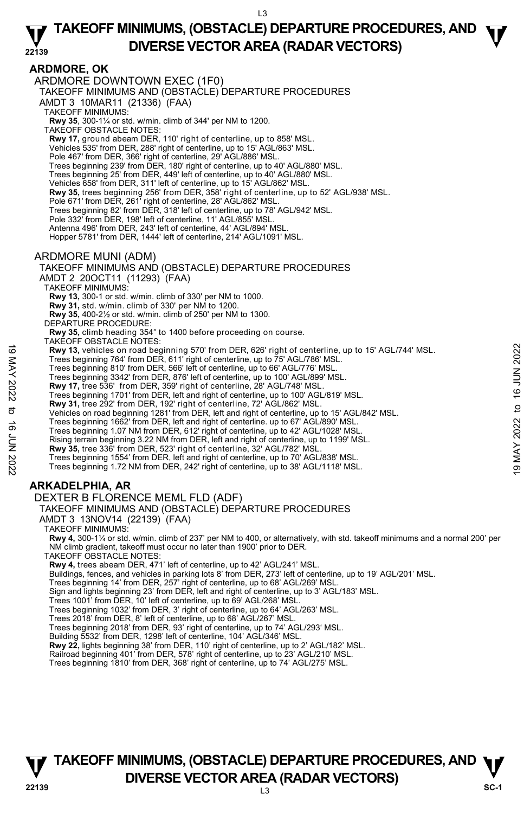## **ARDMORE, OK**

ARDMORE DOWNTOWN EXEC (1F0) TAKEOFF MINIMUMS AND (OBSTACLE) DEPARTURE PROCEDURES AMDT 3 10MAR11 (21336) (FAA) TAKEOFF MINIMUMS: **Rwy 35**, 300-1¼ or std. w/min. climb of 344' per NM to 1200. TAKEOFF OBSTACLE NOTES: **Rwy 17,** ground abeam DER, 110' right of centerline, up to 858' MSL. Vehicles 535' from DER, 288' right of centerline, up to 15' AGL/863' MSL. Pole 467' from DER, 366' right of centerline, 29' AGL/886' MSL. Trees beginning 239' from DER, 180' right of centerline, up to 40' AGL/880' MSL. Trees beginning 25' from DER, 449' left of centerline, up to 40' AGL/880' MSL. Vehicles 658' from DER, 311' left of centerline, up to 15' AGL/862' MSL. **Rwy 35,** trees beginning 256' from DER, 358' right of centerline, up to 52' AGL/938' MSL. Pole 671' from DER, 261' right of centerline, 28' AGL/862' MSL. Trees beginning 82' from DER, 318' left of centerline, up to 78' AGL/942' MSL. Pole 332' from DER, 198' left of centerline, 11' AGL/855' MSL. Antenna 496' from DER, 243' left of centerline, 44' AGL/894' MSL. Hopper 5781' from DER, 1444' left of centerline, 214' AGL/1091' MSL. ARDMORE MUNI (ADM) TAKEOFF MINIMUMS AND (OBSTACLE) DEPARTURE PROCEDURES AMDT 2 20OCT11 (11293) (FAA) TAKEOFF MINIMUMS: **Rwy 13,** 300-1 or std. w/min. climb of 330' per NM to 1000. **Rwy 31,** std. w/min. climb of 330' per NM to 1200. **Rwy 35,** 400-2½ or std. w/min. climb of 250' per NM to 1300. DEPARTURE PROCEDURE:

**Rwy 35,** climb heading 354° to 1400 before proceeding on course.

TAKEOFF OBSTACLE NOTES:

**Rwy 13,** vehicles on road beginning 570' from DER, 626' right of centerline, up to 15' AGL/744' MSL. 19 May 13, vehicles on road beginning 570' from DER, 626' right of centerline, up to 15' AGL/744' MSL.<br>
Trees beginning 764' from DER, 61' right of centerline, up to 16' AGL/776' MSL.<br>
Trees beginning 342' from DER, 876'

Trees beginning 764' from DER, 611' right of centerline, up to 75' AGL/786' MSL.

Trees beginning 810' from DER, 566' left of centerline, up to 66' AGL/776' MSL.

Trees beginning 3342' from DER, 876' left of centerline, up to 100' AGL/899' MSL.

**Rwy 17,** tree 536' from DER, 359' right of centerline, 28' AGL/748' MSL.

Trees beginning 1701' from DER, left and right of centerline, up to 100' AGL/819' MSL.<br>**Rwy 31,** tree 292' from DER, 192' right of centerline, 72' AGL/862' MSL.

Vehicles on road beginning 1281' from DER, left and right of centerline, up to 15' AGL/842' MSL.

Trees beginning 1662' from DER, left and right of centerline. up to 67' AGL/890' MSL.

Trees beginning 1.07 NM from DER, 612' right of centerline, up to 42' AGL/1028' MSL.

Rising terrain beginning 3.22 NM from DER, left and right of centerline, up to 1199' MSL.

**Rwy 35,** tree 336' from DER, 523' right of centerline, 32' AGL/782' MSL.

Trees beginning 1554' from DER, left and right of centerline, up to 70' AGL/838' MSL. Trees beginning 1.72 NM from DER, 242' right of centerline, up to 38' AGL/1118' MSL.

## **ARKADELPHIA, AR**

DEXTER B FLORENCE MEML FLD (ADF)

TAKEOFF MINIMUMS AND (OBSTACLE) DEPARTURE PROCEDURES

AMDT 3 13NOV14 (22139) (FAA)

TAKEOFF MINIMUMS:

**Rwy 4,** 300-1¼ or std. w/min. climb of 237' per NM to 400, or alternatively, with std. takeoff minimums and a normal 200' per NM climb gradient, takeoff must occur no later than 1900' prior to DER. TAKEOFF OBSTACLE NOTES:

**Rwy 4,** trees abeam DER, 471' left of centerline, up to 42' AGL/241' MSL.

Buildings, fences, and vehicles in parking lots 8' from DER, 273' left of centerline, up to 19' AGL/201' MSL.

Trees beginning 14' from DER, 257' right of centerline, up to 68' AGL/269' MSL.

Sign and lights beginning 23' from DER, left and right of centerline, up to 3' AGL/183' MSL.

Trees 1001' from DER, 10' left of centerline, up to 69' AGL/268' MSL.

Trees beginning 1032' from DER, 3' right of centerline, up to 64' AGL/263' MSL. Trees 2018' from DER, 8' left of centerline, up to 68' AGL/267' MSL.

Trees beginning 2018' from DER, 93' right of centerline, up to 74' AGL/293' MSL.

Building 5532' from DER, 1298' left of centerline, 104' AGL/346' MSL.

**Rwy 22,** lights beginning 38' from DER, 110' right of centerline, up to 2' AGL/182' MSL.<br>Railroad beginning 401' from DER, 578' right of centerline, up to 23' AGL/210' MSL.

Trees beginning 1810' from DER, 368' right of centerline, up to 74' AGL/275' MSL.

## **TAKEOFF MINIMUMS, (OBSTACLE) DEPARTURE PROCEDURES, AND**  $\Psi$ **P DIVERSE VECTOR AREA (RADAR VECTORS) P P SC-1 SC-1**

 $\overline{3}$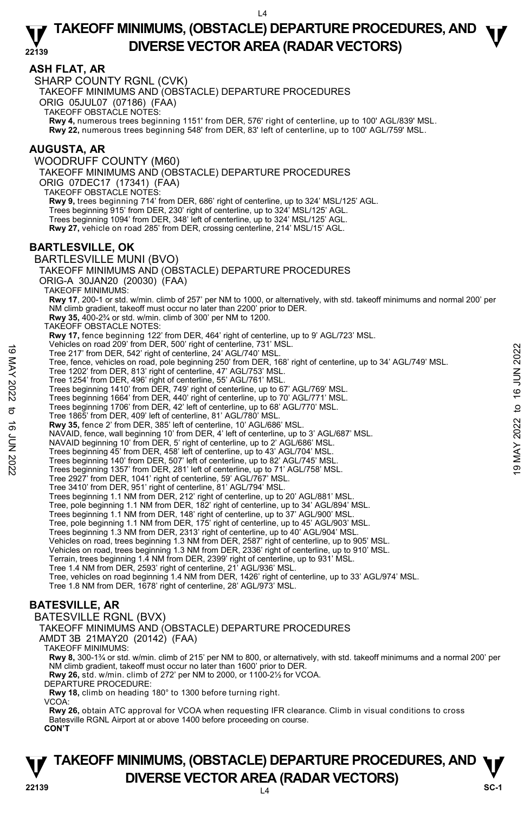### **ASH FLAT, AR**

SHARP COUNTY RGNL (CVK) TAKEOFF MINIMUMS AND (OBSTACLE) DEPARTURE PROCEDURES ORIG 05JUL07 (07186) (FAA) TAKEOFF OBSTACLE NOTES: **Rwy 4,** numerous trees beginning 1151' from DER, 576' right of centerline, up to 100' AGL/839' MSL. **Rwy 22,** numerous trees beginning 548' from DER, 83' left of centerline, up to 100' AGL/759' MSL. **AUGUSTA, AR** 

### WOODRUFF COUNTY (M60) TAKEOFF MINIMUMS AND (OBSTACLE) DEPARTURE PROCEDURES ORIG 07DEC17 (17341) (FAA) TAKEOFF OBSTACLE NOTES: **Rwy 9,** trees beginning 714' from DER, 686' right of centerline, up to 324' MSL/125' AGL. Trees beginning 915' from DER, 230' right of centerline, up to 324' MSL/125' AGL. Trees beginning 1094' from DER, 348' left of centerline, up to 324' MSL/125' AGL. **Rwy 27,** vehicle on road 285' from DER, crossing centerline, 214' MSL/15' AGL.

### **BARTLESVILLE, OK**

BARTLESVILLE MUNI (BVO) TAKEOFF MINIMUMS AND (OBSTACLE) DEPARTURE PROCEDURES ORIG-A 30JAN20 (20030) (FAA) TAKEOFF MINIMUMS: **Rwy 17**, 200-1 or std. w/min. climb of 257' per NM to 1000, or alternatively, with std. takeoff minimums and normal 200' per NM climb gradient, takeoff must occur no later than 2200' prior to DER. **Rwy 35,** 400-2¾ or std. w/min. climb of 300' per NM to 1200. TAKEOFF OBSTACLE NOTES: **Rwy 17,** fence beginning 122' from DER, 464' right of centerline, up to 9' AGL/723' MSL.<br>Vehicles on road 209' from DER, 500' right of centerline, 731' MSL. Tree 217' from DER, 542' right of centerline, 24' AGL/740' MSL. Tree, fence, vehicles on road, pole beginning 250' from DER, 168' right of centerline, up to 34' AGL/749' MSL. Tree 1202' from DER, 813' right of centerline, 47' AGL/753' MSL. Tree 1254' from DER, 496' right of centerline, 55' AGL/761' MSL. Trees beginning 1410' from DER, 749' right of centerline, up to 67' AGL/769' MSL. Trees beginning 1664' from DER, 440' right of centerline, up to 70' AGL/771' MSL. Trees beginning 1706' from DER, 42' left of centerline, up to 68' AGL/770' MSL. Tree 1865' from DER, 409' left of centerline, 81' AGL/780' MSL. **Rwy 35,** fence 2' from DER, 385' left of centerline, 10' AGL/686' MSL. NAVAID, fence, wall beginning 10' from DER, 4' left of centerline, up to 3' AGL/687' MSL. NAVAID beginning 10' from DER, 5' right of centerline, up to 2' AGL/686' MSL. Trees beginning 45' from DER, 458' left of centerline, up to 43' AGL/704' MSL. Trees beginning 140' from DER, 507' left of centerline, up to 82' AGL/745' MSL. Trees beginning 1357' from DER, 281' left of centerline, up to 71' AGL/758' MSL. Tree 2927' from DER, 1041' right of centerline, 59' AGL/767' MSL. Tree 3410' from DER, 951' right of centerline, 81' AGL/794' MSL. Trees beginning 1.1 NM from DER, 212' right of centerline, up to 20' AGL/881' MSL. Tree, pole beginning 1.1 NM from DER, 182' right of centerline, up to 34' AGL/894' MSL. Trees beginning 1.1 NM from DER, 148' right of centerline, up to 37' AGL/900' MSL. Tree, pole beginning 1.1 NM from DER, 175' right of centerline, up to 45' AGL/903' MSL. Trees beginning 1.3 NM from DER, 2313' right of centerline, up to 40' AGL/904' MSL. Vehicles on road, trees beginning 1.3 NM from DER, 2587' right of centerline, up to 905' MSL. Vehicles on road, trees beginning 1.3 NM from DER, 2336' right of centerline, up to 910' MSL. Terrain, trees beginning 1.4 NM from DER, 2399' right of centerline, up to 931' MSL. Tree 1.4 NM from DER, 2593' right of centerline, 21' AGL/936' MSL. Tree, vehicles on road beginning 1.4 NM from DER, 1426' right of centerline, up to 33' AGL/974' MSL. Tree 1.8 NM from DER, 1678' right of centerline, 28' AGL/973' MSL. Tree 217' from DER, 542' ight of center and 2022 AGL/740' MSL.<br>
Tree 217' from DER, 192' from the beginning 250' from DER, 168' right of centerline, up to 34' AGL/749' MSL.<br>
Tree 1202' from DER, 1918' right of centerline,

## **BATESVILLE, AR**

BATESVILLE RGNL (BVX)

TAKEOFF MINIMUMS AND (OBSTACLE) DEPARTURE PROCEDURES

AMDT 3B 21MAY20 (20142) (FAA)

TAKEOFF MINIMUMS:

**Rwy 8,** 300-1¾ or std. w/min. climb of 215' per NM to 800, or alternatively, with std. takeoff minimums and a normal 200' per NM climb gradient, takeoff must occur no later than 1600' prior to DER. **Rwy 26,** std. w/min. climb of 272' per NM to 2000, or 1100-2½ for VCOA.

DEPARTURE PROCEDURE:

**Rwy 18,** climb on heading 180° to 1300 before turning right.

VCOA:

**Rwy 26,** obtain ATC approval for VCOA when requesting IFR clearance. Climb in visual conditions to cross Batesville RGNL Airport at or above 1400 before proceeding on course. **CON'T** 

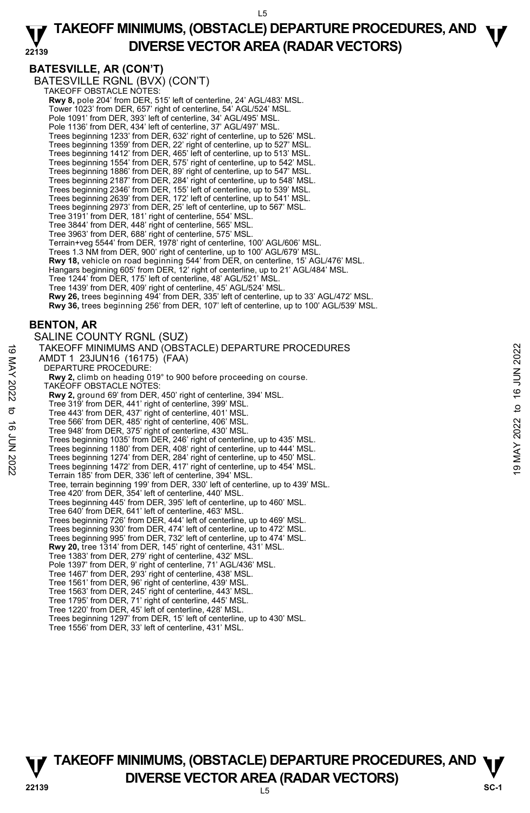$15$ 

#### **22139 TAKEOFF MINIMUMS, (OBSTACLE) DEPARTURE PROCEDURES, AND**  $\Psi$ **DIVERSE VECTOR AREA (RADAR VECTORS)**

## **BATESVILLE, AR (CON'T)**

BATESVILLE RGNL (BVX) (CON'T)<br>TAKEOFF OBSTACLE NOTES: **Rwy 8,** pole 204' from DER, 515' left of centerline, 24' AGL/483' MSL. Tower 1023' from DER, 657' right of centerline, 54' AGL/524' MSL. Pole 1091' from DER, 393' left of centerline, 34' AGL/495' MSL. Pole 1136' from DER, 434' left of centerline, 37' AGL/497' MSL. Trees beginning 1233' from DER, 632' right of centerline, up to 526' MSL. Trees beginning 1359' from DER, 22' right of centerline, up to 527' MSL. Trees beginning 1412' from DER, 465' left of centerline, up to 513' MSL. Trees beginning 1554' from DER, 575' right of centerline, up to 542' MSL. Trees beginning 1886' from DER, 89' right of centerline, up to 547' MSL. Trees beginning 2187' from DER, 284' right of centerline, up to 548' MSL. Trees beginning 2346' from DER, 155' left of centerline, up to 539' MSL. Trees beginning 2639' from DER, 172' left of centerline, up to 541' MSL. Trees beginning 2973' from DER, 25' left of centerline, up to 567' MSL. Tree 3191' from DER, 181' right of centerline, 554' MSL. Tree 3844' from DER, 448' right of centerline, 565' MSL. Tree 3963' from DER, 688' right of centerline, 575' MSL. Terrain+veg 5544' from DER, 1978' right of centerline, 100' AGL/606' MSL. Trees 1.3 NM from DER, 900' right of centerline, up to 100' AGL/679' MSL. **Rwy 18,** vehicle on road beginning 544' from DER, on centerline, 15' AGL/476' MSL. Hangars beginning 605' from DER, 12' right of centerline, up to 21' AGL/484' MSL. Tree 1244' from DER, 175' left of centerline, 48' AGL/521' MSL. Tree 1439' from DER, 409' right of centerline, 45' AGL/524' MSL. **Rwy 26,** trees beginning 494' from DER, 335' left of centerline, up to 33' AGL/472' MSL. **Rwy 36,** trees beginning 256' from DER, 107' left of centerline, up to 100' AGL/539' MSL. **BENTON, AR**  SALINE COUNTY RGNL (SUZ) TAKEOFF MINIMUMS AND (OBSTACLE) DEPARTURE PROCEDURES AMDT 1 23JUN16 (16175) (FAA) DEPARTURE PROCEDURE: **Rwy 2,** climb on heading 019° to 900 before proceeding on course. TAKEOFF OBSTACLE NOTES: **Rwy 2,** ground 69' from DER, 450' right of centerline, 394' MSL.<br>Tree 319' from DER, 441' right of centerline, 399' MSL. Tree 443' from DER, 437' right of centerline, 401' MSL. Tree 566' from DER, 485' right of centerline, 406' MSL. Tree 948' from DER, 375' right of centerline, 430' MSL. Trees beginning 1035' from DER, 246' right of centerline, up to 435' MSL. Trees beginning 1180' from DER, 408' right of centerline, up to 444' MSL. Trees beginning 1274' from DER, 284' right of centerline, up to 450' MSL. Trees beginning 1472' from DER, 417' right of centerline, up to 454' MSL. Terrain 185' from DER, 336' left of centerline, 394' MSL. Tree, terrain beginning 199' from DER, 330' left of centerline, up to 439' MSL. Tree 420' from DER, 354' left of centerline, 440' MSL. Trees beginning 445' from DER, 395' left of centerline, up to 460' MSL. Tree 640' from DER, 641' left of centerline, 463' MSL. Trees beginning 726' from DER, 444' left of centerline, up to 469' MSL. Trees beginning 930' from DER, 474' left of centerline, up to 472' MSL. Trees beginning 995' from DER, 732' left of centerline, up to 474' MSL. **Rwy 20,** tree 1314' from DER, 145' right of centerline, 431' MSL. Tree 1383' from DER, 279' right of centerline, 432' MSL. Pole 1397' from DER, 9' right of centerline, 71' AGL/436' MSL. Tree 1467' from DER, 293' right of centerline, 438' MSL. Tree 1561' from DER, 96' right of centerline, 439' MSL. Tree 1563' from DER, 245' right of centerline, 443' MSL. Tree 1795' from DER, 71' right of centerline, 445' MSL. Tree 1220' from DER, 45' left of centerline, 428' MSL. Trees beginning 1297' from DER, 15' left of centerline, up to 430' MSL. Tree 1556' from DER, 33' left of centerline, 431' MSL. TAKEOFF MINIMUMS AND (OBSTACLE) DEPARTURE PROCEDURES<br>
AMDT 1 23JUNA16 (16175) (FAA)<br>
DEPARTURE PROCEDURE:<br>
NOVE DEPARTURE PROCEDURE:<br>
NOVE DEPARTURE PROCEDURE:<br>
NOVE 2, ground 69 if for 16 Genter and the content in the st

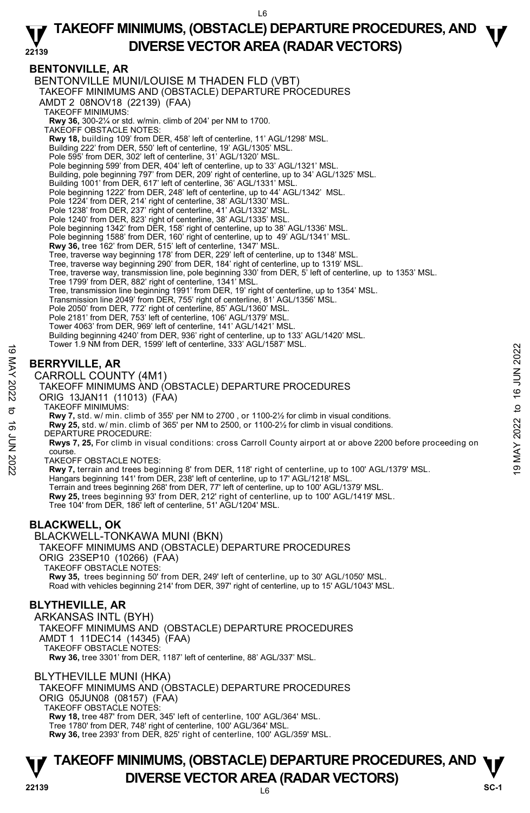### **22139 TAKEOFF MINIMUMS, (OBSTACLE) DEPARTURE PROCEDURES, AND**  $\Psi$ **DIVERSE VECTOR AREA (RADAR VECTORS)**

## **BENTONVILLE, AR**

BENTONVILLE MUNI/LOUISE M THADEN FLD (VBT) TAKEOFF MINIMUMS AND (OBSTACLE) DEPARTURE PROCEDURES AMDT 2 08NOV18 (22139) (FAA) TAKEOFF MINIMUMS: **Rwy 36,** 300-2¼ or std. w/min. climb of 204' per NM to 1700. TAKEOFF OBSTACLE NOTES: **Rwy 18,** building 109' from DER, 458' left of centerline, 11' AGL/1298' MSL. Building 222' from DER, 550' left of centerline, 19' AGL/1305' MSL. Pole 595' from DER, 302' left of centerline, 31' AGL/1320' MSL Pole beginning 599' from DER, 404' left of centerline, up to 33' AGL/1321' MSL. Building, pole beginning 797' from DER, 209' right of centerline, up to 34' AGL/1325' MSL. Building 1001' from DER, 617' left of centerline, 36' AGL/1331' MSL Pole beginning 1222' from DER, 248' left of centerline, up to 44' AGL/1342' MSL. Pole 1224' from DER, 214' right of centerline, 38' AGL/1330' MSL. Pole 1238' from DER, 237' right of centerline, 41' AGL/1332' MSL. Pole 1240' from DER, 823' right of centerline, 38' AGL/1335' MSL. Pole beginning 1342' from DER, 158' right of centerline, up to 38' AGL/1336' MSL. Pole beginning 1588' from DER, 160' right of centerline, up to 49' AGL/1341' MSL. **Rwy 36,** tree 162' from DER, 515' left of centerline, 1347' MSL. Tree, traverse way beginning 178' from DER, 229' left of centerline, up to 1348' MSL.<br>Tree, traverse way beginning 290' from DER, 184' right of centerline, up to 1319' MSL. Tree, traverse way, transmission line, pole beginning 330' from DER, 5' left of centerline, up to 1353' MSL. Tree 1799' from DER, 882' right of centerline, 1341' MSL. Tree, transmission line beginning 1991' from DER, 19' right of centerline, up to 1354' MSL. Transmission line 2049' from DER, 755' right of centerline, 81' AGL/1356' MSL. Pole 2050' from DER, 772' right of centerline, 85' AGL/1360' MSL. Pole 2181' from DER, 753' left of centerline, 106' AGL/1379' MSL. Tower 4063' from DER, 969' left of centerline, 141' AGL/1421' MSL. Building beginning 4240' from DER, 936' right of centerline, up to 133' AGL/1420' MSL. Tower 1.9 NM from DER, 1599' left of centerline, 333' AGL/1587' MSL.

## **BERRYVILLE, AR**

CARROLL COUNTY (4M1)

TAKEOFF MINIMUMS AND (OBSTACLE) DEPARTURE PROCEDURES

ORIG 13JAN11 (11013) (FAA)

TAKEOFF MINIMUMS:

**Rwy 7,** std. w/ min. climb of 355' per NM to 2700 , or 1100-2½ for climb in visual conditions.

**Rwy 25,** std. w/ min. climb of 365' per NM to 2500, or 1100-2½ for climb in visual conditions. DEPARTURE PROCEDURE:

**Rwys 7, 25,** For climb in visual conditions: cross Carroll County airport at or above 2200 before proceeding on course. 19 TOWEL 1.9 NM ITOM DER, 1999 TEIL OT CEMENTINE 353 AGL/1567 WISL.<br> **EXERCIVATELL COUNTY (4M1)**<br>
TAKEOFF MINIMUMS AND (OBSTACLE) DEPARTURE PROCEDURES<br>
ORIG 13 JAM11 (11013) (FAA)<br>
TAKEOFF MINIMUMS:<br>
TAKEOFF MINIMUMS:<br>
TA

TAKEOFF OBSTACLE NOTES:

**Rwy 7,** terrain and trees beginning 8' from DER, 118' right of centerline, up to 100' AGL/1379' MSL. Hangars beginning 141' from DER, 238' left of centerline, up to 17' AGL/1218' MSL. Terrain and trees beginning 268' from DER, 77' left of centerline, up to 100' AGL/1379' MSL.<br>**Rwy 25,** trees beginning 93' from DER, 212' right of centerline, up to 100' AGL/1419' MSL. Tree 104' from DER, 186' left of centerline, 51' AGL/1204' MSL.

## **BLACKWELL, OK**

BLACKWELL-TONKAWA MUNI (BKN) TAKEOFF MINIMUMS AND (OBSTACLE) DEPARTURE PROCEDURES ORIG 23SEP10 (10266) (FAA) TAKEOFF OBSTACLE NOTES: **Rwy 35,** trees beginning 50' from DER, 249' left of centerline, up to 30' AGL/1050' MSL. Road with vehicles beginning 214' from DER, 397' right of centerline, up to 15' AGL/1043' MSL.

## **BLYTHEVILLE, AR**

ARKANSAS INTL (BYH) TAKEOFF MINIMUMS AND (OBSTACLE) DEPARTURE PROCEDURES AMDT 1 11DEC14 (14345) (FAA) TAKEOFF OBSTACLE NOTES: **Rwy 36,** tree 3301' from DER, 1187' left of centerline, 88' AGL/337' MSL.

BLYTHEVILLE MUNI (HKA) TAKEOFF MINIMUMS AND (OBSTACLE) DEPARTURE PROCEDURES ORIG 05JUN08 (08157) (FAA) TAKEOFF OBSTACLE NOTES: **Rwy 18,** tree 487' from DER, 345' left of centerline, 100' AGL/364' MSL. Tree 1780' from DER, 748' right of centerline, 100' AGL/364' MSL. **Rwy 36,** tree 2393' from DER, 825' right of centerline, 100' AGL/359' MSL.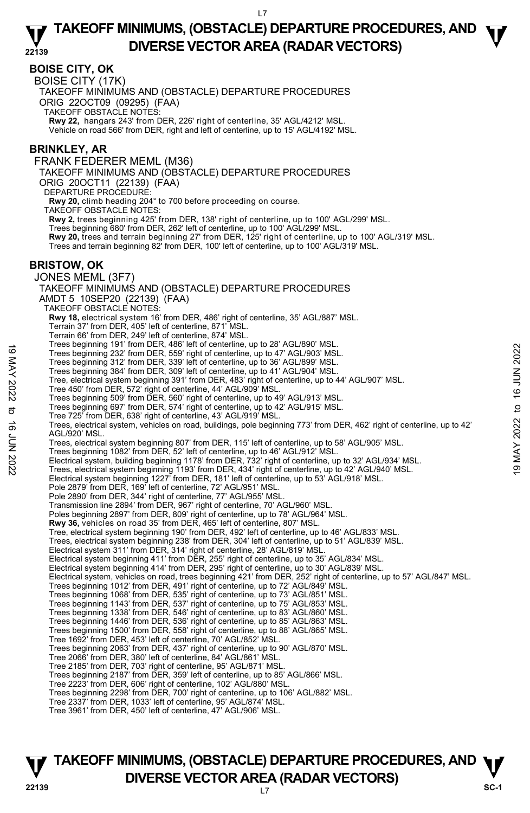### **BOISE CITY, OK**

BOISE CITY (17K)

TAKEOFF MINIMUMS AND (OBSTACLE) DEPARTURE PROCEDURES

ORIG 22OCT09 (09295) (FAA)

TAKEOFF OBSTACLE NOTES:

**Rwy 22,** hangars 243' from DER, 226' right of centerline, 35' AGL/4212' MSL. Vehicle on road 566' from DER, right and left of centerline, up to 15' AGL/4192' MSL.

### **BRINKLEY, AR**

FRANK FEDERER MEML (M36)

TAKEOFF MINIMUMS AND (OBSTACLE) DEPARTURE PROCEDURES

ORIG 20OCT11 (22139) (FAA)

DEPARTURE PROCEDURE

**Rwy 20,** climb heading 204° to 700 before proceeding on course.

TAKEOFF OBSTACLE NOTES:

**Rwy 2,** trees beginning 425' from DER, 138' right of centerline, up to 100' AGL/299' MSL.

Trees beginning 680' from DER, 262' left of centerline, up to 100' AGL/299' MSL.

**Rwy 20,** trees and terrain beginning 27' from DER, 125' right of centerline, up to 100' AGL/319' MSL.

Trees and terrain beginning 82' from DER, 100' left of centerline, up to 100' AGL/319' MSL.

### **BRISTOW, OK**

JONES MEML (3F7) TAKEOFF MINIMUMS AND (OBSTACLE) DEPARTURE PROCEDURES AMDT 5 10SEP20 (22139) (FAA) TAKEOFF OBSTACLE NOTES: **Rwy 18,** electrical system 16' from DER, 486' right of centerline, 35' AGL/887' MSL. Terrain 37' from DER, 405' left of centerline, 871' MSL. Terrain 66' from DER, 249' left of centerline, 874' MSL. Trees beginning 191' from DER, 486' left of centerline, up to 28' AGL/890' MSL. Trees beginning 232' from DER, 559' right of centerline, up to 47' AGL/903' MSL. Trees beginning 312' from DER, 339' left of centerline, up to 36' AGL/899' MSL. Trees beginning 384' from DER, 309' left of centerline, up to 41' AGL/904' MSL. Tree, electrical system beginning 391' from DER, 483' right of centerline, up to 44' AGL/907' MSL. Tree 450' from DER, 572' right of centerline, 44' AGL/909' MSL. Trees beginning 509' from DER, 560' right of centerline, up to 49' AGL/913' MSL. Trees beginning 697' from DER, 574' right of centerline, up to 42' AGL/915' MSL. Tree 725' from DER, 638' right of centerline, 43' AGL/919' MSL. Trees, electrical system, vehicles on road, buildings, pole beginning 773' from DER, 462' right of centerline, up to 42' AGL/920' MSL. Trees, electrical system beginning 807' from DER, 115' left of centerline, up to 58' AGL/905' MSL. Trees beginning 1082' from DER, 52' left of centerline, up to 46' AGL/912' MSL. Trees beginning 1911 from DER, 459' right of centerline, up to 47' AGL/903' MSL.<br>Trees beginning 342' from DER, 559' right of centerline, up to 47' AGL/903' MSL.<br>Trees beginning 344' from DER, 339' left of centerline, up t Electrical system beginning 1227' from DER, 181' left of centerline, up to 53' AGL/918' MSL. Pole 2879' from DER, 169' left of centerline, 72' AGL/951' MSL. Pole 2890' from DER, 344' right of centerline, 77' AGL/955' MSL. Transmission line 2894' from DER, 967' right of centerline, 70' AGL/960' MSL. Poles beginning 2897' from DER, 809' right of centerline, up to 78' AGL/964' MSL. **Rwy 36,** vehicles on road 35' from DER, 465' left of centerline, 807' MSL. Tree, electrical system beginning 190' from DER, 492' left of centerline, up to 46' AGL/833' MSL. Trees, electrical system beginning 238' from DER, 304' left of centerline, up to 51' AGL/839' MSL. Electrical system 311' from DER, 314' right of centerline, 28' AGL/819' MSL.<br>Electrical system beginning 411' from DER, 255' right of centerline, up to 35' AGL/834' MSL. Electrical system beginning 414' from DER, 295' right of centerline, up to 30' AGL/839' MSL. Electrical system, vehicles on road, trees beginning 421' from DER, 252' right of centerline, up to 57' AGL/847' MSL. Trees beginning 1012' from DER, 491' right of centerline, up to 72' AGL/849' MSL. Trees beginning 1068' from DER, 535' right of centerline, up to 73' AGL/851' MSL. Trees beginning 1143' from DER, 537' right of centerline, up to 75' AGL/853' MSL. Trees beginning 1338' from DER, 546' right of centerline, up to 83' AGL/860' MSL. Trees beginning 1446' from DER, 536' right of centerline, up to 85' AGL/863' MSL. Trees beginning 1500' from DER, 558' right of centerline, up to 88' AGL/865' MSL. Tree 1692' from DER, 453' left of centerline, 70' AGL/852' MSL. Trees beginning 2063' from DER, 437' right of centerline, up to 90' AGL/870' MSL. Tree 2066' from DER, 380' left of centerline, 84' AGL/861' MSL. Tree 2185' from DER, 703' right of centerline, 95' AGL/871' MSL. Trees beginning 2187' from DER, 359' left of centerline, up to 85' AGL/866' MSL. Tree 2223' from DER, 606' right of centerline, 102' AGL/880' MSL. Trees beginning 2298' from DER, 700' right of centerline, up to 106' AGL/882' MSL. Tree 2337' from DER, 1033' left of centerline, 95' AGL/874' MSL. Tree 3961' from DER, 450' left of centerline, 47' AGL/906' MSL.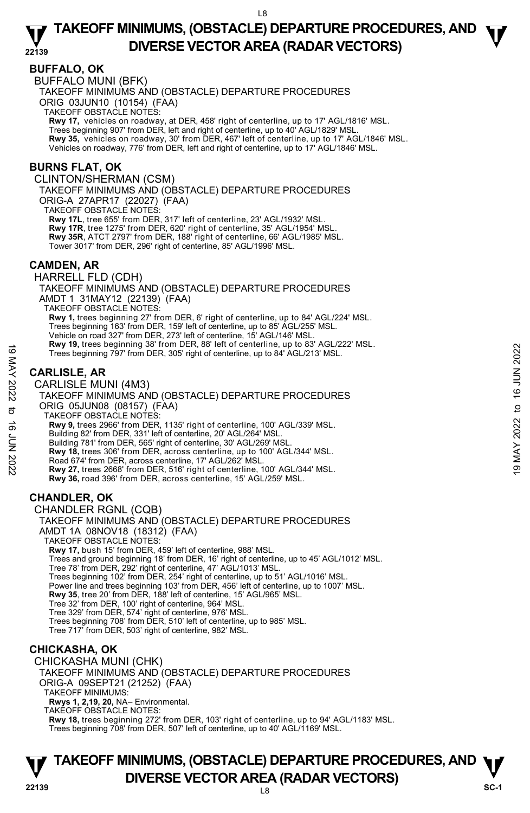### **BUFFALO, OK**

BUFFALO MUNI (BFK)

TAKEOFF MINIMUMS AND (OBSTACLE) DEPARTURE PROCEDURES

ORIG 03JUN10 (10154) (FAA)

TAKEOFF OBSTACLE NOTES:

**Rwy 17,** vehicles on roadway, at DER, 458' right of centerline, up to 17' AGL/1816' MSL.<br>Trees beginning 907' from DER, left and right of centerline, up to 40' AGL/1829' MSL. **Rwy 35,** vehicles on roadway, 30' from DER, 467' left of centerline, up to 17' AGL/1846' MSL. Vehicles on roadway, 776' from DER, left and right of centerline, up to 17' AGL/1846' MSL.

### **BURNS FLAT, OK**

CLINTON/SHERMAN (CSM)

TAKEOFF MINIMUMS AND (OBSTACLE) DEPARTURE PROCEDURES ORIG-A 27APR17 (22027) (FAA)

TAKEOFF OBSTACLE NOTES:

**Rwy 17L**, tree 655' from DER, 317' left of centerline, 23' AGL/1932' MSL. **Rwy 17R**, tree 1275' from DER, 620' right of centerline, 35' AGL/1954' MSL. **Rwy 35R**, ATCT 2797' from DER, 188' right of centerline, 66' AGL/1985' MSL. Tower 3017' from DER, 296' right of centerline, 85' AGL/1996' MSL.

### **CAMDEN, AR**

HARRELL FLD (CDH) TAKEOFF MINIMUMS AND (OBSTACLE) DEPARTURE PROCEDURES AMDT 1 31MAY12 (22139) (FAA) TAKEOFF OBSTACLE NOTES: **Rwy 1,** trees beginning 27' from DER, 6' right of centerline, up to 84' AGL/224' MSL. Trees beginning 163' from DER, 159' left of centerline, up to 85' AGL/255' MSL. Vehicle on road 327' from DER, 273' left of centerline, 15' AGL/146' MSL. **Rwy 19,** trees beginning 38' from DER, 88' left of centerline, up to 83' AGL/222' MSL. Trees beginning 797' from DER, 305' right of centerline, up to 84' AGL/213' MSL.

### **CARLISLE, AR**

CARLISLE MUNI (4M3) TAKEOFF MINIMUMS AND (OBSTACLE) DEPARTURE PROCEDURES ORIG 05JUN08 (08157) (FAA) TAKEOFF OBSTACLE NOTES: **Rwy 9,** trees 2966' from DER, 1135' right of centerline, 100' AGL/339' MSL. Building 82' from DER, 331' left of centerline, 20' AGL/264' MSL. Building 781' from DER, 565' right of centerline, 30' AGL/269' MSL. **Rwy 18,** trees 306' from DER, across centerline, up to 100' AGL/344' MSL. Road 674' from DER, across centerline, 17' AGL/262' MSL. **Rwy 27,** trees 2668' from DER, 516' right of centerline, 100' AGL/344' MSL. **Rwy 36,** road 396' from DER, across centerline, 15' AGL/259' MSL. **CHANDLER, OK**  CHANDLER RGNL (CQB) TAKEOFF MINIMUMS AND (OBSTACLE) DEPARTURE PROCEDURES AMDT 1A 08NOV18 (18312) (FAA) TAKEOFF OBSTACLE NOTES: Trees beginning 781 from DER, 305' right of centerline, up to 84' AGL/213' MSL.<br>  $\frac{180}{100}$  CARLISLE, AR<br>
CARLISLE MUNI (4M3)<br>  $\frac{180}{100}$  CARLISLE MUNI (4M3)<br>
TAKEOFF MINIMUMS AND (OBSTACLE) DEPARTURE PROCEDURES<br>
OR

**Rwy 17,** bush 15' from DER, 459' left of centerline, 988' MSL. Trees and ground beginning 18' from DER, 16' right of centerline, up to 45' AGL/1012' MSL. Tree 78' from DER, 292' right of centerline, 47' AGL/1013' MSL. Trees beginning 102' from DER, 254' right of centerline, up to 51' AGL/1016' MSL. Power line and trees beginning 103' from DER, 456' left of centerline, up to 1007' MSL. **Rwy 35**, tree 20' from DER, 188' left of centerline, 15' AGL/965' MSL. Tree 32' from DER, 100' right of centerline, 964' MSL. Tree 329' from DER, 574' right of centerline, 976' MSL. Trees beginning 708' from DER, 510' left of centerline, up to 985' MSL. Tree 717' from DER, 503' right of centerline, 982' MSL.

### **CHICKASHA, OK**

CHICKASHA MUNI (CHK)

TAKEOFF MINIMUMS AND (OBSTACLE) DEPARTURE PROCEDURES ORIG-A 09SEPT21 (21252) (FAA)

TAKEOFF MINIMUMS:

**Rwys 1, 2,19, 20,** NA– Environmental.

TAKEOFF OBSTACLE NOTES:

**Rwy 18,** trees beginning 272' from DER, 103' right of centerline, up to 94' AGL/1183' MSL. Trees beginning 708' from DER, 507' left of centerline, up to 40' AGL/1169' MSL.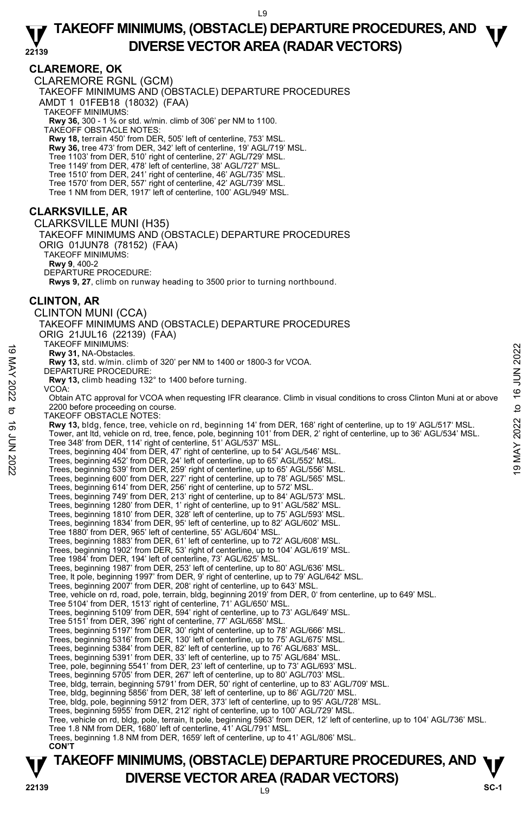## **CLAREMORE, OK**

CLAREMORE RGNL (GCM) TAKEOFF MINIMUMS AND (OBSTACLE) DEPARTURE PROCEDURES AMDT 1 01FEB18 (18032) (FAA) TAKEOFF MINIMUMS: **Rwy 36,** 300 - 1 ⅜ or std. w/min. climb of 306' per NM to 1100. TAKEOFF OBSTACLE NOTES: **Rwy 18,** terrain 450' from DER, 505' left of centerline, 753' MSL. **Rwy 36,** tree 473' from DER, 342' left of centerline, 19' AGL/719' MSL. Tree 1103' from DER, 510' right of centerline, 27' AGL/729' MSL. Tree 1149' from DER, 478' left of centerline, 38' AGL/727' MSL. Tree 1510' from DER, 241' right of centerline, 46' AGL/735' MSL. Tree 1570' from DER, 557' right of centerline, 42' AGL/739' MSL. Tree 1 NM from DER, 1917' left of centerline, 100' AGL/949' MSL. **CLARKSVILLE, AR**  CLARKSVILLE MUNI (H35) TAKEOFF MINIMUMS AND (OBSTACLE) DEPARTURE PROCEDURES ORIG 01JUN78 (78152) (FAA) TAKEOFF MINIMUMS: **Rwy 9**, 400-2 DEPARTURE PROCEDURE: **Rwys 9, 27**, climb on runway heading to 3500 prior to turning northbound. **CLINTON, AR**  CLINTON MUNI (CCA) TAKEOFF MINIMUMS AND (OBSTACLE) DEPARTURE PROCEDURES ORIG 21JUL16 (22139) (FAA) TAKEOFF MINIMUMS: **Rwy 31,** NA-Obstacles. **Rwy 13,** std. w/min. climb of 320' per NM to 1400 or 1800-3 for VCOA. DEPARTURE PROCEDURE: **Rwy 13,** climb heading 132° to 1400 before turning. VCOA: Obtain ATC approval for VCOA when requesting IFR clearance. Climb in visual conditions to cross Clinton Muni at or above 2200 before proceeding on course. TAKEOFF OBSTACLE NOTES: **Rwy 13,** bldg, fence, tree, vehicle on rd, beginning 14' from DER, 168' right of centerline, up to 19' AGL/517' MSL.<br>Tower, ant ltd, vehicle on rd, tree, fence, pole, beginning 101' from DER, 2' right of centerline, up to Tree 348' from DER, 114' right of centerline, 51' AGL/537' MSL. Trees, beginning 404' from DER, 47' right of centerline, up to 54' AGL/546' MSL. Trees, beginning 452' from DER, 24' left of centerline, up to 65' AGL/552' MSL. Trees, beginning 539' from DER, 259' right of centerline, up to 65' AGL/556' MSL. Trees, beginning 600' from DER, 227' right of centerline, up to 78' AGL/565' MSL. Trees, beginning 614' from DER, 256' right of centerline, up to 572' MSL. Trees, beginning 749' from DER, 213' right of centerline, up to 84' AGL/573' MSL. Trees, beginning 1280' from DER, 1' right of centerline, up to 91' AGL/582' MSL. Trees, beginning 1810' from DER, 328' left of centerline, up to 75' AGL/593' MSL. Trees, beginning 1834' from DER, 95' left of centerline, up to 82' AGL/602' MSL. Tree 1880' from DER, 965' left of centerline, 55' AGL/604' MSL. Trees, beginning 1883' from DER, 61' left of centerline, up to 72' AGL/608' MSL. Trees, beginning 1902' from DER, 53' right of centerline, up to 104' AGL/619' MSL. Tree 1984' from DER, 194' left of centerline, 73' AGL/625' MSL. Trees, beginning 1987' from DER, 253' left of centerline, up to 80' AGL/636' MSL. Tree, lt pole, beginning 1997' from DER, 9' right of centerline, up to 79' AGL/642' MSL. Trees, beginning 2007' from DER, 208' right of centerline, up to 643' MSL. Tree, vehicle on rd, road, pole, terrain, bldg, beginning 2019' from DER, 0' from centerline, up to 649' MSL. Tree 5104' from DER, 1513' right of centerline, 71' AGL/650' MSL. Trees, beginning 5109' from DER, 594' right of centerline, up to 73' AGL/649' MSL. Tree 5151' from DER, 396' right of centerline, 77' AGL/658' MSL. Trees, beginning 5197' from DER, 30' right of centerline, up to 78' AGL/666' MSL. Trees, beginning 5316' from DER, 130' left of centerline, up to 75' AGL/675' MSL. Trees, beginning 5384' from DER, 82' left of centerline, up to 76' AGL/683' MSL. Trees, beginning 5391' from DER, 33' left of centerline, up to 75' AGL/684' MSL. Tree, pole, beginning 5541' from DER, 23' left of centerline, up to 73' AGL/693' MSL. Trees, beginning 5705' from DER, 267' left of centerline, up to 80' AGL/703' MSL. Tree, bldg, terrain, beginning 5791' from DER, 50' right of centerline, up to 83' AGL/709' MSL. Tree, bldg, beginning 5856' from DER, 38' left of centerline, up to 86' AGL/720' MSL. Tree, bldg, pole, beginning 5912' from DER, 373' left of centerline, up to 95' AGL/728' MSL. Trees, beginning 5955' from DER, 212' right of centerline, up to 100' AGL/729' MSL. Tree, vehicle on rd, bldg, pole, terrain, lt pole, beginning 5963' from DER, 12' left of centerline, up to 104' AGL/736' MSL. Tree 1.8 NM from DER, 1680' left of centerline, 41' AGL/791' MSL. Trees, beginning 1.8 NM from DER, 1659' left of centerline, up to 41' AGL/806' MSL.  **CON'T** 19 MACUT MININUMISES.<br> **EVALUATION 2022** To 1400 or 1800-3 for VCOA.<br> **EVALUATIVE PROCEDURE:**<br> **EVALUATION beading 132° to 1400 before turning.**<br> **EVALUATION bead in the section of 320° per NM to 1400 or 1800-3 for VCOA.**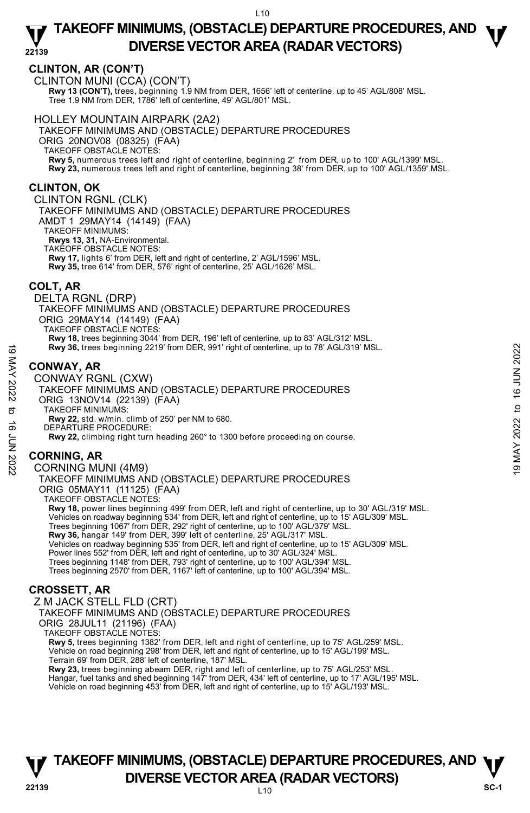## **CLINTON, AR (CON'T)**

CLINTON MUNI (CCA) (CON'T) **Rwy 13 (CON'T),** trees, beginning 1.9 NM from DER, 1656' left of centerline, up to 45' AGL/808' MSL. Tree 1.9 NM from DER, 1786' left of centerline, 49' AGL/801' MSL.

### HOLLEY MOUNTAIN AIRPARK (2A2)

TAKEOFF MINIMUMS AND (OBSTACLE) DEPARTURE PROCEDURES ORIG 20NOV08 (08325) (FAA) TAKEOFF OBSTACLE NOTES: **Rwy 5,** numerous trees left and right of centerline, beginning 2' from DER, up to 100' AGL/1399' MSL. **Rwy 23,** numerous trees left and right of centerline, beginning 38' from DER, up to 100' AGL/1359' MSL.

## **CLINTON, OK**

CLINTON RGNL (CLK)

TAKEOFF MINIMUMS AND (OBSTACLE) DEPARTURE PROCEDURES AMDT 1 29MAY14 (14149) (FAA) TAKEOFF MINIMUMS:

**Rwys 13, 31,** NA-Environmental. TAKEOFF OBSTACLE NOTES:

**Rwy 17,** lights 6' from DER, left and right of centerline, 2' AGL/1596' MSL.

**Rwy 35,** tree 614' from DER, 576' right of centerline, 25' AGL/1626' MSL.

## **COLT, AR**

DELTA RGNL (DRP) TAKEOFF MINIMUMS AND (OBSTACLE) DEPARTURE PROCEDURES ORIG 29MAY14 (14149) (FAA) TAKEOFF OBSTACLE NOTES: **Rwy 18,** trees beginning 3044' from DER, 196' left of centerline, up to 83' AGL/312' MSL.

**Rwy 36,** trees beginning 2219' from DER, 991' right of centerline, up to 78' AGL/319' MSL.

## **CONWAY, AR**

CONWAY RGNL (CXW) TAKEOFF MINIMUMS AND (OBSTACLE) DEPARTURE PROCEDURES ORIG 13NOV14 (22139) (FAA) TAKEOFF MINIMUMS: **Rwy 22,** std. w/min. climb of 250' per NM to 680. DEPARTURE PROCEDURE: **Rwy 22,** climbing right turn heading 260° to 1300 before proceeding on course. **EXECUTE 19 MAY 36, trees beginning 2219' from DER, 991' right of centerline, up to 78' AGL/319' MSL.**<br> **CONWAY, AR**<br>
CONWAY RGNL (CXW)<br>
TAKEOFF MINIMUMS AND (OBSTACLE) DEPARTURE PROCEDURES<br>
ORIG 13NOV14 (22139) (FAA)<br>
T

## **CORNING, AR**

CORNING MUNI (4M9) TAKEOFF MINIMUMS AND (OBSTACLE) DEPARTURE PROCEDURES ORIG 05MAY11 (11125) (FAA) TAKEOFF OBSTACLE NOTES:

**Rwy 18,** power lines beginning 499' from DER, left and right of centerline, up to 30' AGL/319' MSL. Vehicles on roadway beginning 534' from DER, left and right of centerline, up to 15' AGL/309' MSL.<br>Trees beginning 1067' from DER, 292' right of centerline, up to 100' AGL/379' MSL.<br>**Rwy 36,** hangar 149' from DER, 399' lef Vehicles on roadway beginning 535' from DER, left and right of centerline, up to 15' AGL/309' MSL. Power lines 552' from DER, left and right of centerline, up to 30' AGL/324' MSL. Trees beginning 1148' from DER, 793' right of centerline, up to 100' AGL/394' MSL. Trees beginning 2570' from DER, 1167' left of centerline, up to 100' AGL/394' MSL.

## **CROSSETT, AR**

Z M JACK STELL FLD (CRT) TAKEOFF MINIMUMS AND (OBSTACLE) DEPARTURE PROCEDURES ORIG 28JUL11 (21196) (FAA) TAKEOFF OBSTACLE NOTES:

**Rwy 5,** trees beginning 1382' from DER, left and right of centerline, up to 75' AGL/259' MSL. Vehicle on road beginning 298' from DER, left and right of centerline, up to 15' AGL/199' MSL. Terrain 69' from DER, 288' left of centerline, 187' MSL.

**Rwy 23,** trees beginning abeam DER, right and left of centerline, up to 75' AGL/253' MSL.<br>Hangar, fuel tanks and shed beginning 147' from DER, 434' left of centerline, up to 17' AGL/195' MSL. Vehicle on road beginning 453' from DER, left and right of centerline, up to 15' AGL/193' MSL.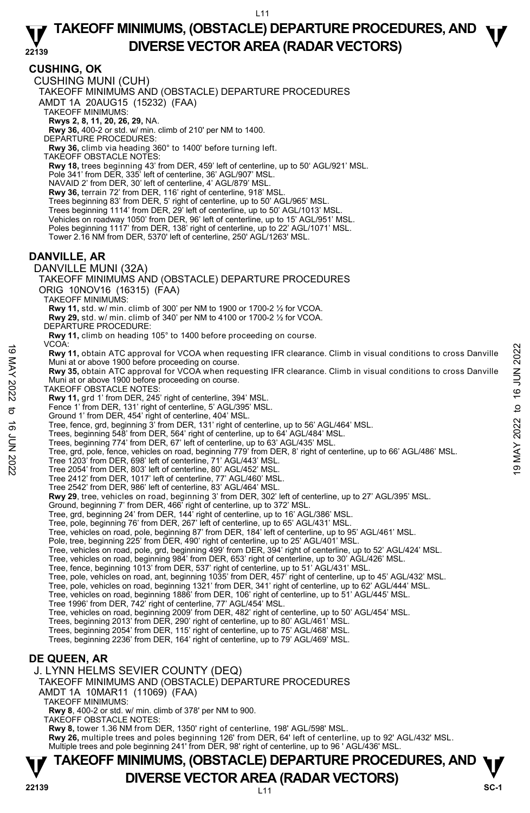**CUSHING, OK**  CUSHING MUNI (CUH) TAKEOFF MINIMUMS AND (OBSTACLE) DEPARTURE PROCEDURES AMDT 1A 20AUG15 (15232) (FAA) TAKEOFF MINIMUMS: **Rwys 2, 8, 11, 20, 26, 29,** NA. **Rwy 36,** 400-2 or std. w/ min. climb of 210' per NM to 1400. DEPARTURE PROCEDURES: **Rwy 36,** climb via heading 360° to 1400' before turning left. TAKEOFF OBSTACLE NOTES: **Rwy 18,** trees beginning 43' from DER, 459' left of centerline, up to 50' AGL/921' MSL. Pole 341' from DER, 335' left of centerline, 36' AGL/907' MSL. NAVAID 2' from DER, 30' left of centerline, 4' AGL/879' MSL. **Rwy 36,** terrain 72' from DER, 116' right of centerline, 918' MSL. Trees beginning 83' from DER, 5' right of centerline, up to 50' AGL/965' MSL. Trees beginning 1114' from DER, 29' left of centerline, up to 50' AGL/1013' MSL. Vehicles on roadway 1050' from DER, 96' left of centerline, up to 15' AGL/951' MSL. Poles beginning 1117' from DER, 138' right of centerline, up to 22' AGL/1071' MSL. Tower 2.16 NM from DER, 5370' left of centerline, 250' AGL/1263' MSL. **DANVILLE, AR**  DANVILLE MUNI (32A) TAKEOFF MINIMUMS AND (OBSTACLE) DEPARTURE PROCEDURES ORIG 10NOV16 (16315) (FAA) TAKEOFF MINIMUMS: **Rwy 11,** std. w/ min. climb of 300' per NM to 1900 or 1700-2 ½ for VCOA. **Rwy 29,** std. w/ min. climb of 340' per NM to 4100 or 1700-2 ½ for VCOA. DEPARTURE PROCEDURE: **Rwy 11,** climb on heading 105° to 1400 before proceeding on course. VCOA: **Rwy 11,** obtain ATC approval for VCOA when requesting IFR clearance. Climb in visual conditions to cross Danville Muni at or above 1900 before proceeding on course.<br>**Rwy 35,** obtain ATC approval for VCOA when requesting IFR clearance. Climb in visual conditions to cross Danville Muni at or above 1900 before proceeding on course. TAKEOFF OBSTACLE NOTES: **Rwy 11,** grd 1' from DER, 245' right of centerline, 394' MSL. Fence 1' from DER, 131' right of centerline, 5' AGL/395' MSL. Ground 1' from DER, 454' right of centerline, 404' MSL. Tree, fence, grd, beginning 3' from DER, 131' right of centerline, up to 56' AGL/464' MSL. Trees, beginning 548' from DER, 564' right of centerline, up to 64' AGL/484' MSL. Trees, beginning 774' from DER, 67' left of centerline, up to 63' AGL/435' MSL. Tree, grd, pole, fence, vehicles on road, beginning 779' from DER, 8' right of centerline, up to 66' AGL/486' MSL. Tree 1203' from DER, 698' left of centerline, 71' AGL/443' MSL. Tree 2054' from DER, 803' left of centerline, 80' AGL/452' MSL. Tree 2412' from DER, 1017' left of centerline, 77' AGL/460' MSL. Tree 2542' from DER, 986' left of centerline, 83' AGL/464' MSL. **Rwy 29**, tree, vehicles on road, beginning 3' from DER, 302' left of centerline, up to 27' AGL/395' MSL. Ground, beginning 7' from DER, 466' right of centerline, up to 372' MSL. Tree, grd, beginning 24' from DER, 144' right of centerline, up to 16' AGL/386' MSL. Tree, pole, beginning 76' from DER, 267' left of centerline, up to 65' AGL/431' MSL. Tree, vehicles on road, pole, beginning 87' from DER, 184' left of centerline, up to 95' AGL/461' MSL. Pole, tree, beginning 225' from DER, 490' right of centerline, up to 25' AGL/401' MSL. Tree, vehicles on road, pole, grd, beginning 499' from DER, 394' right of centerline, up to 52' AGL/424' MSL.<br>Tree, vehicles on road, beginning 984' from DER, 653' right of centerline, up to 30' AGL/426' MSL.<br>Tree, fence, Tree, pole, vehicles on road, ant, beginning 1035' from DER, 457' right of centerline, up to 45' AGL/432' MSL.<br>Tree, pole, vehicles on road, beginning 1321' from DER, 341' right of centerline, up to 62' AGL/444' MSL.<br>Tree, Tree 1996' from DER, 742' right of centerline, 77' AGL/454' MSL. Tree, vehicles on road, beginning 2009' from DER, 482' right of centerline, up to 50' AGL/454' MSL.<br>Trees, beginning 2013' from DER, 290' right of centerline, up to 80' AGL/461' MSL. Trees, beginning 2054' from DER, 115' right of centerline, up to 75' AGL/468' MSL. Trees, beginning 2236' from DER, 164' right of centerline, up to 79' AGL/469' MSL. **DE QUEEN, AR**  J. LYNN HELMS SEVIER COUNTY (DEQ) TAKEOFF MINIMUMS AND (OBSTACLE) DEPARTURE PROCEDURES AMDT 1A 10MAR11 (11069) (FAA) TAKEOFF MINIMUMS: **Rwy 8**, 400-2 or std. w/ min. climb of 378' per NM to 900. TAKEOFF OBSTACLE NOTES: 19 VCOA when requesting IFR clearance. Climb in visual conditions to cross Danville<br>
Muni at or above 1900 before proceeding on course.<br>
Nuni at or above 1900 before proceeding on course.<br>
Nuni at or above 1900 before pro

**Rwy 8,** tower 1.36 NM from DER, 1350' right of centerline, 198' AGL/598' MSL. **Rwy 26,** multiple trees and poles beginning 126' from DER, 64' left of centerline, up to 92' AGL/432' MSL.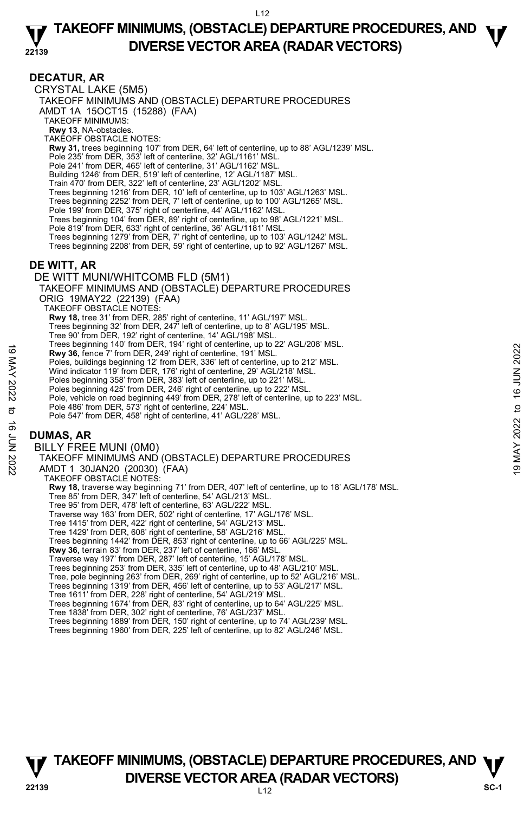### **DECATUR, AR**

CRYSTAL LAKE (5M5) TAKEOFF MINIMUMS AND (OBSTACLE) DEPARTURE PROCEDURES AMDT 1A 15OCT15 (15288) (FAA) TAKEOFF MINIMUMS: **Rwy 13**, NA-obstacles. TAKEOFF OBSTACLE NOTES: **Rwy 31,** trees beginning 107' from DER, 64' left of centerline, up to 88' AGL/1239' MSL. Pole 235' from DER, 353' left of centerline, 32' AGL/1161' MSL. Pole 241' from DER, 465' left of centerline, 31' AGL/1162' MSL. Building 1246' from DER, 519' left of centerline, 12' AGL/1187' MSL. Train 470' from DER, 322' left of centerline, 23' AGL/1202' MSL. Trees beginning 1216' from DER, 10' left of centerline, up to 103' AGL/1263' MSL. Trees beginning 2252' from DER, 7' left of centerline, up to 100' AGL/1265' MSL. Pole 199' from DER, 375' right of centerline, 44' AGL/1162' MSL. Trees beginning 104' from DER, 89' right of centerline, up to 98' AGL/1221' MSL. Pole 819' from DER, 633' right of centerline, 36' AGL/1181' MSL. Trees beginning 1279' from DER, 7' right of centerline, up to 103' AGL/1242' MSL. Trees beginning 2208' from DER, 59' right of centerline, up to 92' AGL/1267' MSL. **DE WITT, AR**  DE WITT MUNI/WHITCOMB FLD (5M1) TAKEOFF MINIMUMS AND (OBSTACLE) DEPARTURE PROCEDURES ORIG 19MAY22 (22139) (FAA) TAKEOFF OBSTACLE NOTES: **Rwy 18,** tree 31' from DER, 285' right of centerline, 11' AGL/197' MSL. Trees beginning 32' from DER, 247' left of centerline, up to 8' AGL/195' MSL. Tree 90' from DER, 192' right of centerline, 14' AGL/198' MSL. Trees beginning 140' from DER, 194' right of centerline, up to 22' AGL/208' MSL. **Rwy 36,** fence 7' from DER, 249' right of centerline, 191' MSL. Poles, buildings beginning 12' from DER, 336' left of centerline, up to 212' MSL. Wind indicator 119' from DER, 176' right of centerline, 29' AGL/218' MSL. Poles beginning 358' from DER, 383' left of centerline, up to 221' MSL. Poles beginning 425' from DER, 246' right of centerline, up to 222' MSL. Pole, vehicle on road beginning 449' from DER, 278' left of centerline, up to 223' MSL. Pole 486' from DER, 573' right of centerline, 224' MSL. Pole 547' from DER, 458' right of centerline, 41' AGL/228' MSL. **DUMAS, AR**  BILLY FREE MUNI (0M0) TAKEOFF MINIMUMS AND (OBSTACLE) DEPARTURE PROCEDURES AMDT 1 30JAN20 (20030) (FAA) 19 May 36, fence 7' from DER, 249' right of centerline, 191 MSL.<br>
The solutions beginning 12' from DER, 336' left of centerline, up to 212' MSL.<br>
With indicator 119 'from DER, 176' right of centerline, up to 212' MSL.<br>
Wi

TAKEOFF OBSTACLE NOTES:

**Rwy 18,** traverse way beginning 71' from DER, 407' left of centerline, up to 18' AGL/178' MSL.<br>Tree 85' from DER, 347' left of centerline, 54' AGL/213' MSL. Tree 95' from DER, 478' left of centerline, 63' AGL/222' MSL. Traverse way 163' from DER, 502' right of centerline, 17' AGL/176' MSL. Tree 1415' from DER, 422' right of centerline, 54' AGL/213' MSL. Tree 1429' from DER, 608' right of centerline, 58' AGL/216' MSL. Trees beginning 1442' from DER, 853' right of centerline, up to 66' AGL/225' MSL. **Rwy 36,** terrain 83' from DER, 237' left of centerline, 166' MSL. Traverse way 197' from DER, 287' left of centerline, 15' AGL/178' MSL. Trees beginning 253' from DER, 335' left of centerline, up to 48' AGL/210' MSL. Tree, pole beginning 263' from DER, 269' right of centerline, up to 52' AGL/216' MSL. Trees beginning 1319' from DER, 456' left of centerline, up to 53' AGL/217' MSL. Tree 1611' from DER, 228' right of centerline, 54' AGL/219' MSL. Trees beginning 1674' from DER, 83' right of centerline, up to 64' AGL/225' MSL. Tree 1838' from DER, 302' right of centerline, 76' AGL/237' MSL. Trees beginning 1889' from DER, 150' right of centerline, up to 74' AGL/239' MSL. Trees beginning 1960' from DER, 225' left of centerline, up to 82' AGL/246' MSL.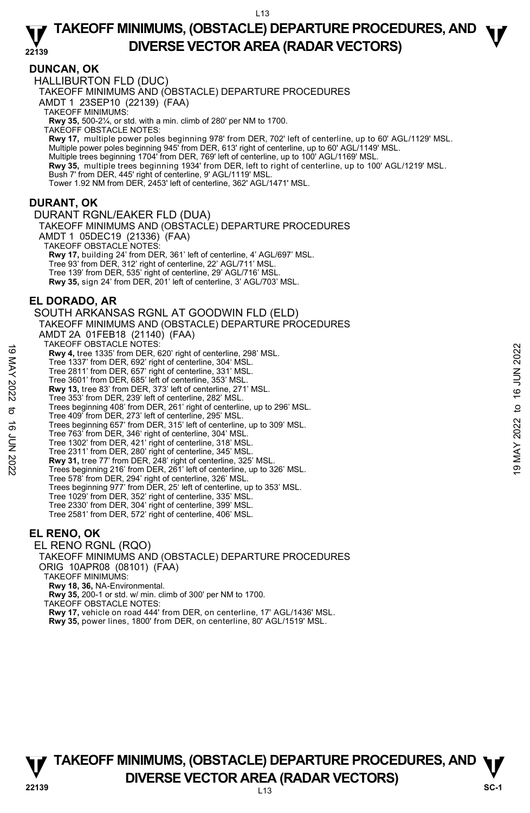### **DUNCAN, OK**

HALLIBURTON FLD (DUC)

TAKEOFF MINIMUMS AND (OBSTACLE) DEPARTURE PROCEDURES

AMDT 1 23SEP10 (22139) (FAA)

TAKEOFF MINIMUMS:

**Rwy 35,** 500-2¼, or std. with a min. climb of 280' per NM to 1700. TAKEOFF OBSTACLE NOTES:

**Rwy 17,** multiple power poles beginning 978' from DER, 702' left of centerline, up to 60' AGL/1129' MSL. Multiple power poles beginning 945' from DER, 613' right of centerline, up to 60' AGL/1149' MSL. Multiple trees beginning 1704' from DER, 769' left of centerline, up to 100' AGL/1169' MSL.<br>**Rwy 35,** multiple trees beginning 1934' from DER, left to right of centerline, up to 100' AGL/1219' MSL.

Bush 7' from DER, 445' right of centerline, 9' AGL/1119' MSL.

Tower 1.92 NM from DER, 2453' left of centerline, 362' AGL/1471' MSL.

### **DURANT, OK**

DURANT RGNL/EAKER FLD (DUA) TAKEOFF MINIMUMS AND (OBSTACLE) DEPARTURE PROCEDURES AMDT 1 05DEC19 (21336) (FAA) TAKEOFF OBSTACLE NOTES: **Rwy 17,** building 24' from DER, 361' left of centerline, 4' AGL/697' MSL. Tree 93' from DER, 312' right of centerline, 22' AGL/711' MSL. Tree 139' from DER, 535' right of centerline, 29' AGL/716' MSL. **Rwy 35,** sign 24' from DER, 201' left of centerline, 3' AGL/703' MSL.

## **EL DORADO, AR**

SOUTH ARKANSAS RGNL AT GOODWIN FLD (ELD) TAKEOFF MINIMUMS AND (OBSTACLE) DEPARTURE PROCEDURES AMDT 2A 01FEB18 (21140) (FAA) TAKEOFF OBSTACLE NOTES: **Rwy 4,** tree 1335' from DER, 620' right of centerline, 298' MSL. Tree 1337' from DER, 692' right of centerline, 304' MSL. Tree 2811' from DER, 657' right of centerline, 331' MSL. Tree 3601' from DER, 685' left of centerline, 353' MSL. **Rwy 13,** tree 83' from DER, 373' left of centerline, 271' MSL. Tree 353' from DER, 239' left of centerline, 282' MSL. Trees beginning 408' from DER, 261' right of centerline, up to 296' MSL. Tree 409' from DER, 273' left of centerline, 295' MSL. Trees beginning 657' from DER, 315' left of centerline, up to 309' MSL. Tree 763' from DER, 346' right of centerline, 304' MSL. Tree 1302' from DER, 421' right of centerline, 318' MSL. Tree 2311' from DER, 280' right of centerline, 345' MSL. **Rwy 31,** tree 77' from DER, 248' right of centerline, 325' MSL.<br>Trees beginning 216' from DER, 261' left of centerline, up to 326' MSL. Tree 578' from DER, 294' right of centerline, 326' MSL. Trees beginning 977' from DER, 25' left of centerline, up to 353' MSL. Tree 1029' from DER, 352' right of centerline, 335' MSL. Tree 2330' from DER, 304' right of centerline, 399' MSL. Tree 2581' from DER, 572' right of centerline, 406' MSL. **EL RENO, OK**  EL RENO RGNL (RQO) HALCH WAS UNITY UNISH (Search VITES, 620 right of centerline, 298' MSL.<br>
Tree 2811' from DER, 692' right of centerline, 304' MSL.<br>
Tree 2801' from DER, 657' right of centerline, 353' MSL.<br>
Tree 380' from DER, 658' left of

TAKEOFF MINIMUMS AND (OBSTACLE) DEPARTURE PROCEDURES ORIG 10APR08 (08101) (FAA) TAKEOFF MINIMUMS: **Rwy 18, 36,** NA-Environmental. **Rwy 35,** 200-1 or std. w/ min. climb of 300' per NM to 1700. TAKEOFF OBSTACLE NOTES: **Rwy 17,** vehicle on road 444' from DER, on centerline, 17' AGL/1436' MSL. **Rwy 35,** power lines, 1800' from DER, on centerline, 80' AGL/1519' MSL.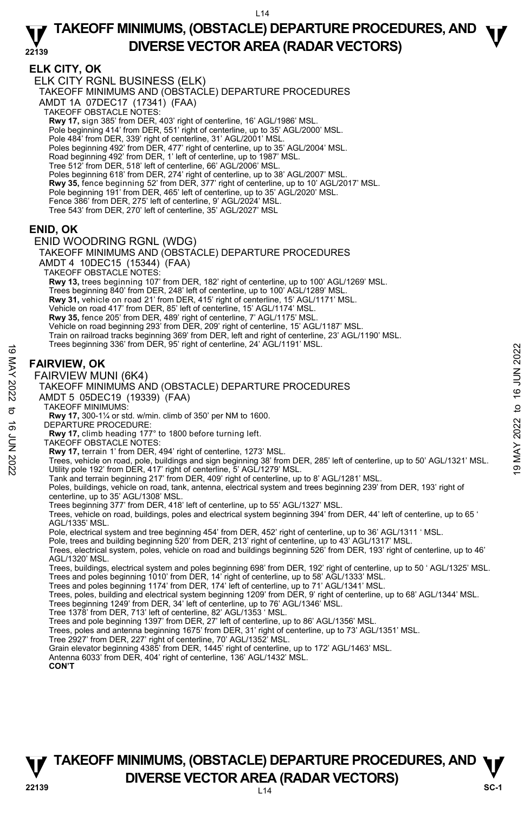## **ELK CITY, OK**

ELK CITY RGNL BUSINESS (ELK)

TAKEOFF MINIMUMS AND (OBSTACLE) DEPARTURE PROCEDURES

AMDT 1A 07DEC17 (17341) (FAA)

TAKEOFF OBSTACLE NOTES:

**Rwy 17,** sign 385' from DER, 403' right of centerline, 16' AGL/1986' MSL.

Pole beginning 414' from DER, 551' right of centerline, up to 35' AGL/2000' MSL.

Pole 484' from DER, 339' right of centerline, 31' AGL/2001' MSL. Poles beginning 492' from DER, 477' right of centerline, up to 35' AGL/2004' MSL.

- 
- Road beginning 492' from DER, 1' left of centerline, up to 1987' MSL. Tree 512' from DER, 518' left of centerline, 66' AGL/2006' MSL.

Poles beginning 618' from DER, 274' right of centerline, up to 38' AGL/2007' MSL.

- 
- **Rwy 35,** fence beginning 52' from DER, 377' right of centerline, up to 10' AGL/2017' MSL.<br>Pole beginning 191' from DER, 465' left of centerline, up to 35' AGL/2020' MSL.
- Fence 386' from DER, 275' left of centerline, 9' AGL/2024' MSL.
- Tree 543' from DER, 270' left of centerline, 35' AGL/2027' MSL

### **ENID, OK**

ENID WOODRING RGNL (WDG)

TAKEOFF MINIMUMS AND (OBSTACLE) DEPARTURE PROCEDURES AMDT 4 10DEC15 (15344) (FAA) TAKEOFF OBSTACLE NOTES: **Rwy 13,** trees beginning 107' from DER, 182' right of centerline, up to 100' AGL/1269' MSL. Trees beginning 840' from DER, 248' left of centerline, up to 100' AGL/1289' MSL. **Rwy 31,** vehicle on road 21' from DER, 415' right of centerline, 15' AGL/1171' MSL. Vehicle on road 417' from DER, 85' left of centerline, 15' AGL/1174' MSL. **Rwy 35,** fence 205' from DER, 489' right of centerline, 7' AGL/1175' MSL. Vehicle on road beginning 293' from DER, 209' right of centerline, 15' AGL/1187' MSL. Train on railroad tracks beginning 369' from DER, left and right of centerline, 23' AGL/1190' MSL.<br>Trees beginning 336' from DER, 95' right of centerline, 24' AGL/1191' MSL.

## **FAIRVIEW, OK**

#### FAIRVIEW MUNI (6K4)



- TAKEOFF MINIMUMS:
- **Rwy 17,** 300-1¼ or std. w/min. climb of 350' per NM to 1600.
- DEPARTURE PROCEDURE:
- **Rwy 17,** climb heading 177° to 1800 before turning left.
- TAKEOFF OBSTACLE NOTES:
- **Rwy 17,** terrain 1' from DER, 494' right of centerline, 1273' MSL.

These beginning 336 hom DER, 95 hight of centerline, 24 AGL/1191 MSL.<br> **FAIRVIEW MUNI (6K4)**<br>
TAKEOFF MINIMUMS AND (OBSTACLE) DEPARTURE PROCEDURES<br>
AND T5 O5DEC19 (19339) (FAA)<br>
TAKEOFF MINIMUMS:<br>
TAKEOFF MINIMUMS:<br>
TAKEO

Tank and terrain beginning 217' from DER, 409' right of centerline, up to 8' AGL/1281' MSL.

Poles, buildings, vehicle on road, tank, antenna, electrical system and trees beginning 239' from DER, 193' right of centerline, up to 35' AGL/1308' MSL.

Trees beginning 377' from DER, 418' left of centerline, up to 55' AGL/1327' MSL.

Trees, vehicle on road, buildings, poles and electrical system beginning 394' from DER, 44' left of centerline, up to 65 ' AGL/1335' MSL.

Pole, electrical system and tree beginning 454' from DER, 452' right of centerline, up to 36' AGL/1311 ' MSL.<br>Pole, trees and building beginning 520' from DER, 213' right of centerline, up to 43' AGL/1317' MSL.

Trees, electrical system, poles, vehicle on road and buildings beginning 526' from DER, 193' right of centerline, up to 46' AGL/1320' MSL.

Trees, buildings, electrical system and poles beginning 698' from DER, 192' right of centerline, up to 50 ' AGL/1325' MSL.

Trees and poles beginning 1010' from DER, 14' right of centerline, up to 58' AGL/1333' MSL. Trees and poles beginning 1174' from DER, 174' left of centerline, up to 71' AGL/1341' MSL.

Trees, poles, building and electrical system beginning 1209' from DER, 9' right of centerline, up to 68' AGL/1344' MSL.

- Trees beginning 1249' from DER, 34' left of centerline, up to 76' AGL/1346' MSL.
- Tree 1378' from DER, 713' left of centerline, 82' AGL/1353 ' MSL. Trees and pole beginning 1397' from DER, 27' left of centerline, up to 86' AGL/1356' MSL.

Trees, poles and antenna beginning 1675' from DER, 31' right of centerline, up to 73' AGL/1351' MSL.

Tree 2927' from DER, 227' right of centerline, 70' AGL/1352' MSL. Grain elevator beginning 4385' from DER, 1445' right of centerline, up to 172' AGL/1463' MSL.

Antenna 6033' from DER, 404' right of centerline, 136' AGL/1432' MSL.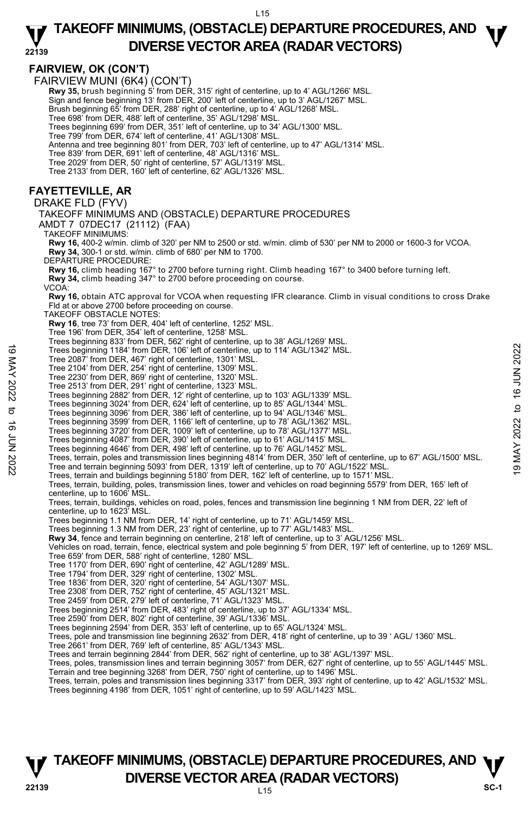$115$ 

## **TAKEOFF MINIMUMS, (OBSTACLE) DEPARTURE PROCEDURES, AND**  $\Psi$ **DIVERSE VECTOR AREA (RADAR VECTORS)**

#### **22139 FAIRVIEW, OK (CON'T)**  FAIRVIEW MUNI (6K4) (CON'T) **Rwy 35,** brush beginning 5' from DER, 315' right of centerline, up to 4' AGL/1266' MSL.<br>Sign and fence beginning 13' from DER, 200' left of centerline, up to 3' AGL/1267' MSL. Brush beginning 65' from DER, 288' right of centerline, up to 4' AGL/1268' MSL. Tree 698' from DER, 488' left of centerline, 35' AGL/1298' MSL. Trees beginning 699' from DER, 351' left of centerline, up to 34' AGL/1300' MSL. Tree 799' from DER, 674' left of centerline, 41' AGL/1308' MSL. Antenna and tree beginning 801' from DER, 703' left of centerline, up to 47' AGL/1314' MSL. Tree 839' from DER, 691' left of centerline, 48' AGL/1316' MSL. Tree 2029' from DER, 50' right of centerline, 57' AGL/1319' MSL. Tree 2133' from DER, 160' left of centerline, 62' AGL/1326' MSL. **FAYETTEVILLE, AR**  DRAKE FLD (FYV) TAKEOFF MINIMUMS AND (OBSTACLE) DEPARTURE PROCEDURES AMDT 7 07DEC17 (21112) (FAA) TAKEOFF MINIMUMS: **Rwy 16,** 400-2 w/min. climb of 320' per NM to 2500 or std. w/min. climb of 530' per NM to 2000 or 1600-3 for VCOA. **Rwy 34,** 300-1 or std. w/min. climb of 680' per NM to 1700. DEPARTURE PROCEDURE: **Rwy 16,** climb heading 167° to 2700 before turning right. Climb heading 167° to 3400 before turning left. **Rwy 34,** climb heading 347° to 2700 before proceeding on course. VCOA: **Rwy 16,** obtain ATC approval for VCOA when requesting IFR clearance. Climb in visual conditions to cross Drake Fld at or above 2700 before proceeding on course. TAKEOFF OBSTACLE NOTES: **Rwy 16**, tree 73' from DER, 404' left of centerline, 1252' MSL. Tree 196' from DER, 354' left of centerline, 1258' MSL. Trees beginning 833' from DER, 562' right of centerline, up to 38' AGL/1269' MSL. Trees beginning 1184' from DER, 106' left of centerline, up to 114' AGL/1342' MSL. Tree 2087' from DER, 467' right of centerline, 1301' MSL. Tree 2104' from DER, 254' right of centerline, 1309' MSL. Tree 2230' from DER, 869' right of centerline, 1320' MSL. Tree 2513' from DER, 291' right of centerline, 1323' MSL. Trees beginning 2882' from DER, 12' right of centerline, up to 103' AGL/1339' MSL. Trees beginning 3024' from DER, 624' left of centerline, up to 85' AGL/1344' MSL. Trees beginning 3096' from DER, 386' left of centerline, up to 94' AGL/1346' MSL. Trees beginning 3599' from DER, 1166' left of centerline, up to 78' AGL/1362' MSL. Trees beginning 3720' from DER, 1009' left of centerline, up to 78' AGL/1377' MSL. Trees beginning 4087' from DER, 390' left of centerline, up to 61' AGL/1415' MSL. Trees beginning 4646' from DER, 498' left of centerline, up to 76' AGL/1452' MSL. Trees beginning 1184' from DER, 106' left of centerline, up to 114' AGL/1342' MSL.<br>
Tree 2007' from DER, 467' right of centerline, 1301' MSL.<br>
Tree 2104' from DER, 294' right of centerline, 1303' MSL.<br>
Tree 2513' from DER Trees, terrain and buildings beginning 5180' from DER, 162' left of centerline, up to 1571' MSL. Trees, terrain, building, poles, transmission lines, tower and vehicles on road beginning 5579' from DER, 165' left of centerline, up to 1606' MSL. Trees, terrain, buildings, vehicles on road, poles, fences and transmission line beginning 1 NM from DER, 22' left of centerline, up to 1623' MSL. Trees beginning 1.1 NM from DER, 14' right of centerline, up to 71' AGL/1459' MSL. Trees beginning 1.3 NM from DER, 23' right of centerline, up to 77' AGL/1483' MSL.  **Rwy 34**, fence and terrain beginning on centerline, 218' left of centerline, up to 3' AGL/1256' MSL. Vehicles on road, terrain, fence, electrical system and pole beginning 5' from DER, 197' left of centerline, up to 1269' MSL. Tree 659' from DER, 588' right of centerline, 1280' MSL. Tree 1170' from DER, 690' right of centerline, 42' AGL/1289' MSL. Tree 1794' from DER, 329' right of centerline, 1302' MSL. Tree 1836' from DER, 320' right of centerline, 54' AGL/1307' MSL. Tree 2308' from DER, 752' right of centerline, 45' AGL/1321' MSL. Tree 2459' from DER, 279' left of centerline, 71' AGL/1323' MSL. Trees beginning 2514' from DER, 483' right of centerline, up to 37' AGL/1334' MSL. Tree 2590' from DER, 802' right of centerline, 39' AGL/1336' MSL. Trees beginning 2594' from DER, 353' left of centerline, up to 65' AGL/1324' MSL. Trees, pole and transmission line beginning 2632' from DER, 418' right of centerline, up to 39 ' AGL/ 1360' MSL. Tree 2661' from DER, 769' left of centerline, 85' AGL/1343' MSL. Trees and terrain beginning 2844' from DER, 562' right of centerline, up to 38' AGL/1397' MSL. Trees, poles, transmission lines and terrain beginning 3057' from DER, 627' right of centerline, up to 55' AGL/1445' MSL. Terrain and tree beginning 3268' from DER, 750' right of centerline, up to 1496' MSL. Trees, terrain, poles and transmission lines beginning 3317' from DER, 393' right of centerline, up to 42' AGL/1532' MSL. Trees beginning 4198' from DER, 1051' right of centerline, up to 59' AGL/1423' MSL.

## **TAKEOFF MINIMUMS, (OBSTACLE) DEPARTURE PROCEDURES, AND**  $\Psi$ **P**<br>22139 **DIVERSE VECTOR AREA (RADAR VECTORS)** SC-1

 $L15$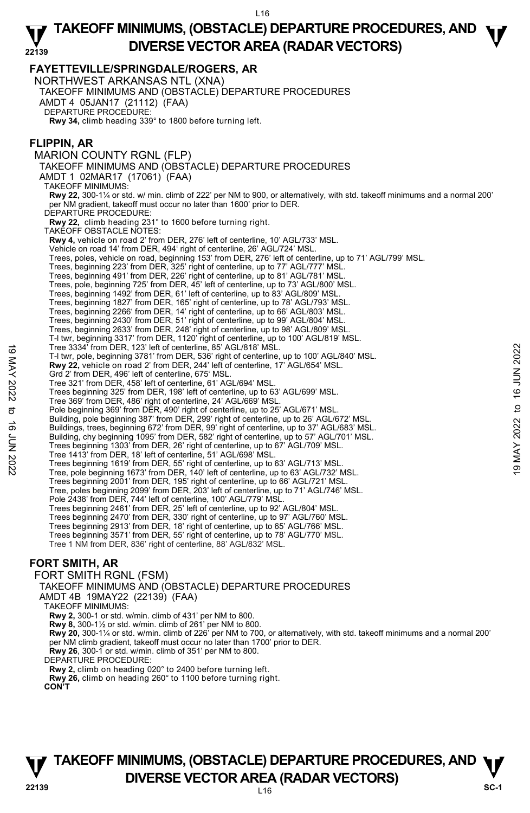**22139 FAYETTEVILLE/SPRINGDALE/ROGERS, AR**  NORTHWEST ARKANSAS NTL (XNA) TAKEOFF MINIMUMS AND (OBSTACLE) DEPARTURE PROCEDURES AMDT 4 05JAN17 (21112) (FAA) DEPARTURE PROCEDURE: **Rwy 34,** climb heading 339° to 1800 before turning left. **FLIPPIN, AR**  MARION COUNTY RGNL (FLP) TAKEOFF MINIMUMS AND (OBSTACLE) DEPARTURE PROCEDURES AMDT 1 02MAR17 (17061) (FAA) TAKEOFF MINIMUMS: **Rwy 22,** 300-1¼ or std. w/ min. climb of 222' per NM to 900, or alternatively, with std. takeoff minimums and a normal 200' per NM gradient, takeoff must occur no later than 1600' prior to DER. DEPARTURE PROCEDURE **Rwy 22,** climb heading 231° to 1600 before turning right. TAKEOFF OBSTACLE NOTES: **Rwy 4,** vehicle on road 2' from DER, 276' left of centerline, 10' AGL/733' MSL. Vehicle on road 14' from DER, 494' right of centerline, 26' AGL/724' MSL. Trees, poles, vehicle on road, beginning 153' from DER, 276' left of centerline, up to 71' AGL/799' MSL. Trees, beginning 223' from DER, 325' right of centerline, up to 77' AGL/777' MSL. Trees, beginning 491' from DER, 226' right of centerline, up to 81' AGL/781' MSL. Trees, pole, beginning 725' from DER, 45' left of centerline, up to 73' AGL/800' MSL. Trees, beginning 1492' from DER, 61' left of centerline, up to 83' AGL/809' MSL. Trees, beginning 1827' from DER, 165' right of centerline, up to 78' AGL/793' MSL. Trees, beginning 2266' from DER, 14' right of centerline, up to 66' AGL/803' MSL. Trees, beginning 2430' from DER, 51' right of centerline, up to 99' AGL/804' MSL. Trees, beginning 2633' from DER, 248' right of centerline, up to 98' AGL/809' MSL. T-l twr, beginning 3317' from DER, 1120' right of centerline, up to 100' AGL/819' MSL. Tree 3334' from DER, 123' left of centerline, 85' AGL/818' MSL. T-l twr, pole, beginning 3781' from DER, 536' right of centerline, up to 100' AGL/840' MSL. **Rwy 22,** vehicle on road 2' from DER, 244' left of centerline, 17' AGL/654' MSL. Grd 2' from DER, 496' left of centerline, 675' MSL. Tree 321' from DER, 458' left of centerline, 61' AGL/694' MSL. Trees beginning 325' from DER, 198' left of centerline, up to 63' AGL/699' MSL. Tree 369' from DER, 486' right of centerline, 24' AGL/669' MSL. Pole beginning 369' from DER, 490' right of centerline, up to 25' AGL/671' MSL. Building, pole beginning 387' from DER, 299' right of centerline, up to 26' AGL/672' MSL. Buildings, trees, beginning 672' from DER, 99' right of centerline, up to 37' AGL/683' MSL. Building, chy beginning 1095' from DER, 582' right of centerline, up to 57' AGL/701' MSL. Trees beginning 1303' from DER, 26' right of centerline, up to 67' AGL/709' MSL. Tree 1413' from DER, 18' left of centerline, 51' AGL/698' MSL. Trees beginning 1619' from DER, 55' right of centerline, up to 63' AGL/713' MSL. Tree, pole beginning 1673' from DER, 140' left of centerline, up to 63' AGL/732' MSL. Trees beginning 2001' from DER, 195' right of centerline, up to 66' AGL/721' MSL. Tree, poles beginning 2099' from DER, 203' left of centerline, up to 71' AGL/746' MSL. Pole 2438' from DER, 744' left of centerline, 100' AGL/779' MSL. Trees beginning 2461' from DER, 25' left of centerline, up to 92' AGL/804' MSL. Trees beginning 2470' from DER, 330' right of centerline, up to 97' AGL/760' MSL.<br>Trees beginning 2913' from DER, 18' right of centerline, up to 65' AGL/766' MSL.<br>Trees beginning 3571' from DER, 55' right of centerline, up Tree 1 NM from DER, 836' right of centerline, 88' AGL/832' MSL. **FORT SMITH, AR**  Tree 3334' from DER, 123' left of centrine, 85' AGL/818' MSL.<br>
19 May 22, vehicle on road 2' from DER, 548' ight of centreline, up to 100' AGL/840' MSL.<br> **Ewy 22**, vehicle on road 2' from DER, 548' left of centerline, 17'

FORT SMITH RGNL (FSM)

TAKEOFF MINIMUMS AND (OBSTACLE) DEPARTURE PROCEDURES

AMDT 4B 19MAY22 (22139) (FAA)

TAKEOFF MINIMUMS:

**Rwy 2,** 300-1 or std. w/min. climb of 431' per NM to 800.

 **Rwy 8,** 300-1½ or std. w/min. climb of 261' per NM to 800.

 **Rwy 20,** 300-1¼ or std. w/min. climb of 226' per NM to 700, or alternatively, with std. takeoff minimums and a normal 200' per NM climb gradient, takeoff must occur no later than 1700' prior to DER. **Rwy 26**, 300-1 or std. w/min. climb of 351' per NM to 800.

DEPARTURE PROCEDURE:

**Rwy 2,** climb on heading 020° to 2400 before turning left.

**Rwy 26,** climb on heading 260° to 1100 before turning right.

**CON'T** 

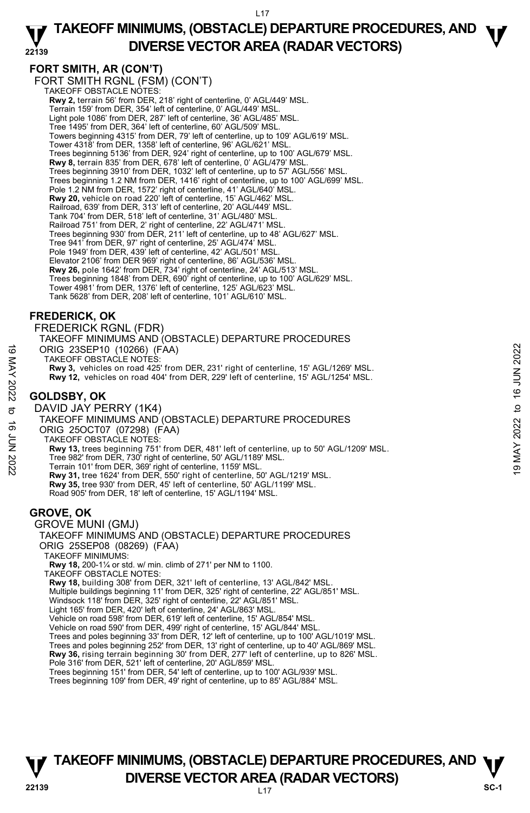#### **22139 TAKEOFF MINIMUMS, (OBSTACLE) DEPARTURE PROCEDURES, AND**  $\Psi$ **DIVERSE VECTOR AREA (RADAR VECTORS)**

## **FORT SMITH, AR (CON'T)**

FORT SMITH RGNL (FSM) (CON'T) TAKEOFF OBSTACLE NOTES: **Rwy 2,** terrain 56' from DER, 218' right of centerline, 0' AGL/449' MSL. Terrain 159' from DER, 354' left of centerline, 0' AGL/449' MSL. Light pole 1086' from DER, 287' left of centerline, 36' AGL/485' MSL. Tree 1495' from DER, 364' left of centerline, 60' AGL/509' MSL. Towers beginning 4315' from DER, 79' left of centerline, up to 109' AGL/619' MSL. Tower 4318' from DER, 1358' left of centerline, 96' AGL/621' MSL. Trees beginning 5136' from DER, 924' right of centerline, up to 100' AGL/679' MSL. **Rwy 8,** terrain 835' from DER, 678' left of centerline, 0' AGL/479' MSL. Trees beginning 3910' from DER, 1032' left of centerline, up to 57' AGL/556' MSL. Trees beginning 1.2 NM from DER, 1416' right of centerline, up to 100' AGL/699' MSL. Pole 1.2 NM from DER, 1572' right of centerline, 41' AGL/640' MSL. **Rwy 20,** vehicle on road 220' left of centerline, 15' AGL/462' MSL. Railroad, 639' from DER, 313' left of centerline, 20' AGL/449' MSL. Tank 704' from DER, 518' left of centerline, 31' AGL/480' MSL. Railroad 751' from DER, 2' right of centerline, 22' AGL/471' MSL. Trees beginning 930' from DER, 211' left of centerline, up to 48' AGL/627' MSL. Tree 941' from DER, 97' right of centerline, 25' AGL/474' MSL. Pole 1949' from DER, 439' left of centerline, 42' AGL/501' MSL. Elevator 2106' from DER 969' right of centerline, 86' AGL/536' MSL. **Rwy 26,** pole 1642' from DER, 734' right of centerline, 24' AGL/513' MSL. Trees beginning 1848' from DER, 690' right of centerline, up to 100' AGL/629' MSL. Tower 4981' from DER, 1376' left of centerline, 125' AGL/623' MSL. Tank 5628' from DER, 208' left of centerline, 101' AGL/610' MSL.

### **FREDERICK, OK**

FREDERICK RGNL (FDR) TAKEOFF MINIMUMS AND (OBSTACLE) DEPARTURE PROCEDURES ORIG 23SEP10 (10266) (FAA) TAKEOFF OBSTACLE NOTES: **Rwy 3,** vehicles on road 425' from DER, 231' right of centerline, 15' AGL/1269' MSL. **Rwy 12,** vehicles on road 404' from DER, 229' left of centerline, 15' AGL/1254' MSL. **GOLDSBY, OK**  DAVID JAY PERRY (1K4) TAKEOFF MINIMUMS AND (OBSTACLE) DEPARTURE PROCEDURES ORIG 25OCT07 (07298) (FAA) TAKEOFF OBSTACLE NOTES: **Rwy 13,** trees beginning 751' from DER, 481' left of centerline, up to 50' AGL/1209' MSL. Tree 982' from DER, 730' right of centerline, 50' AGL/1189' MSL. Terrain 101' from DER, 369' right of centerline, 1159' MSL. **Rwy 31,** tree 1624' from DER, 550' right of centerline, 50' AGL/1219' MSL. **Rwy 35,** tree 930' from DER, 45' left of centerline, 50' AGL/1199' MSL. Road 905' from DER, 18' left of centerline, 15' AGL/1194' MSL. **GROVE, OK**  GROVE MUNI (GMJ) TAKEOFF MINIMUMS AND (OBSTACLE) DEPARTURE PROCEDURES ORIG 23SEP10 (10266) (FAA)<br>
TAKEOFF OBSTACLE NOTES:<br>
Rwy 3, vehicles on road 404' from DER, 231' right of centerline, 15' AGL/1269' MSL.<br>
Rwy 3, vehicles on road 404' from DER, 229' left of centerline, 15' AGL/1254' MSL.<br>

ORIG 25SEP08 (08269) (FAA)

TAKEOFF MINIMUMS:

**Rwy 18,** 200-1¼ or std. w/ min. climb of 271' per NM to 1100.

TAKEOFF OBSTACLE NOTES:

**Rwy 18,** building 308' from DER, 321' left of centerline, 13' AGL/842' MSL.

- Multiple buildings beginning 11' from DER, 325' right of centerline, 22' AGL/851' MSL.
- Windsock 118' from DER, 325' right of centerline, 22' AGL/851' MSL.
- Light 165' from DER, 420' left of centerline, 24' AGL/863' MSL.

Vehicle on road 598' from DER, 619' left of centerline, 15' AGL/854' MSL.

Vehicle on road 590' from DER, 499' right of centerline, 15' AGL/844' MSL.

Trees and poles beginning 33' from DER, 12' left of centerline, up to 100' AGL/1019' MSL.

Trees and poles beginning 252' from DER, 13' right of centerline, up to 40' AGL/869' MSL. **Rwy 36,** rising terrain beginning 30' from DER, 277' left of centerline, up to 826' MSL. Pole 316' from DER, 521' left of centerline, 20' AGL/859' MSL.

Trees beginning 151' from DER, 54' left of centerline, up to 100' AGL/939' MSL.

Trees beginning 109' from DER, 49' right of centerline, up to 85' AGL/884' MSL.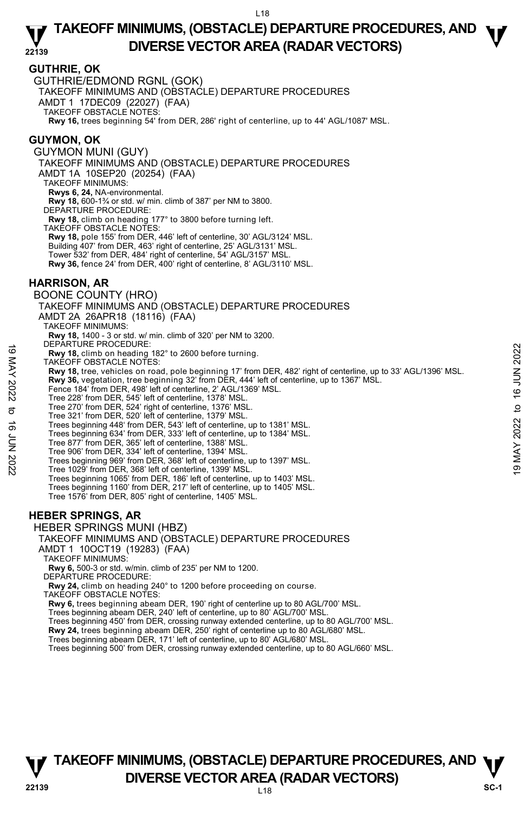### **GUTHRIE, OK**

GUTHRIE/EDMOND RGNL (GOK)

TAKEOFF MINIMUMS AND (OBSTACLE) DEPARTURE PROCEDURES

AMDT 1 17DEC09 (22027) (FAA) TAKEOFF OBSTACLE NOTES:

**Rwy 16,** trees beginning 54' from DER, 286' right of centerline, up to 44' AGL/1087' MSL.

### **GUYMON, OK**

GUYMON MUNI (GUY) TAKEOFF MINIMUMS AND (OBSTACLE) DEPARTURE PROCEDURES AMDT 1A 10SEP20 (20254) (FAA) TAKEOFF MINIMUMS: **Rwys 6, 24,** NA-environmental. **Rwy 18,** 600-1¾ or std. w/ min. climb of 387' per NM to 3800. DEPARTURE PROCEDURE: **Rwy 18,** climb on heading 177° to 3800 before turning left. TAKEOFF OBSTACLE NOTES: **Rwy 18,** pole 155' from DER, 446' left of centerline, 30' AGL/3124' MSL. Building 407' from DER, 463' right of centerline, 25' AGL/3131' MSL. Tower 532' from DER, 484' right of centerline, 54' AGL/3157' MSL. **Rwy 36,** fence 24' from DER, 400' right of centerline, 8' AGL/3110' MSL. **HARRISON, AR**  BOONE COUNTY (HRO) TAKEOFF MINIMUMS AND (OBSTACLE) DEPARTURE PROCEDURES AMDT 2A 26APR18 (18116) (FAA) TAKEOFF MINIMUMS: **Rwy 18,** 1400 - 3 or std. w/ min. climb of 320' per NM to 3200. DEPARTURE PROCEDURE: **Rwy 18,** climb on heading 182° to 2600 before turning. TAKEOFF OBSTACLE NOTES: **Rwy 18,** tree, vehicles on road, pole beginning 17' from DER, 482' right of centerline, up to 33' AGL/1396' MSL. **Rwy 36,** vegetation, tree beginning 32' from DER, 444' left of centerline, up to 1367' MSL. Fence 184' from DER, 498' left of centerline, 2' AGL/1369' MSL. Tree 228' from DER, 545' left of centerline, 1378' MSL. Tree 270' from DER, 524' right of centerline, 1376' MSL. Tree 321' from DER, 520' left of centerline, 1379' MSL. Trees beginning 448' from DER, 543' left of centerline, up to 1381' MSL. Trees beginning 634' from DER, 333' left of centerline, up to 1384' MSL. Tree 877' from DER, 365' left of centerline, 1388' MSL. Tree 906' from DER, 334' left of centerline, 1394' MSL. Trees beginning 969' from DER, 368' left of centerline, up to 1397' MSL. Tree 1029' from DER, 368' left of centerline, 1399' MSL. Trees beginning 1065' from DER, 186' left of centerline, up to 1403' MSL. Trees beginning 1160' from DER, 217' left of centerline, up to 1405' MSL. Tree 1576' from DER, 805' right of centerline, 1405' MSL. **HEBER SPRINGS, AR**  HEBER SPRINGS MUNI (HBZ) TAKEOFF MINIMUMS AND (OBSTACLE) DEPARTURE PROCEDURES AMDT 1 10OCT19 (19283) (FAA) TAKEOFF MINIMUMS: **Rwy 6,** 500-3 or std. w/min. climb of 235' per NM to 1200. DEPARTURE PROCEDURE: 19 METHANTURE PROCEDUTHE.<br>
TAKEOFF OBSTACLE NOTES:<br>
TAKEOFF OBSTACLE NOTES:<br> **Rwy 18,** tere, vehicles on road, pole beginning 17' from DER, 482' right of centerline, up to 33' AGL/1396' MSL.<br> **Rwy 36**, vegetation, tree be

**Rwy 24,** climb on heading 240° to 1200 before proceeding on course.

TAKEOFF OBSTACLE NOTES:

**Rwy 6,** trees beginning abeam DER, 190' right of centerline up to 80 AGL/700' MSL.

Trees beginning abeam DER, 240' left of centerline, up to 80' AGL/700' MSL. Trees beginning 450' from DER, crossing runway extended centerline, up to 80 AGL/700' MSL.

**Rwy 24,** trees beginning abeam DER, 250' right of centerline up to 80 AGL/680' MSL.

Trees beginning abeam DER, 171' left of centerline, up to 80' AGL/680' MSL.

Trees beginning 500' from DER, crossing runway extended centerline, up to 80 AGL/660' MSL.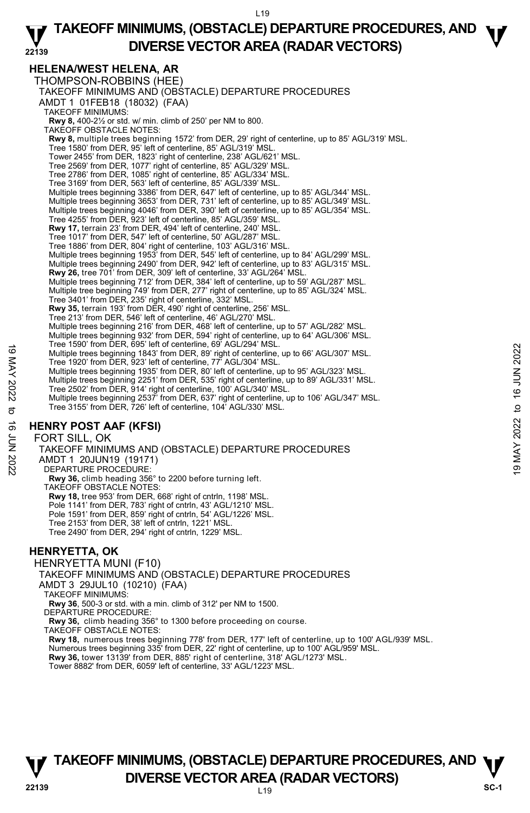### **22139 TAKEOFF MINIMUMS, (OBSTACLE) DEPARTURE PROCEDURES, AND**  $\Psi$ **DIVERSE VECTOR AREA (RADAR VECTORS)**

## **HELENA/WEST HELENA, AR**

THOMPSON-ROBBINS (HEE) TAKEOFF MINIMUMS AND (OBSTACLE) DEPARTURE PROCEDURES AMDT 1 01FEB18 (18032) (FAA) TAKEOFF MINIMUMS: **Rwy 8,** 400-2½ or std. w/ min. climb of 250' per NM to 800. TAKEOFF OBSTACLE NOTES: Rwy 8, multiple trees beginning 1572' from DER, 29' right of centerline, up to 85' AGL/319' MSL. Tree 1580' from DER, 95' left of centerline, 85' AGL/319' MSL. Tower 2455' from DER, 1823' right of centerline, 238' AGL/621' MSL. Tree 2569' from DER, 1077' right of centerline, 85' AGL/329' MSL. Tree 2786' from DER, 1085' right of centerline, 85' AGL/334' MSL. Tree 3169' from DER, 563' left of centerline, 85' AGL/339' MSL. Multiple trees beginning 3386' from DER, 647' left of centerline, up to 85' AGL/344' MSL. Multiple trees beginning 3653' from DER, 731' left of centerline, up to 85' AGL/349' MSL. Multiple trees beginning 4046' from DER, 390' left of centerline, up to 85' AGL/354' MSL. Tree 4255' from DER, 923' left of centerline, 85' AGL/359' MSL. **Rwy 17,** terrain 23' from DER, 494' left of centerline, 240' MSL. Tree 1017' from DER, 547' left of centerline, 50' AGL/287' MSL. Tree 1886' from DER, 804' right of centerline, 103' AGL/316' MSL.<br>Multiple trees beginning 1953' from DER, 545' left of centerline, up to 84' AGL/299' MSL.<br>Multiple trees beginning 2490' from DER, 942' left of centerline, **Rwy 26,** tree 701' from DER, 309' left of centerline, 33' AGL/264' MSL. Multiple trees beginning 712' from DER, 384' left of centerline, up to 59' AGL/287' MSL. Multiple tree beginning 749' from DER, 277' right of centerline, up to 85' AGL/324' MSL. Tree 3401' from DER, 235' right of centerline, 332' MSL. **Rwy 35,** terrain 193' from DER, 490' right of centerline, 256' MSL. Tree 213' from DER, 546' left of centerline, 46' AGL/270' MSL. Multiple trees beginning 216' from DER, 468' left of centerline, up to 57' AGL/282' MSL. Multiple trees beginning 932' from DER, 594' right of centerline, up to 64' AGL/306' MSL. Tree 1590' from DER, 695' left of centerline, 69' AGL/294' MSL. Multiple trees beginning 1843' from DER, 89' right of centerline, up to 66' AGL/307' MSL. Tree 1920' from DER, 923' left of centerline, 77' AGL/304' MSL. Multiple trees beginning 1935' from DER, 80' left of centerline, up to 95' AGL/323' MSL. Multiple trees beginning 2251' from DER, 535' right of centerline, up to 89' AGL/331' MSL. Tree 2502' from DER, 914' right of centerline, 100' AGL/340' MSL. Multiple trees beginning 2537' from DER, 637' right of centerline, up to 106' AGL/347' MSL. Tree 3155' from DER, 726' left of centerline, 104' AGL/330' MSL. 19 Multiple trees beginning 1843' from DER, 89' right of centerline, up to 66' AGL/307' MSL.<br>
Tree 1920' from DER, 923' left of centerline, 77' AGL/304' MSL.<br>
Multiple trees beginning 1845' from DER, 89' right of centerli

## **HENRY POST AAF (KFSI)**

### FORT SILL, OK

TAKEOFF MINIMUMS AND (OBSTACLE) DEPARTURE PROCEDURES AMDT 1 20JUN19 (19171) DEPARTURE PROCEDURE: **Rwy 36,** climb heading 356° to 2200 before turning left. TAKEOFF OBSTACLE NOTES: **Rwy 18,** tree 953' from DER, 668' right of cntrln, 1198' MSL. Pole 1141' from DER, 783' right of cntrln, 43' AGL/1210' MSL. Pole 1591' from DER, 859' right of cntrln, 54' AGL/1226' MSL. Tree 2153' from DER, 38' left of cntrln, 1221' MSL. Tree 2490' from DER, 294' right of cntrln, 1229' MSL.

## **HENRYETTA, OK**

HENRYETTA MUNI (F10) TAKEOFF MINIMUMS AND (OBSTACLE) DEPARTURE PROCEDURES AMDT 3 29JUL10 (10210) (FAA) TAKEOFF MINIMUMS: **Rwy 36**, 500-3 or std. with a min. climb of 312' per NM to 1500. DEPARTURE PROCEDURE: **Rwy 36,** climb heading 356° to 1300 before proceeding on course. TAKEOFF OBSTACLE NOTES: **Rwy 18,** numerous trees beginning 778' from DER, 177' left of centerline, up to 100' AGL/939' MSL.<br>Numerous trees beginning 335' from DER, 22' right of centerline, up to 100' AGL/959' MSL. **Rwy 36,** tower 13139' from DER, 885' right of centerline, 318' AGL/1273' MSL. Tower 8882' from DER, 6059' left of centerline, 33' AGL/1223' MSL.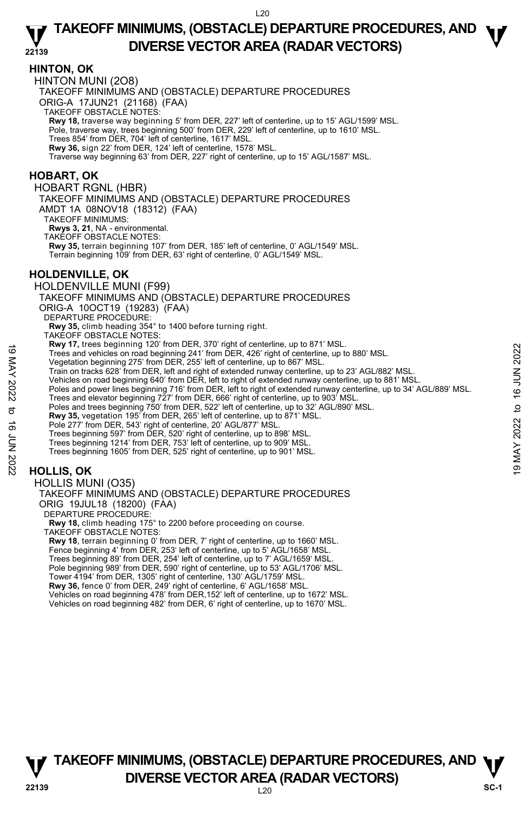### **HINTON, OK**

HINTON MUNI (2O8)

TAKEOFF MINIMUMS AND (OBSTACLE) DEPARTURE PROCEDURES

ORIG-A 17JUN21 (21168) (FAA)

TAKEOFF OBSTACLE NOTES:

**Rwy 18,** traverse way beginning 5' from DER, 227' left of centerline, up to 15' AGL/1599' MSL.<br>Pole, traverse way, trees beginning 500' from DER, 229' left of centerline, up to 1610' MSL.

Trees 854' from DER, 704' left of centerline, 1617' MSL.

**Rwy 36,** sign 22' from DER, 124' left of centerline, 1578' MSL.

Traverse way beginning 63' from DER, 227' right of centerline, up to 15' AGL/1587' MSL.

### **HOBART, OK**

HOBART RGNL (HBR)

TAKEOFF MINIMUMS AND (OBSTACLE) DEPARTURE PROCEDURES AMDT 1A 08NOV18 (18312) (FAA)

TAKEOFF MINIMUMS:

**Rwys 3, 21**, NA - environmental.

TAKEOFF OBSTACLE NOTES:

**Rwy 35,** terrain beginning 107' from DER, 185' left of centerline, 0' AGL/1549' MSL. Terrain beginning 109' from DER, 63' right of centerline, 0' AGL/1549' MSL.

### **HOLDENVILLE, OK**

HOLDENVILLE MUNI (F99) TAKEOFF MINIMUMS AND (OBSTACLE) DEPARTURE PROCEDURES ORIG-A 10OCT19 (19283) (FAA) DEPARTURE PROCEDURE: **Rwy 35,** climb heading 354° to 1400 before turning right. TAKEOFF OBSTACLE NOTES: **Rwy 17,** trees beginning 120' from DER, 370' right of centerline, up to 871' MSL. Trees and vehicles on road beginning 241' from DER, 426' right of centerline, up to 880' MSL. Vegetation beginning 275' from DER, 255' left of centerline, up to 867' MSL. Train on tracks 628' from DER, left and right of extended runway centerline, up to 23' AGL/882' MSL. Trees and vehicles on road beginning  $120^{\circ}$  to 18 June 12, and when the time to 19 or 18 MAS.<br>
Vegetation beginning 275' from DER, 426' right of centerline, up to 880' MSL.<br>
Train on tracks 628' from DER, left and righ

Vehicles on road beginning 640' from DER, left to right of extended runway centerline, up to 881' MSL.

Poles and power lines beginning 716' from DER, left to right of extended runway centerline, up to 34' AGL/889' MSL.

Trees and elevator beginning 727' from DER, 666' right of centerline, up to 903' MSL. Poles and trees beginning 750' from DER, 522' left of centerline, up to 32' AGL/890' MSL.

**Rwy 35,** vegetation 195' from DER, 265' left of centerline, up to 871' MSL.

Pole 277' from DER, 543' right of centerline, 20' AGL/877' MSL

Trees beginning 597' from DER, 520' right of centerline, up to 898' MSL.

Trees beginning 1214' from DER, 753' left of centerline, up to 909' MSL.

Trees beginning 1605' from DER, 525' right of centerline, up to 901' MSL.

## **HOLLIS, OK**

HOLLIS MUNI (O35)

#### TAKEOFF MINIMUMS AND (OBSTACLE) DEPARTURE PROCEDURES ORIG 19JUL18 (18200) (FAA)

DEPARTURE PROCEDURE:

**Rwy 18,** climb heading 175° to 2200 before proceeding on course. TAKEOFF OBSTACLE NOTES:

**Rwy 18**, terrain beginning 0' from DER, 7' right of centerline, up to 1660' MSL. Fence beginning 4' from DER, 253' left of centerline, up to 5' AGL/1658' MSL. Trees beginning 89' from DER, 254' left of centerline, up to 7' AGL/1659' MSL. Pole beginning 989' from DER, 590' right of centerline, up to 53' AGL/1706' MSL. Tower 4194' from DER, 1305' right of centerline, 130' AGL/1759' MSL. **Rwy 36,** fence 0' from DER, 249' right of centerline, 6' AGL/1658' MSL. Vehicles on road beginning 478' from DER,152' left of centerline, up to 1672' MSL. Vehicles on road beginning 482' from DER, 6' right of centerline, up to 1670' MSL.

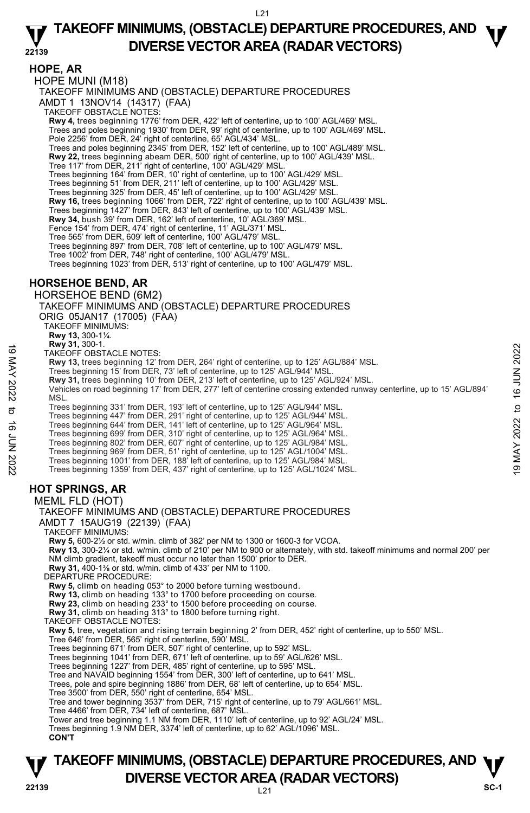**HOPE, AR** 

HOPE MUNI (M18) TAKEOFF MINIMUMS AND (OBSTACLE) DEPARTURE PROCEDURES AMDT 1 13NOV14 (14317) (FAA) TAKEOFF OBSTACLE NOTES: **Rwy 4,** trees beginning 1776' from DER, 422' left of centerline, up to 100' AGL/469' MSL. Trees and poles beginning 1930' from DER, 99' right of centerline, up to 100' AGL/469' MSL. Pole 2256' from DER, 24' right of centerline, 65' AGL/434' MSL. Trees and poles beginning 2345' from DER, 152' left of centerline, up to 100' AGL/489' MSL. **Rwy 22,** trees beginning abeam DER, 500' right of centerline, up to 100' AGL/439' MSL.<br>Tree 117' from DER, 211' right of centerline, 100' AGL/429' MSL. Trees beginning 164' from DER, 10' right of centerline, up to 100' AGL/429' MSL. Trees beginning 51' from DER, 211' left of centerline, up to 100' AGL/429' MSL. Trees beginning 325' from DER, 45' left of centerline, up to 100' AGL/429' MSL. **Rwy 16,** trees beginning 1066' from DER, 722' right of centerline, up to 100' AGL/439' MSL. Trees beginning 1427' from DER, 843' left of centerline, up to 100' AGL/439' MSL.<br>**Rwy 34,** bush 39' from DER, 162' left of centerline, 10' AGL/369' MSL. Fence 154' from DER, 474' right of centerline, 11' AGL/371' MSL. Tree 565' from DER, 609' left of centerline, 100' AGL/479' MSL. Trees beginning 897' from DER, 708' left of centerline, up to 100' AGL/479' MSL. Tree 1002' from DER, 748' right of centerline, 100' AGL/479' MSL. Trees beginning 1023' from DER, 513' right of centerline, up to 100' AGL/479' MSL. **HORSEHOE BEND, AR**  HORSEHOE BEND (6M2) TAKEOFF MINIMUMS AND (OBSTACLE) DEPARTURE PROCEDURES ORIG 05JAN17 (17005) (FAA) TAKEOFF MINIMUMS: **Rwy 13,** 300-1¼. **Rwy 31,** 300-1.

TAKEOFF OBSTACLE NOTES:

**Rwy 13,** trees beginning 12' from DER, 264' right of centerline, up to 125' AGL/884' MSL.

Trees beginning 15' from DER, 73' left of centerline, up to 125' AGL/944' MSL.

**Rwy 31,** trees beginning 10' from DER, 213' left of centerline, up to 125' AGL/924' MSL.

Vehicles on road beginning 17' from DER, 277' left of centerline crossing extended runway centerline, up to 15' AGL/894' **MSL** TAKEOFF OBSTACLE NOTES:<br>
TRAKEOFF OBSTACLE NOTES:<br>
TRAKEOFF OBSTACLE NOTES:<br>
Trees beginning 12' from DER, 264' right of centerline, up to 125' AGL/984' MSL.<br>
Trees beginning 16' from DER, 213' left of centerline, up to 1

Trees beginning 331' from DER, 193' left of centerline, up to 125' AGL/944' MSL.

Trees beginning 447' from DER, 291' right of centerline, up to 125' AGL/944' MSL.

Trees beginning 644' from DER, 141' left of centerline, up to 125' AGL/964' MSL. Trees beginning 699' from DER, 310' right of centerline, up to 125' AGL/964' MSL.

- Trees beginning 802' from DER, 607' right of centerline, up to 125' AGL/984' MSL. Trees beginning 969' from DER, 51' right of centerline, up to 125' AGL/1004' MSL.
- 

Trees beginning 1001' from DER, 188' left of centerline, up to 125' AGL/984' MSL. Trees beginning 1359' from DER, 437' right of centerline, up to 125' AGL/1024' MSL.

## **HOT SPRINGS, AR**

MEML FLD (HOT)

TAKEOFF MINIMUMS AND (OBSTACLE) DEPARTURE PROCEDURES AMDT 7 15AUG19 (22139) (FAA) TAKEOFF MINIMUMS: **Rwy 5,** 600-2½ or std. w/min. climb of 382' per NM to 1300 or 1600-3 for VCOA. **Rwy 13,** 300-2¼ or std. w/min. climb of 210' per NM to 900 or alternately, with std. takeoff minimums and normal 200' per NM climb gradient, takeoff must occur no later than 1500' prior to DER. **Rwy 31,** 400-1⅜ or std. w/min. climb of 433' per NM to 1100. DEPARTURE PROCEDURE **Rwy 5,** climb on heading 053° to 2000 before turning westbound. **Rwy 13,** climb on heading 133° to 1700 before proceeding on course. **Rwy 23,** climb on heading 233° to 1500 before proceeding on course. **Rwy 31,** climb on heading 313° to 1800 before turning right. TAKEOFF OBSTACLE NOTES: **Rwy 5,** tree, vegetation and rising terrain beginning 2' from DER, 452' right of centerline, up to 550' MSL. Tree 646' from DER, 565' right of centerline, 590' MSL. Trees beginning 671' from DER, 507' right of centerline, up to 592' MSL. Trees beginning 1041' from DER, 671' left of centerline, up to 59' AGL/626' MSL. Trees beginning 1227' from DER, 485' right of centerline, up to 595' MSL. Tree and NAVAID beginning 1554' from DER, 300' left of centerline, up to 641' MSL. Trees, pole and spire beginning 1886' from DER, 68' left of centerline, up to 654' MSL. Tree 3500' from DER, 550' right of centerline, 654' MSL. Tree and tower beginning 3537' from DER, 715' right of centerline, up to 79' AGL/661' MSL. Tree 4466' from DER, 734' left of centerline, 687' MSL. Tower and tree beginning 1.1 NM from DER, 1110' left of centerline, up to 92' AGL/24' MSL. Trees beginning 1.9 NM DER, 3374' left of centerline, up to 62' AGL/1096' MSL. **CON'T**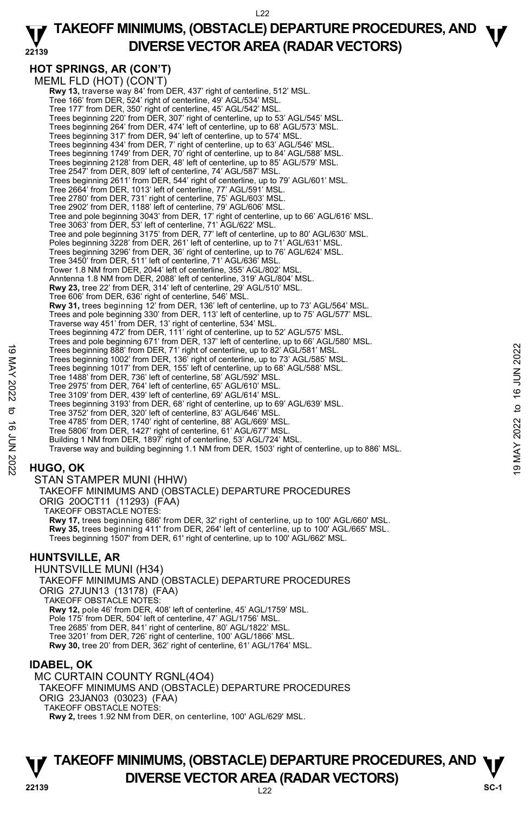#### **22139 TAKEOFF MINIMUMS, (OBSTACLE) DEPARTURE PROCEDURES, AND**  $\Psi$ **DIVERSE VECTOR AREA (RADAR VECTORS)**

**HOT SPRINGS, AR (CON'T)**  MEML FLD (HOT) (CON'T)  **Rwy 13,** traverse way 84' from DER, 437' right of centerline, 512' MSL. Tree 166' from DER, 524' right of centerline, 49' AGL/534' MSL. Tree 177' from DER, 350' right of centerline, 45' AGL/542' MSL. Trees beginning 220' from DER, 307' right of centerline, up to 53' AGL/545' MSL. Trees beginning 264' from DER, 474' left of centerline, up to 68' AGL/573' MSL. Trees beginning 317' from DER, 94' left of centerline, up to 574' MSL. Trees beginning 434' from DER, 7' right of centerline, up to 63' AGL/546' MSL. Trees beginning 1749' from DER, 70' right of centerline, up to 84' AGL/588' MSL. Trees beginning 2128' from DER, 48' left of centerline, up to 85' AGL/579' MSL. Tree 2547' from DER, 809' left of centerline, 74' AGL/587' MSL. Trees beginning 2611' from DER, 544' right of centerline, up to 79' AGL/601' MSL. Tree 2664' from DER, 1013' left of centerline, 77' AGL/591' MSL. Tree 2780' from DER, 731' right of centerline, 75' AGL/603' MSL. Tree 2902' from DER, 1188' left of centerline, 79' AGL/606' MSL. Tree and pole beginning 3043' from DER, 17' right of centerline, up to 66' AGL/616' MSL. Tree 3063' from DER, 53' left of centerline, 71' AGL/622' MSL. Tree and pole beginning 3175' from DER, 77' left of centerline, up to 80' AGL/630' MSL. Poles beginning 3228' from DER, 261' left of centerline, up to 71' AGL/631' MSL Trees beginning 3296' from DER, 36' right of centerline, up to 76' AGL/624' MSL. Tree 3450' from DER, 511' left of centerline, 71' AGL/636' MSL. Tower 1.8 NM from DER, 2044' left of centerline, 355' AGL/802' MSL. Anntenna 1.8 NM from DER, 2088' left of centerline, 319' AGL/804' MSL. **Rwy 23,** tree 22' from DER, 314' left of centerline, 29' AGL/510' MSL. Tree 606' from DER, 636' right of centerline, 546' MSL. **Rwy 31,** trees beginning 12' from DER, 136' left of centerline, up to 73' AGL/564' MSL.<br>Trees and pole beginning 330' from DER, 113' left of centerline, up to 75' AGL/577' MSL. Traverse way 451' from DER, 13' right of centerline, 534' MSL. Trees beginning 472' from DER, 111' right of centerline, up to 52' AGL/575' MSL. Trees and pole beginning 671' from DER, 137' left of centerline, up to 66' AGL/580' MSL. Trees beginning 888' from DER, 71' right of centerline, up to 82' AGL/581' MSL. Trees beginning 1002' from DER, 136' right of centerline, up to 73' AGL/585' MSL. Trees beginning 1017' from DER, 155' left of centerline, up to 68' AGL/588' MSL. Tree 1488' from DER, 736' left of centerline, 58' AGL/592' MSL. Tree 2975' from DER, 764' left of centerline, 65' AGL/610' MSL. Tree 3109' from DER, 439' left of centerline, 69' AGL/614' MSL. Trees beginning 3193' from DER, 68' right of centerline, up to 69' AGL/639' MSL. Tree 3752' from DER, 320' left of centerline, 83' AGL/646' MSL. Tree 4785' from DER, 1740' right of centerline, 88' AGL/669' MSL. Tree 5806' from DER, 1427' right of centerline, 61' AGL/677' MSL. Building 1 NM from DER, 1897' right of centerline, 53' AGL/724' MSL. Traverse way and building beginning 1.1 NM from DER, 1503' right of centerline, up to 886' MSL. 19 Trees beginning 888 from DER, 71 right of centerline, up to 82 AGL/581 MSL.<br>
Trees beginning 1002' from DER, 136 right of centerline, up to 82 AGL/585 MSL.<br>
Trees beginning 1017' from DER, 135' left of centerline, up t

## **HUGO, OK**

STAN STAMPER MUNI (HHW)

TAKEOFF MINIMUMS AND (OBSTACLE) DEPARTURE PROCEDURES ORIG 20OCT11 (11293) (FAA)

TAKEOFF OBSTACLE NOTES:

**Rwy 17,** trees beginning 686' from DER, 32' right of centerline, up to 100' AGL/660' MSL. **Rwy 35,** trees beginning 411' from DER, 264' left of centerline, up to 100' AGL/665' MSL. Trees beginning 1507' from DER, 61' right of centerline, up to 100' AGL/662' MSL.

### **HUNTSVILLE, AR**

HUNTSVILLE MUNI (H34) TAKEOFF MINIMUMS AND (OBSTACLE) DEPARTURE PROCEDURES ORIG 27JUN13 (13178) (FAA) TAKEOFF OBSTACLE NOTES: **Rwy 12,** pole 46' from DER, 408' left of centerline, 45' AGL/1759' MSL. Pole 175' from DER, 504' left of centerline, 47' AGL/1756' MSL. Tree 2685' from DER, 841' right of centerline, 80' AGL/1822' MSL. Tree 3201' from DER, 726' right of centerline, 100' AGL/1866' MSL. **Rwy 30,** tree 20' from DER, 362' right of centerline, 61' AGL/1764' MSL.

### **IDABEL, OK**

MC CURTAIN COUNTY RGNL(4O4) TAKEOFF MINIMUMS AND (OBSTACLE) DEPARTURE PROCEDURES ORIG 23JAN03 (03023) (FAA) TAKEOFF OBSTACLE NOTES: **Rwy 2,** trees 1.92 NM from DER, on centerline, 100' AGL/629' MSL.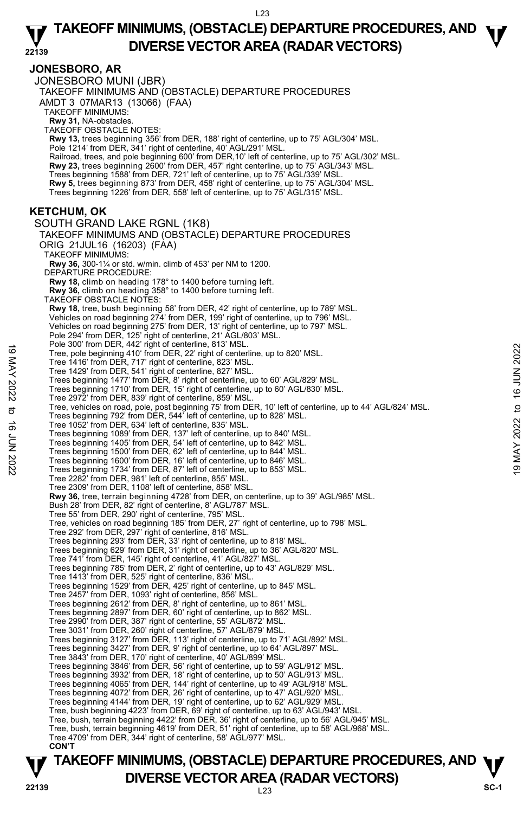#### **JONESBORO, AR**

JONESBORO MUNI (JBR) TAKEOFF MINIMUMS AND (OBSTACLE) DEPARTURE PROCEDURES AMDT 3 07MAR13 (13066) (FAA) TAKEOFF MINIMUMS: **Rwy 31,** NA-obstacles. TAKEOFF OBSTACLE NOTES: **Rwy 13,** trees beginning 356' from DER, 188' right of centerline, up to 75' AGL/304' MSL. Pole 1214' from DER, 341' right of centerline, 40' AGL/291' MSL. Railroad, trees, and pole beginning 600' from DER,10' left of centerline, up to 75' AGL/302' MSL.<br>**Rwy 23,** trees beginning 2600' from DER, 457' right centerline, up to 75' AGL/343' MSL. Trees beginning 1588' from DER, 721' left of centerline, up to 75' AGL/339' MSL. **Rwy 5,** trees beginning 873' from DER, 458' right of centerline, up to 75' AGL/304' MSL. Trees beginning 1226' from DER, 558' left of centerline, up to 75' AGL/315' MSL. **KETCHUM, OK**  SOUTH GRAND LAKE RGNL (1K8) TAKEOFF MINIMUMS AND (OBSTACLE) DEPARTURE PROCEDURES ORIG 21JUL16 (16203) (FAA) TAKEOFF MINIMUMS: **Rwy 36,** 300-1¼ or std. w/min. climb of 453' per NM to 1200. DEPARTURE PROCEDURE: **Rwy 18,** climb on heading 178° to 1400 before turning left. **Rwy 36,** climb on heading 358° to 1400 before turning left. TAKEOFF OBSTACLE NOTES: **Rwy 18,** tree, bush beginning 58' from DER, 42' right of centerline, up to 789' MSL.<br>Vehicles on road beginning 274' from DER, 199' right of centerline, up to 796' MSL. Vehicles on road beginning 275' from DER, 13' right of centerline, up to 797' MSL. Pole 294' from DER, 125' right of centerline, 21' AGL/803' MSL. Pole 300' from DER, 442' right of centerline, 813' MSL. Tree, pole beginning 410' from DER, 22' right of centerline, up to 820' MSL. Tree 1416' from DER, 717' right of centerline, 823' MSL. Tree 1429' from DER, 541' right of centerline, 827' MSL. Trees beginning 1477' from DER, 8' right of centerline, up to 60' AGL/829' MSL. Trees beginning 1710' from DER, 15' right of centerline, up to 60' AGL/830' MSL. Tree 2972' from DER, 839' right of centerline, 859' MSL. Tree, vehicles on road, pole, post beginning 75' from DER, 10' left of centerline, up to 44' AGL/824' MSL.<br>Trees beginning 792' from DER, 544' left of centerline, up to 828' MSL. Tree 1052' from DER, 634' left of centerline, 835' MSL. Trees beginning 1089' from DER, 137' left of centerline, up to 840' MSL. Trees beginning 1405' from DER, 54' left of centerline, up to 842' MSL. Trees beginning 1500' from DER, 62' left of centerline, up to 844' MSL. Trees beginning 1600' from DER, 16' left of centerline, up to 846' MSL. Trees beginning 1734' from DER, 87' left of centerline, up to 853' MSL. Tree 2282' from DER, 981' left of centerline, 855' MSL. Tree 2309' from DER, 1108' left of centerline, 858' MSL. **Rwy 36,** tree, terrain beginning 4728' from DER, on centerline, up to 39' AGL/985' MSL. Bush 28' from DER, 82' right of centerline, 8' AGL/787' MSL. Tree 55' from DER, 290' right of centerline, 795' MSL. Tree, vehicles on road beginning 185' from DER, 27' right of centerline, up to 798' MSL. Tree 292' from DER, 297' right of centerline, 816' MSL. Trees beginning 293' from DER, 33' right of centerline, up to 818' MSL. Trees beginning 629' from DER, 31' right of centerline, up to 36' AGL/820' MSL. Tree 741' from DER, 145' right of centerline, 41' AGL/827' MSL. Trees beginning 785' from DER, 2' right of centerline, up to 43' AGL/829' MSL. Tree 1413' from DER, 525' right of centerline, 836' MSL. Trees beginning 1529' from DER, 425' right of centerline, up to 845' MSL. Tree 2457' from DER, 1093' right of centerline, 856' MSL. Trees beginning 2612' from DER, 8' right of centerline, up to 861' MSL. Trees beginning 2897' from DER, 60' right of centerline, up to 862' MSL. Tree 2990' from DER, 387' right of centerline, 55' AGL/872' MSL. Tree 3031' from DER, 260' right of centerline, 57' AGL/879' MSL. Trees beginning 3127' from DER, 113' right of centerline, up to 71' AGL/892' MSL. Trees beginning 3427' from DER, 9' right of centerline, up to 64' AGL/897' MSL. Tree 3843' from DER, 170' right of centerline, 40' AGL/899' MSL. Trees beginning 3846' from DER, 56' right of centerline, up to 59' AGL/912' MSL. Trees beginning 3932' from DER, 18' right of centerline, up to 50' AGL/913' MSL. Trees beginning 4065' from DER, 144' right of centerline, up to 49' AGL/918' MSL. Trees beginning 4072' from DER, 26' right of centerline, up to 47' AGL/920' MSL. Trees beginning 4144' from DER, 19' right of centerline, up to 62' AGL/929' MSL. Tree, bush beginning 4223' from DER, 69' right of centerline, up to 63' AGL/943' MSL. Tree, bush, terrain beginning 4422' from DER, 36' right of centerline, up to 56' AGL/945' MSL. Tree, bush, terrain beginning 4619' from DER, 51' right of centerline, up to 58' AGL/968' MSL. Tree 4709' from DER, 344' right of centerline, 58' AGL/977' MSL. **CON'T**  Tree, pole beginning 410' from DER, 22' right of centerline, up to 820' MSL.<br>
Tree 1416' from DER, 717' right of centerline, 823' MSL.<br>
Tree 1416' from DER, 717' right of centerline, 823' MSL.<br>
Tree 1416' from DER, 717' r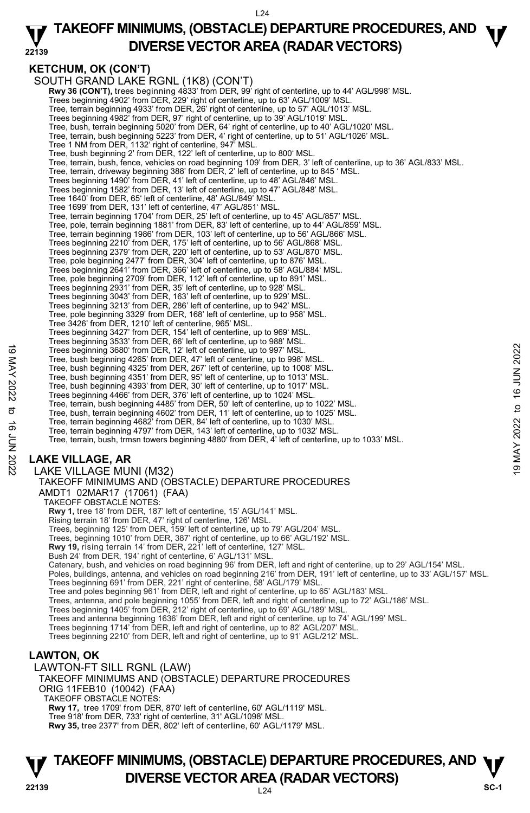#### **22139 TAKEOFF MINIMUMS, (OBSTACLE) DEPARTURE PROCEDURES, AND**  $\Psi$ **DIVERSE VECTOR AREA (RADAR VECTORS)**

## **KETCHUM, OK (CON'T)**

SOUTH GRAND LAKE RGNL (1K8) (CON'T)  **Rwy 36 (CON'T),** trees beginning 4833' from DER, 99' right of centerline, up to 44' AGL/998' MSL. Trees beginning 4902' from DER, 229' right of centerline, up to 63' AGL/1009' MSL. Tree, terrain beginning 4933' from DER, 26' right of centerline, up to 57' AGL/1013' MSL. Trees beginning 4982' from DER, 97' right of centerline, up to 39' AGL/1019' MSL. Tree, bush, terrain beginning 5020' from DER, 64' right of centerline, up to 40' AGL/1020' MSL. Tree, terrain, bush beginning 5223' from DER, 4' right of centerline, up to 51' AGL/1026' MSL. Tree 1 NM from DER, 1132' right of centerline, 947' MSL. Tree, bush beginning 2' from DER, 122' left of centerline, up to 800' MSL. Tree, terrain, bush, fence, vehicles on road beginning 109' from DER, 3' left of centerline, up to 36' AGL/833' MSL. Tree, terrain, driveway beginning 388' from DER, 2' left of centerline, up to 845 ' MSL. Trees beginning 1490' from DER, 41' left of centerline, up to 48' AGL/846' MSL. Trees beginning 1582' from DER, 13' left of centerline, up to 47' AGL/848' MSL. Tree 1640' from DER, 65' left of centerline, 48' AGL/849' MSL. Tree 1699' from DER, 131' left of centerline, 47' AGL/851' MSL. Tree, terrain beginning 1704' from DER, 25' left of centerline, up to 45' AGL/857' MSL. Tree, pole, terrain beginning 1881' from DER, 83' left of centerline, up to 44' AGL/859' MSL. Tree, terrain beginning 1986' from DER, 103' left of centerline, up to 56' AGL/866' MSL. Trees beginning 2210' from DER, 175' left of centerline, up to 56' AGL/868' MSL. Trees beginning 2379' from DER, 220' left of centerline, up to 53' AGL/870' MSL. Tree, pole beginning 2477' from DER, 304' left of centerline, up to 876' MSL. Trees beginning 2641' from DER, 366' left of centerline, up to 58' AGL/884' MSL. Tree, pole beginning 2709' from DER, 112' left of centerline, up to 891' MSL. Trees beginning 2931' from DER, 35' left of centerline, up to 928' MSL. Trees beginning 3043' from DER, 163' left of centerline, up to 929' MSL. Trees beginning 3213' from DER, 286' left of centerline, up to 942' MSL. Tree, pole beginning 3329' from DER, 168' left of centerline, up to 958' MSL. Tree 3426' from DER, 1210' left of centerline, 965' MSL. Trees beginning 3427' from DER, 154' left of centerline, up to 969' MSL. Trees beginning 3533' from DER, 66' left of centerline, up to 988' MSL. Trees beginning 3680' from DER, 12' left of centerline, up to 997' MSL. Tree, bush beginning 4265' from DER, 47' left of centerline, up to 998' MSL. Tree, bush beginning 4325' from DER, 267' left of centerline, up to 1008' MSL. Tree, bush beginning 4351' from DER, 95' left of centerline, up to 1013' MSL. Tree, bush beginning 4393' from DER, 30' left of centerline, up to 1017' MSL. Trees beginning 4466' from DER, 376' left of centerline, up to 1024' MSL. Tree, terrain, bush beginning 4485' from DER, 50' left of centerline, up to 1022' MSL. Tree, bush, terrain beginning 4602' from DER, 11' left of centerline, up to 1025' MSL.<br>Tree, terrain beginning 4682' from DER, 84' left of centerline, up to 1030' MSL.<br>Tree, terrain beginning 4797' from DER, 143' left of c Tree, terrain, bush, trmsn towers beginning 4880' from DER, 4' left of centerline, up to 1033' MSL. **LAKE VILLAGE, AR**  LAKE VILLAGE MUNI (M32) TAKEOFF MINIMUMS AND (OBSTACLE) DEPARTURE PROCEDURES AMDT1 02MAR17 (17061) (FAA) TAKEOFF OBSTACLE NOTES: **Rwy 1,** tree 18' from DER, 187' left of centerline, 15' AGL/141' MSL. Rising terrain 18' from DER, 47' right of centerline, 126' MSL. Trees, beginning 125' from DER, 159' left of centerline, up to 79' AGL/204' MSL. Trees, beginning 1010' from DER, 387' right of centerline, up to 66' AGL/192' MSL. **Rwy 19,** rising terrain 14' from DER, 221' left of centerline, 127' MSL. Bush 24' from DER, 194' right of centerline, 6' AGL/131' MSL. Catenary, bush, and vehicles on road beginning 96' from DER, left and right of centerline, up to 29' AGL/154' MSL. Poles, buildings, antenna, and vehicles on road beginning 216' from DER, 191' left of centerline, up to 33' AGL/157' MSL. Trees beginning 691' from DER, 221' right of centerline, 58' AGL/179' MSL. Tree and poles beginning 961' from DER, left and right of centerline, up to 65' AGL/183' MSL. Trees, antenna, and pole beginning 1055' from DER, left and right of centerline, up to 72' AGL/186' MSL. Trees beginning 1405' from DER, 212' right of centerline, up to 69' AGL/189' MSL. Trees and antenna beginning 1636' from DER, left and right of centerline, up to 74' AGL/199' MSL. Trees beginning 1714' from DER, left and right of centerline, up to 82' AGL/207' MSL. Trees beginning 2210' from DER, left and right of centerline, up to 91' AGL/212' MSL. Trees beginning 3680' from DER, 12' left of centerline, up to 997' MSL.<br>
Tree, bush beginning 4265' from DER, 47' left of centerline, up to 998' MSL.<br>
Tree, bush beginning 4262' from DER, 42' left of centerline, up to 100

### **LAWTON, OK**

LAWTON-FT SILL RGNL (LAW)

TAKEOFF MINIMUMS AND (OBSTACLE) DEPARTURE PROCEDURES ORIG 11FEB10 (10042) (FAA) TAKEOFF OBSTACLE NOTES: **Rwy 17,** tree 1709' from DER, 870' left of centerline, 60' AGL/1119' MSL. Tree 918' from DER, 733' right of centerline, 31' AGL/1098' MSL. **Rwy 35,** tree 2377' from DER, 802' left of centerline, 60' AGL/1179' MSL.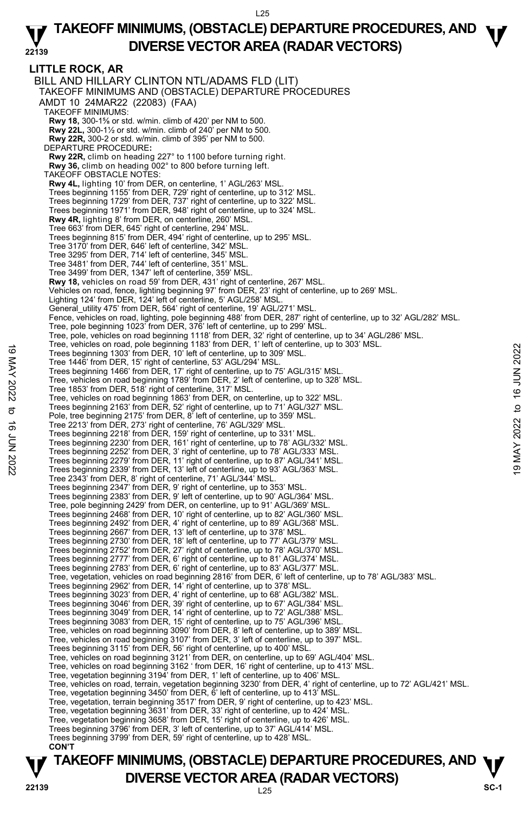**LITTLE ROCK, AR**  BILL AND HILLARY CLINTON NTL/ADAMS FLD (LIT) TAKEOFF MINIMUMS AND (OBSTACLE) DEPARTURE PROCEDURES AMDT 10 24MAR22 (22083) (FAA) TAKEOFF MINIMUMS: **Rwy 18,** 300-1⅝ or std. w/min. climb of 420' per NM to 500.  **Rwy 22L,** 300-1½ or std. w/min. climb of 240' per NM to 500.  **Rwy 22R,** 300-2 or std. w/min. climb of 395' per NM to 500. DEPARTURE PROCEDURE**: Rwy 22R,** climb on heading 227° to 1100 before turning right.  **Rwy 36,** climb on heading 002° to 800 before turning left. TAKEOFF OBSTACLE NOTES: **Rwy 4L,** lighting 10' from DER, on centerline, 1' AGL/263' MSL. Trees beginning 1155' from DER, 729' right of centerline, up to 312' MSL. Trees beginning 1729' from DER, 737' right of centerline, up to 322' MSL. Trees beginning 1971' from DER, 948' right of centerline, up to 324' MSL. **Rwy 4R,** lighting 8' from DER, on centerline, 260' MSL. Tree 663' from DER, 645' right of centerline, 294' MSL. Trees beginning 815' from DER, 494' right of centerline, up to 295' MSL. Tree 3170' from DER, 646' left of centerline, 342' MSL. Tree 3295' from DER, 714' left of centerline, 345' MSL. Tree 3481' from DER, 744' left of centerline, 351' MSL. Tree 3499' from DER, 1347' left of centerline, 359' MSL. **Rwy 18,** vehicles on road 59' from DER, 431' right of centerline, 267' MSL. Vehicles on road, fence, lighting beginning 97' from DER, 23' right of centerline, up to 269' MSL. Lighting 124' from DER, 124' left of centerline, 5' AGL/258' MSL. General\_utility 475' from DER, 564' right of centerline, 19' AGL/271' MSL. Fence, vehicles on road, lighting, pole beginning 488' from DER, 287' right of centerline, up to 32' AGL/282' MSL. Tree, pole beginning 1023' from DER, 376' left of centerline, up to 299' MSL. Tree, pole, vehicles on road beginning 1118' from DER, 32' right of centerline, up to 34' AGL/286' MSL.<br>Tree, vehicles on road, pole beginning 1183' from DER, 1' left of centerline, up to 303' MSL. Trees beginning 1303' from DER, 10' left of centerline, up to 309' MSL. Tree 1446' from DER, 15' right of centerline, 53' AGL/294' MSL. Trees beginning 1466' from DER, 17' right of centerline, up to 75' AGL/315' MSL. Tree, vehicles on road beginning 1789' from DER, 2' left of centerline, up to 328' MSL. Tree 1853' from DER, 518' right of centerline, 317' MSL. Tree, vehicles on road beginning 1863' from DER, on centerline, up to 322' MSL. Trees beginning 2163' from DER, 52' right of centerline, up to 71' AGL/327' MSL. Pole, tree beginning 2175' from DER, 8' left of centerline, up to 359' MSL. Tree 2213' from DER, 273' right of centerline, 76' AGL/329' MSL. Trees beginning 2218' from DER, 159' right of centerline, up to 331' MSL. Trees beginning 2230' from DER, 161' right of centerline, up to 78' AGL/332' MSL. Trees beginning 2252' from DER, 3' right of centerline, up to 78' AGL/333' MSL. Trees beginning 2279' from DER, 11' right of centerline, up to 87' AGL/341' MSL. Trees beginning 2339' from DER, 13' left of centerline, up to 93' AGL/363' MSL. Tree 2343' from DER, 8' right of centerline, 71' AGL/344' MSL. Trees beginning 2347' from DER, 9' right of centerline, up to 353' MSL. Trees beginning 2383' from DER, 9' left of centerline, up to 90' AGL/364' MSL. Tree, pole beginning 2429' from DER, on centerline, up to 91' AGL/369' MSL. Trees beginning 2468' from DER, 10' right of centerline, up to 82' AGL/360' MSL. Trees beginning 2492' from DER, 4' right of centerline, up to 89' AGL/368' MSL. Trees beginning 2667' from DER, 13' left of centerline, up to 378' MSL. Trees beginning 2730' from DER, 18' left of centerline, up to 77' AGL/379' MSL. Trees beginning 2752' from DER, 27' right of centerline, up to 78' AGL/370' MSL. Trees beginning 2777' from DER, 6' right of centerline, up to 81' AGL/374' MSL. Trees beginning 2783' from DER, 6' right of centerline, up to 83' AGL/377' MSL. Tree, vegetation, vehicles on road beginning 2816' from DER, 6' left of centerline, up to 78' AGL/383' MSL.<br>Trees beginning 2962' from DER, 14' right of centerline, up to 378' MSL. Trees beginning 3023' from DER, 4' right of centerline, up to 68' AGL/382' MSL. Trees beginning 3046' from DER, 39' right of centerline, up to 67' AGL/384' MSL. Trees beginning 3049' from DER, 14' right of centerline, up to 72' AGL/388' MSL. Trees beginning 3083' from DER, 15' right of centerline, up to 75' AGL/396' MSL. Tree, vehicles on road beginning 3090' from DER, 8' left of centerline, up to 389' MSL. Tree, vehicles on road beginning 3107' from DER, 3' left of centerline, up to 397' MSL. Trees beginning 3115' from DER, 56' right of centerline, up to 400' MSL. Tree, vehicles on road beginning 3121' from DER, on centerline, up to 69' AGL/404' MSL. Tree, vehicles on road beginning 3162 ' from DER, 16' right of centerline, up to 413' MSL.<br>Tree, vegetation beginning 3194' from DER, 1' left of centerline, up to 406' MSL. Tree, vehicles on road, terrain, vegetation beginning 3230' from DER, 4' right of centerline, up to 72' AGL/421' MSL. Tree, vegetation beginning 3450' from DER, 6' left of centerline, up to 413' MSL. Tree, vegetation, terrain beginning 3517' from DER, 9' right of centerline, up to 423' MSL.<br>Tree, vegetation beginning 3631' from DER, 33' right of centerline, up to 424' MSL.<br>Tree, vegetation beginning 3658' from DER, 15' Trees beginning 3796' from DER, 3' left of centerline, up to 37' AGL/414' MSL. Trees beginning 3799' from DER, 59' right of centerline, up to 428' MSL.  **CON'T** Tree, ventuses on road, pole beginning 1783 iform DER, 19 it is to 16 enterline, up to 309 MSL.<br>
Tree beginning 1303' from DER, 15' right of centerline, up to 309' MSL.<br>
Tree beginning 1486' from DER, 17' right of centerli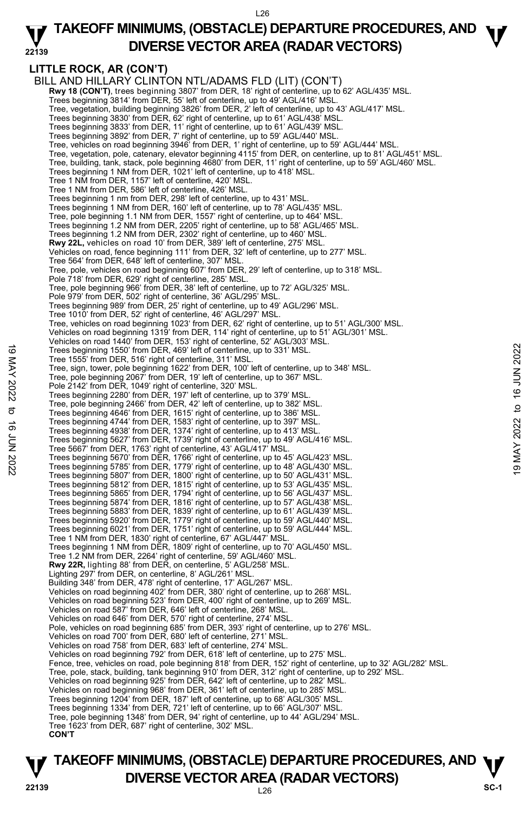#### **22139 TAKEOFF MINIMUMS, (OBSTACLE) DEPARTURE PROCEDURES, AND**  $\Psi$ **DIVERSE VECTOR AREA (RADAR VECTORS)**

## **LITTLE ROCK, AR (CON'T)**

BILL AND HILLARY CLINTON NTL/ADAMS FLD (LIT) (CON'T) **Rwy 18 (CON'T)**, trees beginning 3807' from DER, 18' right of centerline, up to 62' AGL/435' MSL.<br>Trees beginning 3814' from DER, 55' left of centerline, up to 49' AGL/416' MSL. Tree, vegetation, building beginning 3826' from DER, 2' left of centerline, up to 43' AGL/417' MSL. Trees beginning 3830' from DER, 62' right of centerline, up to 61' AGL/438' MSL. Trees beginning 3833' from DER, 11' right of centerline, up to 61' AGL/439' MSL. Trees beginning 3892' from DER, 7' right of centerline, up to 59' AGL/440' MSL. Tree, vehicles on road beginning 3946' from DER, 1' right of centerline, up to 59' AGL/444' MSL. Tree, vegetation, pole, catenary, elevator beginning 4115' from DER, on centerline, up to 81' AGL/451' MSL. Tree, building, tank, stack, pole beginning 4680' from DER, 11' right of centerline, up to 59' AGL/460' MSL. Trees beginning 1 NM from DER, 1021' left of centerline, up to 418' MSL. Tree 1 NM from DER, 1157' left of centerline, 420' MSL. Tree 1 NM from DER, 586' left of centerline, 426' MSL. Trees beginning 1 nm from DER, 298' left of centerline, up to 431' MSL. Trees beginning 1 NM from DER, 160' left of centerline, up to 78' AGL/435' MSL. Tree, pole beginning 1.1 NM from DER, 1557' right of centerline, up to 464' MSL. Trees beginning 1.2 NM from DER, 2205' right of centerline, up to 58' AGL/465' MSL. Trees beginning 1.2 NM from DER, 2302' right of centerline, up to 460' MSL. **Rwy 22L,** vehicles on road 10' from DER, 389' left of centerline, 275' MSL. Vehicles on road, fence beginning 111' from DER, 32' left of centerline, up to 277' MSL. Tree 564' from DER, 648' left of centerline, 307' MSL. Tree, pole, vehicles on road beginning 607' from DER, 29' left of centerline, up to 318' MSL. Pole 718' from DER, 629' right of centerline, 285' MSL. Tree, pole beginning 966' from DER, 38' left of centerline, up to 72' AGL/325' MSL. Pole 979' from DER, 502' right of centerline, 36' AGL/295' MSL. Trees beginning 989' from DER, 25' right of centerline, up to 49' AGL/296' MSL. Tree 1010' from DER, 52' right of centerline, 46' AGL/297' MSL. Tree, vehicles on road beginning 1023' from DER, 62' right of centerline, up to 51' AGL/300' MSL. Vehicles on road beginning 1319' from DER, 114' right of centerline, up to 51' AGL/301' MSL. Vehicles on road 1440' from DER, 153' right of centerline, 52' AGL/303' MSL. Trees beginning 1550' from DER, 469' left of centerline, up to 331' MSL. Tree 1555' from DER, 516' right of centerline, 311' MSL. Tree, sign, tower, pole beginning 1622' from DER, 100' left of centerline, up to 348' MSL. Tree, pole beginning 2067' from DER, 19' left of centerline, up to 367' MSL. Pole 2142' from DER, 1049' right of centerline, 320' MSL. Trees beginning 2280' from DER, 197' left of centerline, up to 379' MSL. Tree, pole beginning 2466' from DER, 42' left of centerline, up to 382' MSL. Trees beginning 4646' from DER, 1615' right of centerline, up to 386' MSL. Trees beginning 4744' from DER, 1583' right of centerline, up to 397' MSL. Trees beginning 4938' from DER, 1374' right of centerline, up to 413' MSL. Trees beginning 5627' from DER, 1739' right of centerline, up to 49' AGL/416' MSL. Tree 5667' from DER, 1763' right of centerline, 43' AGL/417' MSL. Trees beginning 1550' from DER, 469' left of centerline, up to 331' MSL.<br>
Tree, sign, tower, pole beginning 1622' from DER, 100' left of centerline, up to 348' MSL.<br>
Tree, pole beginning 2067' from DER, 19' left of centerl Trees beginning 5807' from DER, 1800' right of centerline, up to 50' AGL/431' MSL. Trees beginning 5812' from DER, 1815' right of centerline, up to 53' AGL/435' MSL. Trees beginning 5865' from DER, 1794' right of centerline, up to 56' AGL/437' MSL. Trees beginning 5874' from DER, 1816' right of centerline, up to 57' AGL/438' MSL. Trees beginning 5883' from DER, 1839' right of centerline, up to 61' AGL/439' MSL. Trees beginning 5920' from DER, 1779' right of centerline, up to 59' AGL/440' MSL. Trees beginning 6021' from DER, 1751' right of centerline, up to 59' AGL/444' MSL. Tree 1 NM from DER, 1830' right of centerline, 67' AGL/447' MSL. Trees beginning 1 NM from DER, 1809' right of centerline, up to 70' AGL/450' MSL. Tree 1.2 NM from DER, 2264' right of centerline, 59' AGL/460' MSL. **Rwy 22R,** lighting 88' from DER, on centerline, 5' AGL/258' MSL. Lighting 297' from DER, on centerline, 8' AGL/261' MSL. Building 348' from DER, 478' right of centerline, 17' AGL/267' MSL. Vehicles on road beginning 402' from DER, 380' right of centerline, up to 268' MSL. Vehicles on road beginning 523' from DER, 400' right of centerline, up to 269' MSL. Vehicles on road 587' from DER, 646' left of centerline, 268' MSL. Vehicles on road 646' from DER, 570' right of centerline, 274' MSL. Pole, vehicles on road beginning 685' from DER, 393' right of centerline, up to 276' MSL. Vehicles on road 700' from DER, 680' left of centerline, 271' MSL. Vehicles on road 758' from DER, 683' left of centerline, 274' MSL. Vehicles on road beginning 792' from DER, 618' left of centerline, up to 275' MSL. Fence, tree, vehicles on road, pole beginning 818' from DER, 152' right of centerline, up to 32' AGL/282' MSL. Tree, pole, stack, building, tank beginning 910' from DER, 312' right of centerline, up to 292' MSL.<br>Vehicles on road beginning 925' from DER, 642' left of centerline, up to 282' MSL. Vehicles on road beginning 968' from DER, 361' left of centerline, up to 285' MSL. Trees beginning 1204' from DER, 187' left of centerline, up to 68' AGL/305' MSL. Trees beginning 1334' from DER, 721' left of centerline, up to 66' AGL/307' MSL. Tree, pole beginning 1348' from DER, 94' right of centerline, up to 44' AGL/294' MSL. Tree 1623' from DER, 687' right of centerline, 302' MSL.  **CON'T** 

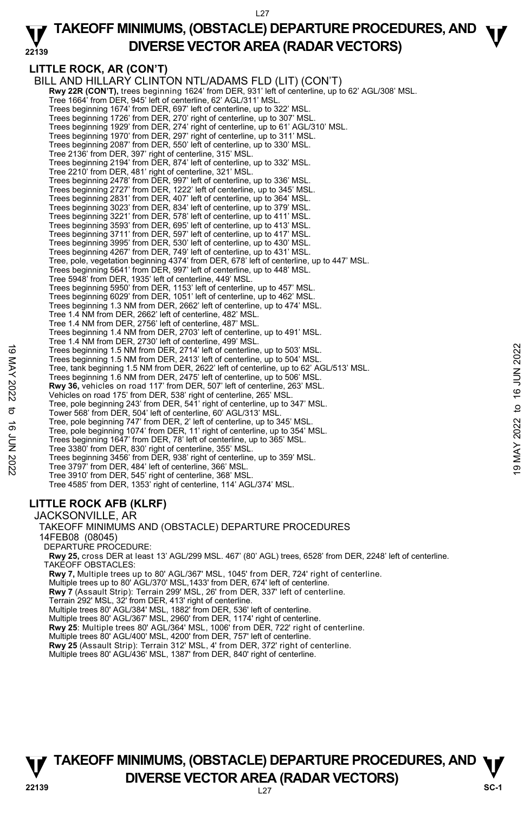### **22139 TAKEOFF MINIMUMS, (OBSTACLE) DEPARTURE PROCEDURES, AND**  $\Psi$ **DIVERSE VECTOR AREA (RADAR VECTORS)**

## **LITTLE ROCK, AR (CON'T)**

BILL AND HILLARY CLINTON NTL/ADAMS FLD (LIT) (CON'T) **Rwy 22R (CON'T),** trees beginning 1624' from DER, 931' left of centerline, up to 62' AGL/308' MSL. Tree 1664' from DER, 945' left of centerline, 62' AGL/311' MSL. Trees beginning 1674' from DER, 697' left of centerline, up to 322' MSL. Trees beginning 1726' from DER, 270' right of centerline, up to 307' MSL. Trees beginning 1929' from DER, 274' right of centerline, up to 61' AGL/310' MSL. Trees beginning 1970' from DER, 297' right of centerline, up to 311' MSL. Trees beginning 2087' from DER, 550' left of centerline, up to 330' MSL. Tree 2136' from DER, 397' right of centerline, 315' MSL. Trees beginning 2194' from DER, 874' left of centerline, up to 332' MSL. Tree 2210' from DER, 481' right of centerline, 321' MSL. Trees beginning 2478' from DER, 997' left of centerline, up to 336' MSL.<br>Trees beginning 2727' from DER, 1222' left of centerline, up to 345' MSL.<br>Trees beginning 2831' from DER, 407' left of centerline, up to 364' MSL. Trees beginning 3023' from DER, 834' left of centerline, up to 379' MSL. Trees beginning 3221' from DER, 578' left of centerline, up to 411' MSL. Trees beginning 3593' from DER, 695' left of centerline, up to 413' MSL. Trees beginning 3711' from DER, 597' left of centerline, up to 417' MSL. Trees beginning 3995' from DER, 530' left of centerline, up to 430' MSL. Trees beginning 4267' from DER, 749' left of centerline, up to 431' MSL. Tree, pole, vegetation beginning 4374' from DER, 678' left of centerline, up to 447' MSL. Trees beginning 5641' from DER, 997' left of centerline, up to 448' MSL. Tree 5948' from DER, 1935' left of centerline, 449' MSL. Trees beginning 5950' from DER, 1153' left of centerline, up to 457' MSL. Trees beginning 6029' from DER, 1051' left of centerline, up to 462' MSL. Trees beginning 1.3 NM from DER, 2662' left of centerline, up to 474' MSL. Tree 1.4 NM from DER, 2662' left of centerline, 482' MSL. Tree 1.4 NM from DER, 2756' left of centerline, 487' MSL. Trees beginning 1.4 NM from DER, 2703' left of centerline, up to 491' MSL. Tree 1.4 NM from DER, 2730' left of centerline, 499' MSL. Trees beginning 1.5 NM from DER, 2714' left of centerline, up to 503' MSL. Trees beginning 1.5 NM from DER, 2413' left of centerline, up to 504' MSL. Tree, tank beginning 1.5 NM from DER, 2622' left of centerline, up to 62' AGL/513' MSL. Trees beginning 1.6 NM from DER, 2475' left of centerline, up to 506' MSL. **Rwy 36,** vehicles on road 117' from DER, 507' left of centerline, 263' MSL. Vehicles on road 175' from DER, 538' right of centerline, 265' MSL. Tree, pole beginning 243' from DER, 541' right of centerline, up to 347' MSL. Tower 568' from DER, 504' left of centerline, 60' AGL/313' MSL. Tree, pole beginning 747' from DER, 2' left of centerline, up to 345' MSL. Tree, pole beginning 1074' from DER, 11' right of centerline, up to 354' MSL. Trees beginning 1647' from DER, 78' left of centerline, up to 365' MSL. Tree 3380' from DER, 830' right of centerline, 355' MSL. Trees beginning 3456' from DER, 938' right of centerline, up to 359' MSL. Tree 3797' from DER, 484' left of centerline, 366' MSL. Tree 3910' from DER, 545' right of centerline, 368' MSL. Tree 4585' from DER, 1353' right of centerline, 114' AGL/374' MSL. JACKSONVILLE, AR 19 Trees beginning 1.5 NM from DER, 2714 left of centerline, up to 503' MSL.<br>
Trees beginning 1.5 NM from DER, 2473' left of centerline, up to 504' MSL.<br>
Tree, tank beginning 1.5 NM from DER, 2475' left of centerline, up

## **LITTLE ROCK AFB (KLRF)**

TAKEOFF MINIMUMS AND (OBSTACLE) DEPARTURE PROCEDURES 14FEB08 (08045) DEPARTURE PROCEDURE: **Rwy 25,** cross DER at least 13' AGL/299 MSL. 467' (80' AGL) trees, 6528' from DER, 2248' left of centerline. TAKEOFF OBSTACLES: **Rwy 7,** Multiple trees up to 80' AGL/367' MSL, 1045' from DER, 724' right of centerline. Multiple trees up to 80' AGL/370' MSL,1433' from DER, 674' left of centerline. **Rwy 7** (Assault Strip): Terrain 299' MSL, 26' from DER, 337' left of centerline. Terrain 292' MSL, 32' from DER, 413' right of centerline. Multiple trees 80' AGL/384' MSL, 1882' from DER, 536' left of centerline. Multiple trees 80' AGL/367' MSL, 2960' from DER, 1174' right of centerline. **Rwy 25**: Multiple trees 80' AGL/364' MSL, 1006' from DER, 722' right of centerline. Multiple trees 80' AGL/400' MSL, 4200' from DER, 757' left of centerline. **Rwy 25** (Assault Strip): Terrain 312' MSL, 4' from DER, 372' right of centerline.<br>Multiple trees 80' AGL/436' MSL, 1387' from DER, 840' right of centerline.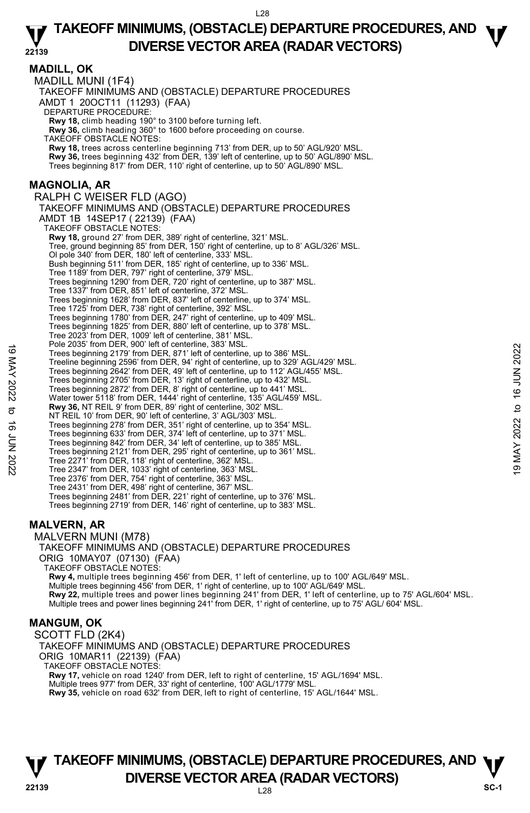**MADILL, OK**  MADILL MUNI (1F4) TAKEOFF MINIMUMS AND (OBSTACLE) DEPARTURE PROCEDURES AMDT 1 20OCT11 (11293) (FAA) DEPARTURE PROCEDURE: **Rwy 18,** climb heading 190° to 3100 before turning left. **Rwy 36,** climb heading 360° to 1600 before proceeding on course. TAKEOFF OBSTACLE NOTES: **Rwy 18,** trees across centerline beginning 713' from DER, up to 50' AGL/920' MSL. **Rwy 36,** trees beginning 432' from DER, 139' left of centerline, up to 50' AGL/890' MSL. Trees beginning 817' from DER, 110' right of centerline, up to 50' AGL/890' MSL. **MAGNOLIA, AR**  RALPH C WEISER FLD (AGO) TAKEOFF MINIMUMS AND (OBSTACLE) DEPARTURE PROCEDURES AMDT 1B 14SEP17 ( 22139) (FAA) TAKEOFF OBSTACLE NOTES: **Rwy 18,** ground 27' from DER, 389' right of centerline, 321' MSL. Tree, ground beginning 85' from DER, 150' right of centerline, up to 8' AGL/326' MSL. Ol pole 340' from DER, 180' left of centerline, 333' MSL. Bush beginning 511' from DER, 185' right of centerline, up to 336' MSL. Tree 1189' from DER, 797' right of centerline, 379' MSL. Trees beginning 1290' from DER, 720' right of centerline, up to 387' MSL. Tree 1337' from DER, 851' left of centerline, 372' MSL. Trees beginning 1628' from DER, 837' left of centerline, up to 374' MSL. Tree 1725' from DER, 738' right of centerline, 392' MSL. Trees beginning 1780' from DER, 247' right of centerline, up to 409' MSL. Trees beginning 1825' from DER, 880' left of centerline, up to 378' MSL. Tree 2023' from DER, 1009' left of centerline, 381' MSL. Pole 2035' from DER, 900' left of centerline, 383' MSL. Trees beginning 2179' from DER, 871' left of centerline, up to 386' MSL. Treeline beginning 2596' from DER, 94' right of centerline, up to 329' AGL/429' MSL. Trees beginning 2642' from DER, 49' left of centerline, up to 112' AGL/455' MSL. Trees beginning 2705' from DER, 13' right of centerline, up to 432' MSL. Trees beginning 2872' from DER, 8' right of centerline, up to 441' MSL. Water tower 5118' from DER, 1444' right of centerline, 135' AGL/459' MSL. **Rwy 36,** NT REIL 9' from DER, 89' right of centerline, 302' MSL. NT REIL 10' from DER, 90' left of centerline, 3' AGL/303' MSL. Trees beginning 278' from DER, 351' right of centerline, up to 354' MSL.<br>Trees beginning 633' from DER, 374' left of centerline, up to 385' MSL.<br>Trees beginning 842' from DER, 34' left of centerline, up to 385' MSL. Trees beginning 2121' from DER, 295' right of centerline, up to 361' MSL. Tree 2271' from DER, 118' right of centerline, 362' MSL. Tree 2347' from DER, 1033' right of centerline, 363' MSL. Tree 2376' from DER, 754' right of centerline, 363' MSL. Tree 2431' from DER, 498' right of centerline, 367' MSL. Trees beginning 2481' from DER, 221' right of centerline, up to 376' MSL. Trees beginning 2719' from DER, 146' right of centerline, up to 383' MSL. MALVERN MUNI (M78) Trees beginning 2121<sup>9</sup> from DER, 87<sup>1</sup> left of centerline, up to 386' MSL.<br>Trees beginning 2179' from DER, 871' left of centerline, up to 329' AGL/429' MSL.<br>Trees beginning 2696' from DER, 49' right of centerline, up to 1

### **MALVERN, AR**

TAKEOFF MINIMUMS AND (OBSTACLE) DEPARTURE PROCEDURES ORIG 10MAY07 (07130) (FAA)

TAKEOFF OBSTACLE NOTES:

**Rwy 4,** multiple trees beginning 456' from DER, 1' left of centerline, up to 100' AGL/649' MSL. Multiple trees beginning 456' from DER, 1' right of centerline, up to 100' AGL/649' MSL. **Rwy 22,** multiple trees and power lines beginning 241' from DER, 1' left of centerline, up to 75' AGL/604' MSL. Multiple trees and power lines beginning 241' from DER, 1' right of centerline, up to 75' AGL/ 604' MSL.

#### **MANGUM, OK**

SCOTT FLD (2K4) TAKEOFF MINIMUMS AND (OBSTACLE) DEPARTURE PROCEDURES ORIG 10MAR11 (22139) (FAA) TAKEOFF OBSTACLE NOTES: **Rwy 17,** vehicle on road 1240' from DER, left to right of centerline, 15' AGL/1694' MSL. Multiple trees 977' from DER, 33' right of centerline, 100' AGL/1779' MSL.

**Rwy 35,** vehicle on road 632' from DER, left to right of centerline, 15' AGL/1644' MSL.

## **TAKEOFF MINIMUMS, (OBSTACLE) DEPARTURE PROCEDURES, AND**  $\Psi$ **P**<br>22139 **DIVERSE VECTOR AREA (RADAR VECTORS)** SC-1

L28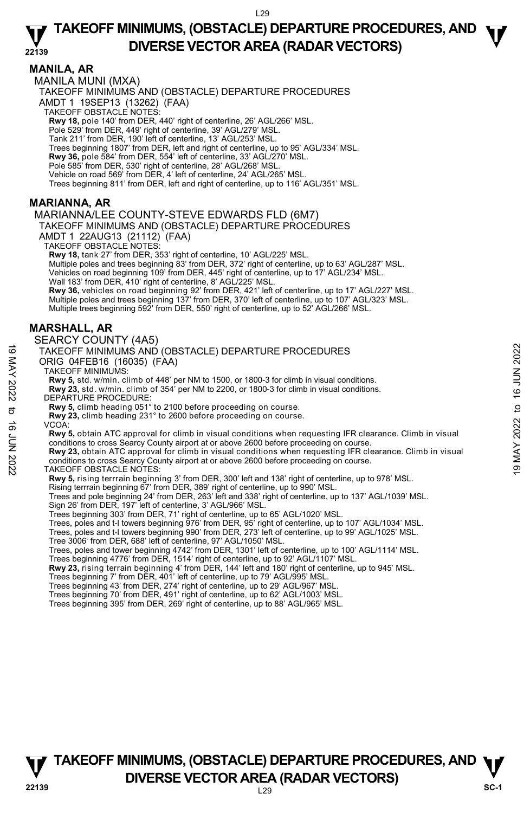### **MANILA, AR**

MANILA MUNI (MXA)

TAKEOFF MINIMUMS AND (OBSTACLE) DEPARTURE PROCEDURES

AMDT 1 19SEP13 (13262) (FAA)

TAKEOFF OBSTACLE NOTES:

**Rwy 18,** pole 140' from DER, 440' right of centerline, 26' AGL/266' MSL.<br>Pole 529' from DER, 449' right of centerline, 39' AGL/279' MSL.

Tank 211' from DER, 190' left of centerline, 13' AGL/253' MSL.

Trees beginning 1807' from DER, left and right of centerline, up to 95' AGL/334' MSL.

**Rwy 36,** pole 584' from DER, 554' left of centerline, 33' AGL/270' MSL.<br>Pole 585' from DER, 530' right of centerline, 28' AGL/268' MSL.

Vehicle on road 569' from DER, 4' left of centerline, 24' AGL/265' MSL.

Trees beginning 811' from DER, left and right of centerline, up to 116' AGL/351' MSL.

### **MARIANNA, AR**

#### MARIANNA/LEE COUNTY-STEVE EDWARDS FLD (6M7)

### TAKEOFF MINIMUMS AND (OBSTACLE) DEPARTURE PROCEDURES

AMDT 1 22AUG13 (21112) (FAA)

TAKEOFF OBSTACLE NOTES:

**Rwy 18,** tank 27' from DER, 353' right of centerline, 10' AGL/225' MSL.

Multiple poles and trees beginning 83' from DER, 372' right of centerline, up to 63' AGL/287' MSL.

Vehicles on road beginning 109' from DER, 445' right of centerline, up to 17' AGL/234' MSL. Wall 183' from DER, 410' right of centerline, 8' AGL/225' MSL.

**Rwy 36,** vehicles on road beginning 92' from DER, 421' left of centerline, up to 17' AGL/227' MSL. Multiple poles and trees beginning 137' from DER, 370' left of centerline, up to 107' AGL/323' MSL. Multiple trees beginning 592' from DER, 550' right of centerline, up to 52' AGL/266' MSL.

### **MARSHALL, AR**

#### SEARCY COUNTY (4A5)

#### TAKEOFF MINIMUMS AND (OBSTACLE) DEPARTURE PROCEDURES ORIG 04FEB16 (16035) (FAA)

TAKEOFF MINIMUMS:

**Rwy 5,** std. w/min. climb of 448' per NM to 1500, or 1800-3 for climb in visual conditions.

**Rwy 23,** std. w/min. climb of 354' per NM to 2200, or 1800-3 for climb in visual conditions. DEPARTURE PROCEDURE:

**Rwy 5,** climb heading 051° to 2100 before proceeding on course. **Rwy 23,** climb heading 231° to 2600 before proceeding on course.

VCOA:

**Rwy 5,** obtain ATC approval for climb in visual conditions when requesting IFR clearance. Climb in visual conditions to cross Searcy County airport at or above 2600 before proceeding on course. TAKEOFF MINIMUMS AND (OBSTACLE) DEPARTURE PROCEDURES<br>
ORIG 04FEB16 (16035) (FAA)<br>
TAKEOFF MINIMUMS:<br>
TAW 5, std. w/min. climb of 448' per NM to 1500, or 1800-3 for climb in visual conditions.<br>
Rwy 5, std. w/min. climb of

**Rwy 23,** obtain ATC approval for climb in visual conditions when requesting IFR clearance. Climb in visual conditions to cross Searcy County airport at or above 2600 before proceeding on course.

TAKEOFF OBSTACLE NOTES:

**Rwy 5,** rising terrrain beginning 3' from DER, 300' left and 138' right of centerline, up to 978' MSL.

Rising terrrain beginning 67' from DER, 389' right of centerline, up to 990' MSL.

Trees and pole beginning 24' from DER, 263' left and 338' right of centerline, up to 137' AGL/1039' MSL. Sign 26' from DER, 197' left of centerline, 3' AGL/966' MSL.

Trees beginning 303' from DER, 71' right of centerline, up to 65' AGL/1020' MSL.

Trees, poles and t-I towers beginning 976' from DER, 95' right of centerline, up to 107' AGL/1034' MSL.

Trees, poles and t-l towers beginning 990' from DER, 273' left of centerline, up to 99' AGL/1025' MSL.

Tree 3006' from DER, 688' left of centerline, 97' AGL/1050' MSL.

Trees, poles and tower beginning 4742' from DER, 1301' left of centerline, up to 100' AGL/1114' MSL.<br>Trees beginning 4776' from DER, 1514' right of centerline, up to 92' AGL/1107' MSL.

**Rwy 23,** rising terrain beginning 4' from DER, 144' left and 180' right of centerline, up to 945' MSL.

Trees beginning 7' from DER, 401' left of centerline, up to 79' AGL/995' MSL.

Trees beginning 43' from DER, 274' right of centerline, up to 29' AGL/967' MSL.

Trees beginning 70' from DER, 491' right of centerline, up to 62' AGL/1003' MSL.

Trees beginning 395' from DER, 269' right of centerline, up to 88' AGL/965' MSL.



L29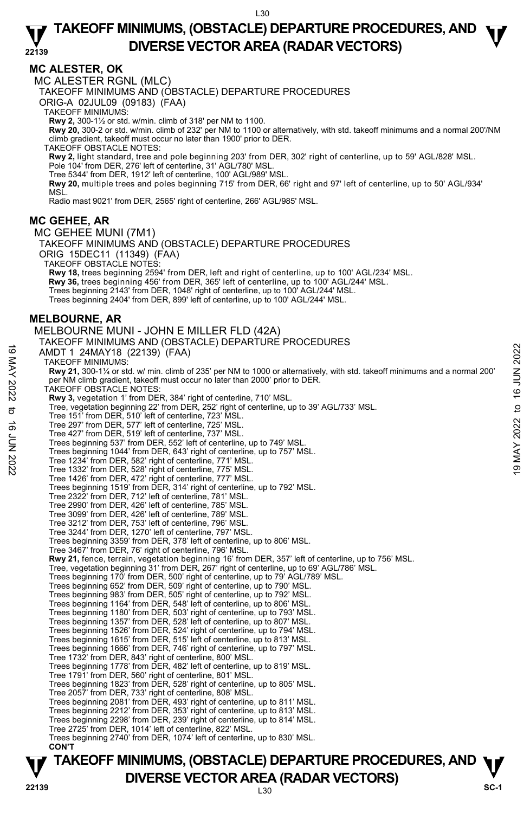### **MC ALESTER, OK**

MC ALESTER RGNL (MLC)

TAKEOFF MINIMUMS AND (OBSTACLE) DEPARTURE PROCEDURES

ORIG-A 02JUL09 (09183) (FAA)

TAKEOFF MINIMUMS:

**Rwy 2,** 300-1½ or std. w/min. climb of 318' per NM to 1100.

**Rwy 20,** 300-2 or std. w/min. climb of 232' per NM to 1100 or alternatively, with std. takeoff minimums and a normal 200'/NM climb gradient, takeoff must occur no later than 1900' prior to DER.

TAKEOFF OBSTACLE NOTES:

**Rwy 2,** light standard, tree and pole beginning 203' from DER, 302' right of centerline, up to 59' AGL/828' MSL.<br>Pole 104' from DER, 276' left of centerline, 31' AGL/780' MSL.

Tree 5344' from DER, 1912' left of centerline, 100' AGL/989' MSL.

**Rwy 20,** multiple trees and poles beginning 715' from DER, 66' right and 97' left of centerline, up to 50' AGL/934' MSL.

Radio mast 9021' from DER, 2565' right of centerline, 266' AGL/985' MSL.

### **MC GEHEE, AR**

MC GEHEE MUNI (7M1) TAKEOFF MINIMUMS AND (OBSTACLE) DEPARTURE PROCEDURES ORIG 15DEC11 (11349) (FAA) TAKEOFF OBSTACLE NOTES: **Rwy 18,** trees beginning 2594' from DER, left and right of centerline, up to 100' AGL/234' MSL. **Rwy 36,** trees beginning 456' from DER, 365' left of centerline, up to 100' AGL/244' MSL. Trees beginning 2143' from DER, 1048' right of centerline, up to 100' AGL/244' MSL. Trees beginning 2404' from DER, 899' left of centerline, up to 100' AGL/244' MSL. **MELBOURNE, AR**  MELBOURNE MUNI - JOHN E MILLER FLD (42A) TAKEOFF MINIMUMS AND (OBSTACLE) DEPARTURE PROCEDURES AMDT 1 24MAY18 (22139) (FAA) TAKEOFF MINIMUMS: **Rwy 21,** 300-1¼ or std. w/ min. climb of 235' per NM to 1000 or alternatively, with std. takeoff minimums and a normal 200' per NM climb gradient, takeoff must occur no later than 2000' prior to DER. TAKEOFF OBSTACLE NOTES: **Rwy 3,** vegetation 1' from DER, 384' right of centerline, 710' MSL.<br>Tree, vegetation beginning 22' from DER, 252' right of centerline, up to 39' AGL/733' MSL. Tree 151' from DER, 510' left of centerline, 723' MSL. Tree 297' from DER, 577' left of centerline, 725' MSL. Tree 427' from DER, 519' left of centerline, 737' MSL. Trees beginning 537' from DER, 552' left of centerline, up to 749' MSL. Trees beginning 1044' from DER, 643' right of centerline, up to 757' MSL. Tree 1234' from DER, 582' right of centerline, 771' MSL. Tree 1332' from DER, 528' right of centerline, 775' MSL. Tree 1426' from DER, 472' right of centerline, 777' MSL. Trees beginning 1519' from DER, 314' right of centerline, up to 792' MSL. Tree 2322' from DER, 712' left of centerline, 781' MSL. Tree 2990' from DER, 426' left of centerline, 785' MSL. Tree 3099' from DER, 426' left of centerline, 789' MSL. Tree 3212' from DER, 753' left of centerline, 796' MSL. Tree 3244' from DER, 1270' left of centerline, 797' MSL. Trees beginning 3359' from DER, 378' left of centerline, up to 806' MSL. Tree 3467' from DER, 76' right of centerline, 796' MSL. **Rwy 21,** fence, terrain, vegetation beginning 16' from DER, 357' left of centerline, up to 756' MSL. Tree, vegetation beginning 31' from DER, 267' right of centerline, up to 69' AGL/786' MSL. Trees beginning 170' from DER, 500' right of centerline, up to 79' AGL/789' MSL.<br>Trees beginning 652' from DER, 509' right of centerline, up to 790' MSL.<br>Trees beginning 983' from DER, 505' right of centerline, up to 792' Trees beginning 1164' from DER, 548' left of centerline, up to 806' MSL. Trees beginning 1180' from DER, 503' right of centerline, up to 793' MSL. Trees beginning 1357' from DER, 528' left of centerline, up to 807' MSL. Trees beginning 1526' from DER, 524' right of centerline, up to 794' MSL. Trees beginning 1615' from DER, 515' left of centerline, up to 813' MSL. Trees beginning 1666' from DER, 746' right of centerline, up to 797' MSL. Tree 1732' from DER, 843' right of centerline, 800' MSL. Trees beginning 1778' from DER, 482' left of centerline, up to 819' MSL. Tree 1791' from DER, 560' right of centerline, 801' MSL. Trees beginning 1823' from DER, 528' right of centerline, up to 805' MSL. Tree 2057' from DER, 733' right of centerline, 808' MSL. Trees beginning 2081' from DER, 493' right of centerline, up to 811' MSL. Trees beginning 2212' from DER, 353' right of centerline, up to 813' MSL. Trees beginning 2298' from DER, 239' right of centerline, up to 814' MSL. Tree 2725' from DER, 1014' left of centerline, 822' MSL. Trees beginning 2740' from DER, 1074' left of centerline, up to 830' MSL. **CON'T**  AMDT 1 24MAY18 (22139) (FAA)<br>
TAKEOFF MINIMUMS:<br>
TAKEOFF MINIMUMS:<br>
TAKEOFF MINIMUMS:<br>
TAKEOFF MINIMUMS:<br>
TAKEOFF MINIMUMS:<br>
TAKEOFF MINIMUMS:<br>
TAKEOFF MINIMUMS:<br>
TAKEOFF OBSTACLE NOTES:<br>
TAKEOFF OBSTACLE NOTES:<br>
TAKEOFF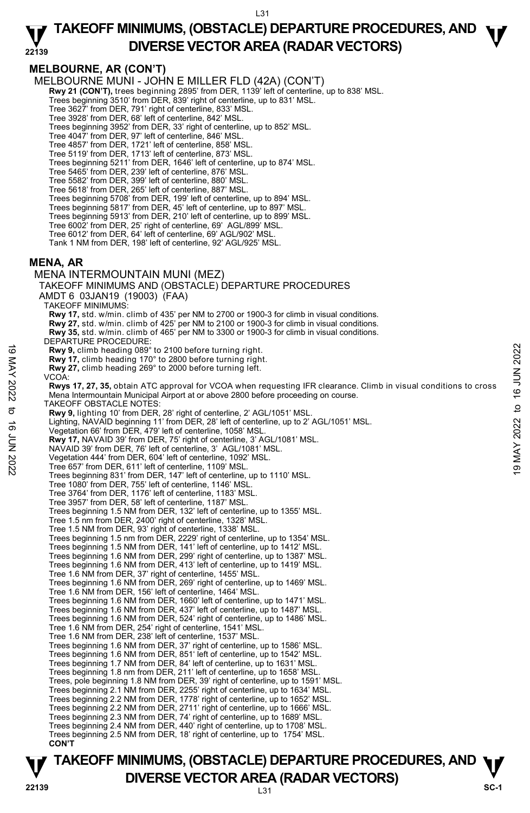#### **22139 TAKEOFF MINIMUMS, (OBSTACLE) DEPARTURE PROCEDURES, AND**  $\Psi$ **DIVERSE VECTOR AREA (RADAR VECTORS)**

## **MELBOURNE, AR (CON'T)**

MELBOURNE MUNI - JOHN E MILLER FLD (42A) (CON'T)

**Rwy 21 (CON'T),** trees beginning 2895' from DER, 1139' left of centerline, up to 838' MSL.

Trees beginning 3510' from DER, 839' right of centerline, up to 831' MSL.

Tree 3627' from DER, 791' right of centerline, 833' MSL.

Tree 3928' from DER, 68' left of centerline, 842' MSL.

- Trees beginning 3952' from DER, 33' right of centerline, up to 852' MSL.
- Tree 4047' from DER, 97' left of centerline, 846' MSL. Tree 4857' from DER, 1721' left of centerline, 858' MSL.
- 
- Tree 5119' from DER, 1713' left of centerline, 873' MSL. Trees beginning 5211' from DER, 1646' left of centerline, up to 874' MSL.
- Tree 5465' from DER, 239' left of centerline, 876' MSL.
- 
- Tree 5582' from DER, 399' left of centerline, 880' MSL. Tree 5618' from DER, 265' left of centerline, 887' MSL.

Trees beginning 5708' from DER, 199' left of centerline, up to 894' MSL.

Trees beginning 5817' from DER, 45' left of centerline, up to 897' MSL.

- Trees beginning 5913' from DER, 210' left of centerline, up to 899' MSL. Tree 6002' from DER, 25' right of centerline, 69' AGL/899' MSL.
- Tree 6012' from DER, 64' left of centerline, 69' AGL/902' MSL.

Tank 1 NM from DER, 198' left of centerline, 92' AGL/925' MSL.

### **MENA, AR**

MENA INTERMOUNTAIN MUNI (MEZ) TAKEOFF MINIMUMS AND (OBSTACLE) DEPARTURE PROCEDURES AMDT 6 03JAN19 (19003) (FAA) TAKEOFF MINIMUMS: **Rwy 17,** std. w/min. climb of 435' per NM to 2700 or 1900-3 for climb in visual conditions. **Rwy 27,** std. w/min. climb of 425' per NM to 2100 or 1900-3 for climb in visual conditions. **Rwy 35,** std. w/min. climb of 465' per NM to 3300 or 1900-3 for climb in visual conditions. DEPARTURE PROCEDURE **Rwy 9,** climb heading 089° to 2100 before turning right. **Rwy 17,** climb heading 170° to 2800 before turning right. **Rwy 27,** climb heading 269° to 2000 before turning left. VCOA: **Rwys 17, 27, 35,** obtain ATC approval for VCOA when requesting IFR clearance. Climb in visual conditions to cross Mena Intermountain Municipal Airport at or above 2800 before proceeding on course. TAKEOFF OBSTACLE NOTES: **Rwy 9,** lighting 10' from DER, 28' right of centerline, 2' AGL/1051' MSL. Lighting, NAVAID beginning 11' from DER, 28' left of centerline, up to 2' AGL/1051' MSL. Vegetation 66' from DER, 479' left of centerline, 1058' MSL **Rwy 17,** NAVAID 39' from DER, 75' right of centerline, 3' AGL/1081' MSL. NAVAID 39' from DER, 76' left of centerline, 3' AGL/1081' MSL. Vegetation 444' from DER, 604' left of centerline, 1092' MSL. Tree 657' from DER, 611' left of centerline, 1109' MSL. Trees beginning 831' from DER, 147' left of centerline, up to 1110' MSL. Tree 1080' from DER, 755' left of centerline, 1146' MSL. Tree 3764' from DER, 1176' left of centerline, 1183' MSL. Tree 3957' from DER, 58' left of centerline, 1187' MSL. Trees beginning 1.5 NM from DER, 132' left of centerline, up to 1355' MSL. Tree 1.5 nm from DER, 2400' right of centerline, 1328' MSL. Tree 1.5 NM from DER, 93' right of centerline, 1338' MSL. Trees beginning 1.5 nm from DER, 2229' right of centerline, up to 1354' MSL. Trees beginning 1.5 NM from DER, 141' left of centerline, up to 1412' MSL. Trees beginning 1.6 NM from DER, 299' right of centerline, up to 1387' MSL. Trees beginning 1.6 NM from DER, 413' left of centerline, up to 1419' MSL. Tree 1.6 NM from DER, 37' right of centerline, 1455' MSL. Trees beginning 1.6 NM from DER, 269' right of centerline, up to 1469' MSL. Tree 1.6 NM from DER, 156' left of centerline, 1464' MSL. Trees beginning 1.6 NM from DER, 1660' left of centerline, up to 1471' MSL. Trees beginning 1.6 NM from DER, 437' left of centerline, up to 1487' MSL. Trees beginning 1.6 NM from DER, 524' right of centerline, up to 1486' MSL. Tree 1.6 NM from DER, 254' right of centerline, 1541' MSL. Tree 1.6 NM from DER, 238' left of centerline, 1537' MSL. Trees beginning 1.6 NM from DER, 37' right of centerline, up to 1586' MSL. Trees beginning 1.6 NM from DER, 851' left of centerline, up to 1542' MSL. Trees beginning 1.7 NM from DER, 84' left of centerline, up to 1631' MSL. Trees beginning 1.8 nm from DER, 211' left of centerline, up to 1658' MSL. Trees, pole beginning 1.8 NM from DER, 39' right of centerline, up to 1591' MSL. Trees beginning 2.1 NM from DER, 2255' right of centerline, up to 1634' MSL. Trees beginning 2.2 NM from DER, 1778' right of centerline, up to 1652' MSL. Trees beginning 2.2 NM from DER, 2711' right of centerline, up to 1666' MSL. Trees beginning 2.3 NM from DER, 74' right of centerline, up to 1689' MSL. Trees beginning 2.4 NM from DER, 440' right of centerline, up to 1708' MSL. Trees beginning 2.5 NM from DER, 18' right of centerline, up to 1754' MSL. **CON'T**  Rwy 9, climb heading 089° to 2100 before turning right.<br>
Rwy 17, climb heading 170° to 2800 before turning right.<br>
News 17, climb heading 269° to 2000 before turning left.<br>
YCOA:<br>
News 17, 27, 35, obtain ATC approval for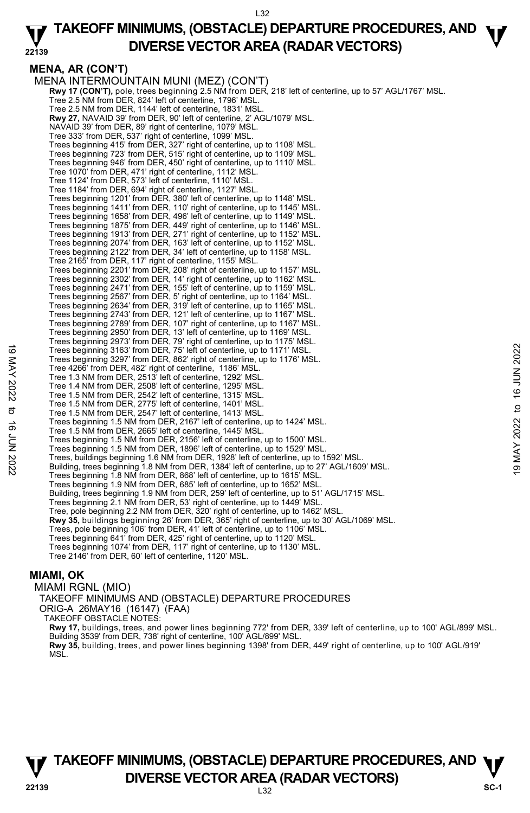### **22139 TAKEOFF MINIMUMS, (OBSTACLE) DEPARTURE PROCEDURES, AND**  $\Psi$ **DIVERSE VECTOR AREA (RADAR VECTORS)**

**MENA, AR (CON'T)**  MENA INTERMOUNTAIN MUNI (MEZ) (CON'T) **Rwy 17 (CON'T),** pole, trees beginning 2.5 NM from DER, 218' left of centerline, up to 57' AGL/1767' MSL.<br>Tree 2.5 NM from DER, 824' left of centerline, 1796' MSL. Tree 2.5 NM from DER, 1144' left of centerline, 1831' MSL. **Rwy 27,** NAVAID 39' from DER, 90' left of centerline, 2' AGL/1079' MSL. NAVAID 39' from DER, 89' right of centerline, 1079' MSL. Tree 333' from DER, 537' right of centerline, 1099' MSL. Trees beginning 415' from DER, 327' right of centerline, up to 1108' MSL. Trees beginning 723' from DER, 515' right of centerline, up to 1109' MSL. Trees beginning 946' from DER, 450' right of centerline, up to 1110' MSL. Tree 1070' from DER, 471' right of centerline, 1112' MSL. Tree 1124' from DER, 573' left of centerline, 1110' MSL. Tree 1184' from DER, 694' right of centerline, 1127' MSL. Trees beginning 1201' from DER, 380' left of centerline, up to 1148' MSL. Trees beginning 1411' from DER, 110' right of centerline, up to 1145' MSL. Trees beginning 1658' from DER, 496' left of centerline, up to 1149' MSL. Trees beginning 1875' from DER, 449' right of centerline, up to 1146' MSL. Trees beginning 1913' from DER, 271' right of centerline, up to 1152' MSL. Trees beginning 2074' from DER, 163' left of centerline, up to 1152' MSL. Trees beginning 2122' from DER, 34' left of centerline, up to 1158' MSL. Tree 2165' from DER, 117' right of centerline, 1155' MSL. Trees beginning 2201' from DER, 208' right of centerline, up to 1157' MSL. Trees beginning 2302' from DER, 14' right of centerline, up to 1162' MSL.<br>Trees beginning 2471' from DER, 155' left of centerline, up to 1164' MSL.<br>Trees beginning 2567' from DER, 5' right of centerline, up to 1164' MSL. Trees beginning 2634' from DER, 319' left of centerline, up to 1165' MSL. Trees beginning 2743' from DER, 121' left of centerline, up to 1167' MSL. Trees beginning 2789' from DER, 107' right of centerline, up to 1167' MSL. Trees beginning 2950' from DER, 13' left of centerline, up to 1169' MSL. Trees beginning 2973' from DER, 79' right of centerline, up to 1175' MSL. Trees beginning 3163' from DER, 75' left of centerline, up to 1171' MSL. Trees beginning 3297' from DER, 862' right of centerline, up to 1176' MSL. Tree 4266' from DER, 482' right of centerline, 1186' MSL. Tree 1.3 NM from DER, 2513' left of centerline, 1292' MSL. Tree 1.4 NM from DER, 2508' left of centerline, 1295' MSL. Tree 1.5 NM from DER, 2542' left of centerline, 1315' MSL. Tree 1.5 NM from DER, 2775' left of centerline, 1401' MSL. Tree 1.5 NM from DER, 2547' left of centerline, 1413' MSL. Trees beginning 1.5 NM from DER, 2167' left of centerline, up to 1424' MSL. Tree 1.5 NM from DER, 2665' left of centerline, 1445' MSL. Trees beginning 1.5 NM from DER, 2156' left of centerline, up to 1500' MSL. Trees beginning 1.5 NM from DER, 1896' left of centerline, up to 1529' MSL. Trees beginning 3163' from DER, 75' left of centerline, up to 1171' MSL.<br>
Trees beginning 3297' from DER, 862' right of centerline, up to 1171' MSL.<br>
Tree 4266' from DER, 452' right of centerline, 1186' MSL.<br>
Tree 1.3 NM Trees beginning 1.8 NM from DER, 868' left of centerline, up to 1615' MSL. Trees beginning 1.9 NM from DER, 685' left of centerline, up to 1652' MSL. Building, trees beginning 1.9 NM from DER, 259' left of centerline, up to 51' AGL/1715' MSL.<br>Trees beginning 2.1 NM from DER, 53' right of centerline, up to 1449' MSL. Tree, pole beginning 2.2 NM from DER, 320' right of centerline, up to 1462' MSL. **Rwy 35,** buildings beginning 26' from DER, 365' right of centerline, up to 30' AGL/1069' MSL.<br>Trees, pole beginning 106' from DER, 41' left of centerline, up to 1106' MSL. Trees beginning 641' from DER, 425' right of centerline, up to 1120' MSL. Trees beginning 1074' from DER, 117' right of centerline, up to 1130' MSL. Tree 2146' from DER, 60' left of centerline, 1120' MSL. **MIAMI, OK** 

MIAMI RGNL (MIO) TAKEOFF MINIMUMS AND (OBSTACLE) DEPARTURE PROCEDURES ORIG-A 26MAY16 (16147) (FAA) TAKEOFF OBSTACLE NOTES: **Rwy 17,** buildings, trees, and power lines beginning 772' from DER, 339' left of centerline, up to 100' AGL/899' MSL. Building 3539' from DER, 738' right of centerline, 100' AGL/899' MSL.<br>**Rwy 35,** building, trees, and power lines beginning 1398' from DER, 449' right of centerline, up to 100' AGL/919'<br>MSL.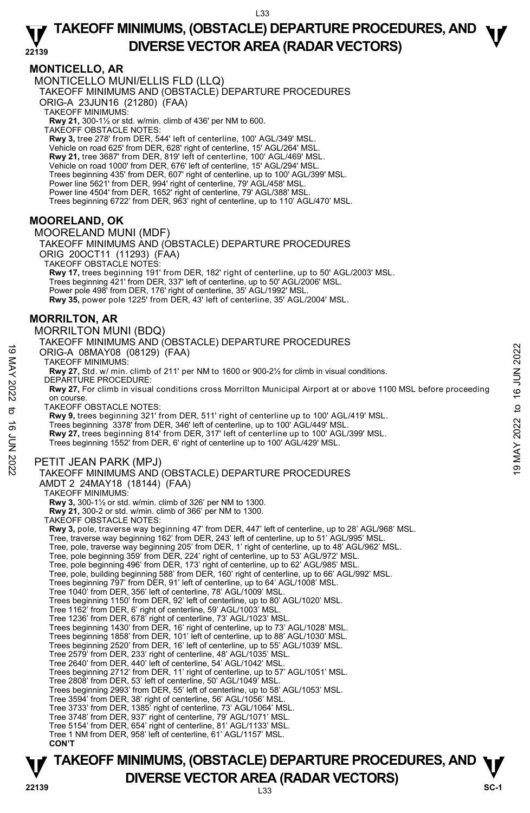### **MONTICELLO, AR**

MONTICELLO MUNI/ELLIS FLD (LLQ) TAKEOFF MINIMUMS AND (OBSTACLE) DEPARTURE PROCEDURES

ORIG-A 23JUN16 (21280) (FAA)

TAKEOFF MINIMUMS:

**Rwy 21,** 300-1½ or std. w/min. climb of 436' per NM to 600. TAKEOFF OBSTACLE NOTES:

**Rwy 3,** tree 278' from DER, 544' left of centerline, 100' AGL/349' MSL. Vehicle on road 625' from DER, 628' right of centerline, 15' AGL/264' MSL. **Rwy 21,** tree 3687' from DER, 819' left of centerline, 100' AGL/469' MSL. Vehicle on road 1000' from DER, 676' left of centerline, 15' AGL/294' MSL. Trees beginning 435' from DER, 607' right of centerline, up to 100' AGL/399' MSL. Power line 5621' from DER, 994' right of centerline, 79' AGL/458' MSL Power line 4504' from DER, 1652' right of centerline, 79' AGL/388' MSL. Trees beginning 6722' from DER, 963' right of centerline, up to 110' AGL/470' MSL.

## **MOORELAND, OK**

MOORELAND MUNI (MDF) TAKEOFF MINIMUMS AND (OBSTACLE) DEPARTURE PROCEDURES ORIG 20OCT11 (11293) (FAA) TAKEOFF OBSTACLE NOTES: **Rwy 17,** trees beginning 191' from DER, 182' right of centerline, up to 50' AGL/2003' MSL. Trees beginning 421' from DER, 337' left of centerline, up to 50' AGL/2006' MSL. Power pole 498' from DER, 176' right of centerline, 35' AGL/1992' MSL. **Rwy 35,** power pole 1225' from DER, 43' left of centerline, 35' AGL/2004' MSL.

## **MORRILTON, AR**

MORRILTON MUNI (BDQ)

**TAKEOFF MINIMUMS, (OBSTACLE) DEPARTURE PROCEDURES, AND**  $\Psi$ **P**<br>22139 **DIVERSE VECTOR AREA (RADAR VECTORS)** SC-1 TAKEOFF MINIMUMS AND (OBSTACLE) DEPARTURE PROCEDURES ORIG-A 08MAY08 (08129) (FAA) TAKEOFF MINIMUMS: **Rwy 27,** Std. w/ min. climb of 211' per NM to 1600 or 900-2½ for climb in visual conditions. DEPARTURE PROCEDURE: **Rwy 27,** For climb in visual conditions cross Morrilton Municipal Airport at or above 1100 MSL before proceeding on course. TAKEOFF OBSTACLE NOTES: **Rwy 9,** trees beginning 321' from DER, 511' right of centerline up to 100' AGL/419' MSL. Trees beginning 3378' from DER, 346' left of centerline, up to 100' AGL/449' MSL. **Rwy 27,** trees beginning 814' from DER, 317' left of centerline up to 100' AGL/399' MSL. Trees beginning 1552' from DER, 6' right of centerline up to 100' AGL/429' MSL. PETIT JEAN PARK (MPJ) TAKEOFF MINIMUMS AND (OBSTACLE) DEPARTURE PROCEDURES AMDT 2 24MAY18 (18144) (FAA) TAKEOFF MINIMUMS: **Rwy 3,** 300-1½ or std. w/min. climb of 326' per NM to 1300. **Rwy 21,** 300-2 or std. w/min. climb of 366' per NM to 1300. TAKEOFF OBSTACLE NOTES: **Rwy 3,** pole, traverse way beginning 47' from DER, 447' left of centerline, up to 28' AGL/968' MSL. Tree, traverse way beginning 162' from DER, 243' left of centerline, up to 51' AGL/995' MSL. Tree, pole, traverse way beginning 205' from DER, 1' right of centerline, up to 48' AGL/962' MSL. Tree, pole beginning 359' from DER, 224' right of centerline, up to 53' AGL/972' MSL. Tree, pole beginning 496' from DER, 173' right of centerline, up to 62' AGL/985' MSL. Tree, pole, building beginning 588' from DER, 160' right of centerline, up to 66' AGL/992' MSL. Trees beginning 797' from DER, 91' left of centerline, up to 64' AGL/1008' MSL. Tree 1040' from DER, 356' left of centerline, 78' AGL/1009' MSL Trees beginning 1150' from DER, 92' left of centerline, up to 80' AGL/1020' MSL. Tree 1162' from DER, 6' right of centerline, 59' AGL/1003' MSL. Tree 1236' from DER, 678' right of centerline, 73' AGL/1023' MSL. Trees beginning 1430' from DER, 16' right of centerline, up to 73' AGL/1028' MSL. Trees beginning 1858' from DER, 101' left of centerline, up to 88' AGL/1030' MSL. Trees beginning 2520' from DER, 16' left of centerline, up to 55' AGL/1039' MSL. Tree 2579' from DER, 233' right of centerline, 48' AGL/1035' MSL. Tree 2640' from DER, 440' left of centerline, 54' AGL/1042' MSL. Trees beginning 2712' from DER, 11' right of centerline, up to 57' AGL/1051' MSL. Tree 2808' from DER, 53' left of centerline, 50' AGL/1049' MSL. Trees beginning 2993' from DER, 55' left of centerline, up to 58' AGL/1053' MSL. Tree 3594' from DER, 38' right of centerline, 56' AGL/1056' MSL. Tree 3733' from DER, 1385' right of centerline, 73' AGL/1064' MSL. Tree 3748' from DER, 937' right of centerline, 79' AGL/1071' MSL. Tree 5154' from DER, 654' right of centerline, 81' AGL/1133' MSL. Tree 1 NM from DER, 958' left of centerline, 61' AGL/1157' MSL. **CON'T**  19 MACHE TO HUMANOR (08129) (FAA)<br>
TAKEOFF MINIMUMS:<br>
TAKEOFF MINIMUMS:<br>
TAKEOFF MINIMUMS:<br>
RW 27, 5td. w/ min. climb of 211' per NM to 1600 or 900-2½ for climb in visual conditions.<br>
DEPARTURE PROCEDURE:<br>
RW 27, For cli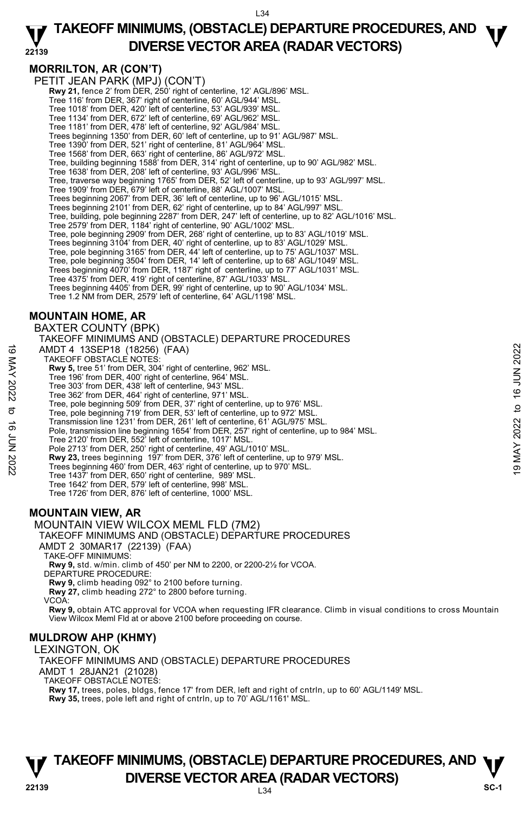### **22139 TAKEOFF MINIMUMS, (OBSTACLE) DEPARTURE PROCEDURES, AND**  $\Psi$ **DIVERSE VECTOR AREA (RADAR VECTORS)**

**MORRILTON, AR (CON'T)** 

PETIT JEAN PARK (MPJ) (CON'T) **Rwy 21,** fence 2' from DER, 250' right of centerline, 12' AGL/896' MSL. Tree 116' from DER, 367' right of centerline, 60' AGL/944' MSL. Tree 1018' from DER, 420' left of centerline, 53' AGL/939' MSL. Tree 1134' from DER, 672' left of centerline, 69' AGL/962' MSL. Tree 1181' from DER, 478' left of centerline, 92' AGL/984' MSL. Trees beginning 1350' from DER, 60' left of centerline, up to 91' AGL/987' MSL. Tree 1390' from DER, 521' right of centerline, 81' AGL/964' MSL. Tree 1568' from DER, 663' right of centerline, 86' AGL/972' MSL. Tree, building beginning 1588' from DER, 314' right of centerline, up to 90' AGL/982' MSL. Tree 1638' from DER, 208' left of centerline, 93' AGL/996' MSL. Tree, traverse way beginning 1765' from DER, 52' left of centerline, up to 93' AGL/997' MSL. Tree 1909' from DER, 679' left of centerline, 88' AGL/1007' MSL. Trees beginning 2067' from DER, 36' left of centerline, up to 96' AGL/1015' MSL. Trees beginning 2101' from DER, 62' right of centerline, up to 84' AGL/997' MSL. Tree, building, pole beginning 2287' from DER, 247' left of centerline, up to 82' AGL/1016' MSL. Tree 2579' from DER, 1184' right of centerline, 90' AGL/1002' MSL. Tree, pole beginning 2909' from DER, 268' right of centerline, up to 83' AGL/1019' MSL. Trees beginning 3104' from DER, 40' right of centerline, up to 83' AGL/1029' MSL. Tree, pole beginning 3165' from DER, 44' left of centerline, up to 75' AGL/1037' MSL. Tree, pole beginning 3504' from DER, 14' left of centerline, up to 68' AGL/1049' MSL. Trees beginning 4070' from DER, 1187' right of centerline, up to 77' AGL/1031' MSL. Tree 4375' from DER, 419' right of centerline, 87' AGL/1033' MSL. Trees beginning 4405' from DER, 99' right of centerline, up to 90' AGL/1034' MSL. Tree 1.2 NM from DER, 2579' left of centerline, 64' AGL/1198' MSL. **MOUNTAIN HOME, AR**  BAXTER COUNTY (BPK) TAKEOFF MINIMUMS AND (OBSTACLE) DEPARTURE PROCEDURES AMDT 4 13SEP18 (18256) (FAA) TAKEOFF OBSTACLE NOTES: **Rwy 5,** tree 51' from DER, 304' right of centerline, 962' MSL. Tree 196' from DER, 400' right of centerline, 964' MSL. Tree 303' from DER, 438' left of centerline, 943' MSL. Tree 362' from DER, 464' right of centerline, 971' MSL. Tree, pole beginning 509' from DER, 37' right of centerline, up to 976' MSL. Tree, pole beginning 719' from DER, 53' left of centerline, up to 972' MSL. Transmission line 1231' from DER, 261' left of centerline, 61' AGL/975' MSL. Pole, transmission line beginning 1654' from DER, 257' right of centerline, up to 984' MSL.<br>Tree 2120' from DER, 552' left of centerline, 1017' MSL.<br>Pole 2713' from DER, 250' right of centerline, 49' AGL/1010' MSL. **Rwy 23,** trees beginning 197' from DER, 376' left of centerline, up to 979' MSL. Trees beginning 460' from DER, 463' right of centerline, up to 970' MSL. Tree 1437' from DER, 650' right of centerline, 989' MSL. Tree 1642' from DER, 579' left of centerline, 998' MSL. Tree 1726' from DER, 876' left of centerline, 1000' MSL. **MOUNTAIN VIEW, AR**  MOUNTAIN VIEW WILCOX MEML FLD (7M2) TAKEOFF MINIMUMS AND (OBSTACLE) DEPARTURE PROCEDURES AMDT 4 13SEP18 (18256) (FAA)<br>
TAKEOFF OBSTACLE NOTES:<br>
THE AWY 5, tree 51' from DER, 304' right of centerline, 962' MSL.<br>
Tree 303' from DER, 400' right of centerline, 944' MSL.<br>
Tree 303' from DER, 438' left of centerl

- AMDT 2 30MAR17 (22139) (FAA)
- TAKE-OFF MINIMUMS:

**Rwy 9,** std. w/min. climb of 450' per NM to 2200, or 2200-2½ for VCOA.

DEPARTURE PROCEDURE:

**Rwy 9,** climb heading 092° to 2100 before turning.

**Rwy 27,** climb heading 272° to 2800 before turning.

VCOA:

**Rwy 9,** obtain ATC approval for VCOA when requesting IFR clearance. Climb in visual conditions to cross Mountain View Wilcox Meml Fld at or above 2100 before proceeding on course.

### **MULDROW AHP (KHMY)**

LEXINGTON, OK TAKEOFF MINIMUMS AND (OBSTACLE) DEPARTURE PROCEDURES AMDT 1 28JAN21 (21028) TAKEOFF OBSTACLE NOTES: **Rwy 17,** trees, poles, bldgs, fence 17' from DER, left and right of cntrln, up to 60' AGL/1149' MSL. **Rwy 35,** trees, pole left and right of cntrln, up to 70' AGL/1161' MSL.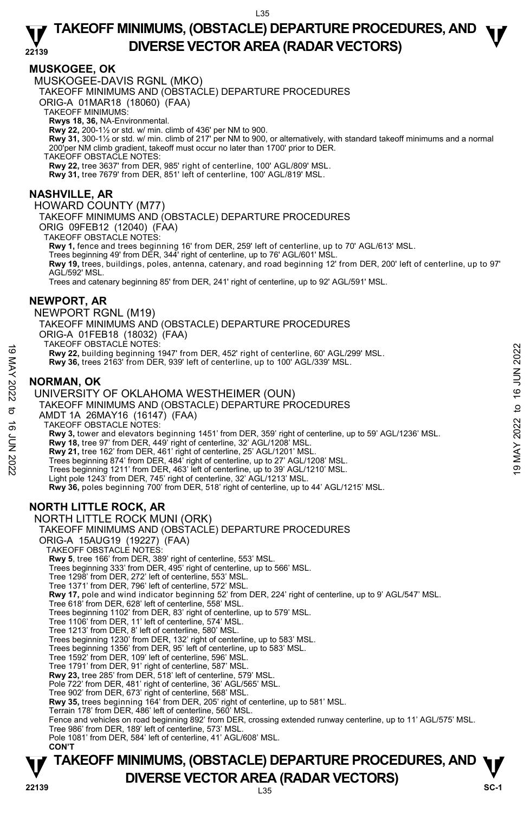## **MUSKOGEE, OK**

MUSKOGEE-DAVIS RGNL (MKO)

TAKEOFF MINIMUMS AND (OBSTACLE) DEPARTURE PROCEDURES

ORIG-A 01MAR18 (18060) (FAA)

TAKEOFF MINIMUMS:

**Rwys 18, 36,** NA-Environmental.<br>**Rwy 22,** 200-1½ or std. w/ min. climb of 436' per NM to 900.

**Rwy 31,** 300-1½ or std. w/ min. climb of 217' per NM to 900, or alternatively, with standard takeoff minimums and a normal 200'per NM climb gradient, takeoff must occur no later than 1700' prior to DER.

TAKEOFF OBSTACLE NOTES:

**Rwy 22,** tree 3637' from DER, 985' right of centerline, 100' AGL/809' MSL.

**Rwy 31,** tree 7679' from DER, 851' left of centerline, 100' AGL/819' MSL.

## **NASHVILLE, AR**

HOWARD COUNTY (M77)

TAKEOFF MINIMUMS AND (OBSTACLE) DEPARTURE PROCEDURES

ORIG 09FEB12 (12040) (FAA) TAKEOFF OBSTACLE NOTES:

**Rwy 1,** fence and trees beginning 16' from DER, 259' left of centerline, up to 70' AGL/613' MSL.<br>Trees beginning 49' from DER, 344' right of centerline, up to 76' AGL/601' MSL.

**Rwy 19,** trees, buildings, poles, antenna, catenary, and road beginning 12' from DER, 200' left of centerline, up to 97' AGL/592' MSL.

Trees and catenary beginning 85' from DER, 241' right of centerline, up to 92' AGL/591' MSL.

### **NEWPORT, AR**

NEWPORT RGNL (M19) TAKEOFF MINIMUMS AND (OBSTACLE) DEPARTURE PROCEDURES ORIG-A 01FEB18 (18032) (FAA) TAKEOFF OBSTACLE NOTES: **Rwy 22,** building beginning 1947' from DER, 452' right of centerline, 60' AGL/299' MSL. **Rwy 36,** trees 2163' from DER, 939' left of centerline, up to 100' AGL/339' MSL. **NORMAN, OK**  UNIVERSITY OF OKLAHOMA WESTHEIMER (OUN) 19 MART UNITED ISSUES TO USE THE MET AND THE SUPPOSE THE MAY 36, trees 2163' from DER, 939' left of centerline, up to 100' AGL/339' MSL.<br>
NORMAN, OK<br>
UNIVERSITY OF OKLAHOMA WESTHEIMER (OUN)<br>
TAKEOFF MINIMUMS AND (OBSTACLE

TAKEOFF MINIMUMS AND (OBSTACLE) DEPARTURE PROCEDURES

AMDT 1A 26MAY16 (16147) (FAA) TAKEOFF OBSTACLE NOTES:

**Rwy 3,** tower and elevators beginning 1451' from DER, 359' right of centerline, up to 59' AGL/1236' MSL.

**Rwy 18,** tree 97' from DER, 449' right of centerline, 32' AGL/1208' MSL.

**Rwy 21,** tree 162' from DER, 461' right of centerline, 25' AGL/1201' MSL.

Trees beginning 874' from DER, 484' right of centerline, up to 27' AGL/1208' MSL. Trees beginning 1211' from DER, 463' left of centerline, up to 39' AGL/1210' MSL.

Light pole 1243' from DER, 745' right of centerline, 32' AGL/1213' MSL.

**Rwy 36,** poles beginning 700' from DER, 518' right of centerline, up to 44' AGL/1215' MSL.

## **NORTH LITTLE ROCK, AR**

NORTH LITTLE ROCK MUNI (ORK) TAKEOFF MINIMUMS AND (OBSTACLE) DEPARTURE PROCEDURES ORIG-A 15AUG19 (19227) (FAA) TAKEOFF OBSTACLE NOTES: **Rwy 5**, tree 166' from DER, 389' right of centerline, 553' MSL. Trees beginning 333' from DER, 495' right of centerline, up to 566' MSL. Tree 1298' from DER, 272' left of centerline, 553' MSL. Tree 1371' from DER, 796' left of centerline, 572' MSL. **Rwy 17,** pole and wind indicator beginning 52' from DER, 224' right of centerline, up to 9' AGL/547' MSL. Tree 618' from DER, 628' left of centerline, 558' MSL. Trees beginning 1102' from DER, 83' right of centerline, up to 579' MSL. Tree 1106' from DER, 11' left of centerline, 574' MSL. Tree 1213' from DER, 8' left of centerline, 580' MSL. Trees beginning 1230' from DER, 132' right of centerline, up to 583' MSL. Trees beginning 1356' from DER, 95' left of centerline, up to 583' MSL. Tree 1592' from DER, 109' left of centerline, 596' MSL. Tree 1791' from DER, 91' right of centerline, 587' MSL. **Rwy 23,** tree 285' from DER, 518' left of centerline, 579' MSL. Pole 722' from DER, 481' right of centerline, 36' AGL/565' MSL. Tree 902' from DER, 673' right of centerline, 568' MSL. **Rwy 35,** trees beginning 164' from DER, 205' right of centerline, up to 581' MSL. Terrain 178' from DER, 486' left of centerline, 560' MSL. Fence and vehicles on road beginning 892' from DER, crossing extended runway centerline, up to 11' AGL/575' MSL. Tree 986' from DER, 189' left of centerline, 573' MSL. Pole 1081' from DER, 584' left of centerline, 41' AGL/608' MSL. **CON'T**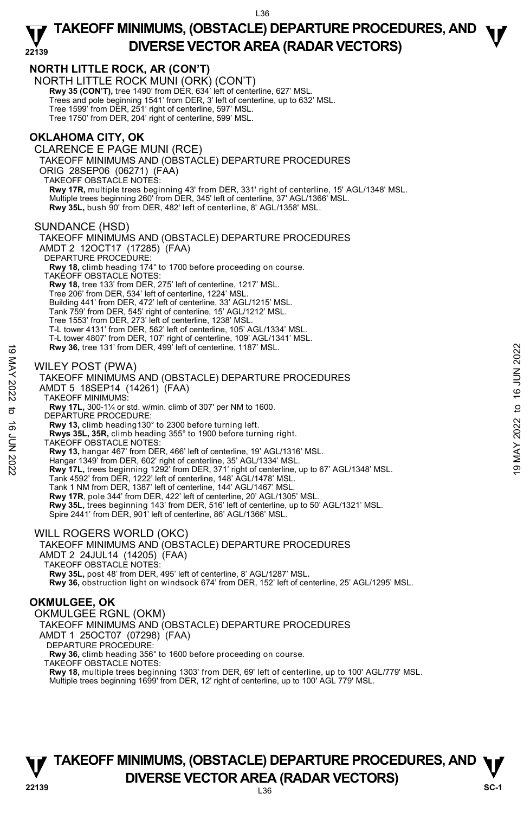

**Rwy 18,** multiple trees beginning 1303' from DER, 69' left of centerline, up to 100' AGL/779' MSL.<br>Multiple trees beginning 1699' from DER, 12' right of centerline, up to 100' AGL 779' MSL.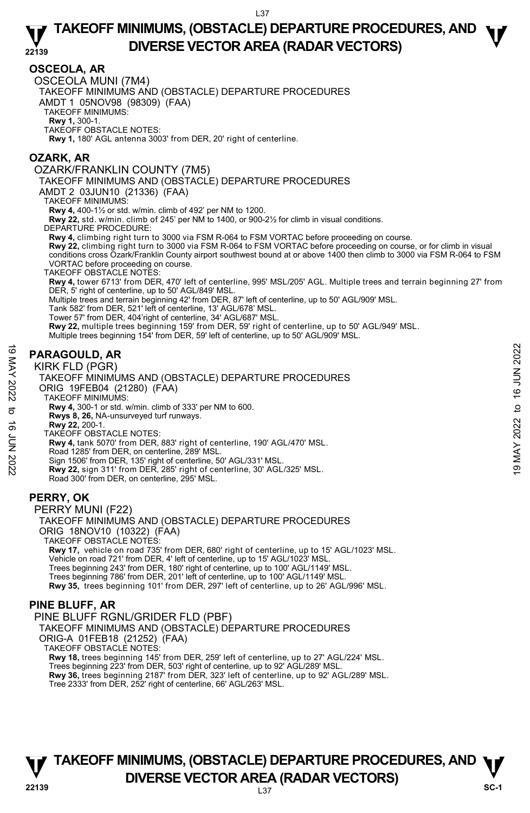## **OSCEOLA, AR**

OSCEOLA MUNI (7M4)

TAKEOFF MINIMUMS AND (OBSTACLE) DEPARTURE PROCEDURES

AMDT 1 05NOV98 (98309) (FAA)

TAKEOFF MINIMUMS:

**Rwy 1,** 300-1. TAKEOFF OBSTACLE NOTES:

**Rwy 1,** 180' AGL antenna 3003' from DER, 20' right of centerline.

## **OZARK, AR**

OZARK/FRANKLIN COUNTY (7M5)

TAKEOFF MINIMUMS AND (OBSTACLE) DEPARTURE PROCEDURES

AMDT 2 03JUN10 (21336) (FAA)

TAKEOFF MINIMUMS:

**Rwy 4,** 400-1½ or std. w/min. climb of 492' per NM to 1200.

**Rwy 22,** std. w/min. climb of 245' per NM to 1400, or 900-2½ for climb in visual conditions.

DEPARTURE PROCEDURE:

**Rwy 4,** climbing right turn to 3000 via FSM R-064 to FSM VORTAC before proceeding on course.

**Rwy 22,** climbing right turn to 3000 via FSM R-064 to FSM VORTAC before proceeding on course, or for climb in visual<br>conditions cross Ozark/Franklin County airport southwest bound at or above 1400 then climb to 3000 via F VORTAC before proceeding on course.

TAKEOFF OBSTACLE NOTES:

**Rwy 4,** tower 6713' from DER, 470' left of centerline, 995' MSL/205' AGL. Multiple trees and terrain beginning 27' from DER, 5' right of centerline, up to 50' AGL/849' MSL.

Multiple trees and terrain beginning 42' from DER, 87' left of centerline, up to 50' AGL/909' MSL.

Tank 582' from DER, 521' left of centerline, 13' AGL/678' MSL.

Tower 57' from DER, 404'right of centerline, 34' AGL/687' MSL.

**Rwy 22,** multiple trees beginning 159' from DER, 59' right of centerline, up to 50' AGL/949' MSL.

Multiple trees beginning 154' from DER, 59' left of centerline, up to 50' AGL/909' MSL.

## **PARAGOULD, AR**

KIRK FLD (PGR)



PERRY MUNI (F22) TAKEOFF MINIMUMS AND (OBSTACLE) DEPARTURE PROCEDURES ORIG 18NOV10 (10322) (FAA) TAKEOFF OBSTACLE NOTES: **Rwy 17,** vehicle on road 735' from DER, 680' right of centerline, up to 15' AGL/1023' MSL.<br>Vehicle on road 721' from DER, 4' left of centerline, up to 15' AGL/1023' MSL.

Trees beginning 243' from DER, 180' right of centerline, up to 100' AGL/1149' MSL. Trees beginning 786' from DER, 201' left of centerline, up to 100' AGL/1149' MSL. **Rwy 35,** trees beginning 101' from DER, 297' left of centerline, up to 26' AGL/996' MSL.

### **PINE BLUFF, AR**

PINE BLUFF RGNL/GRIDER FLD (PBF)

TAKEOFF MINIMUMS AND (OBSTACLE) DEPARTURE PROCEDURES

ORIG-A 01FEB18 (21252) (FAA)

TAKEOFF OBSTACLE NOTES:

**Rwy 18,** trees beginning 145' from DER, 259' left of centerline, up to 27' AGL/224' MSL. Trees beginning 223' from DER, 503' right of centerline, up to 92' AGL/289' MSL. **Rwy 36,** trees beginning 2187' from DER, 323' left of centerline, up to 92' AGL/289' MSL.<br>Tree 2333' from DER, 252' right of centerline, 66' AGL/263' MSL.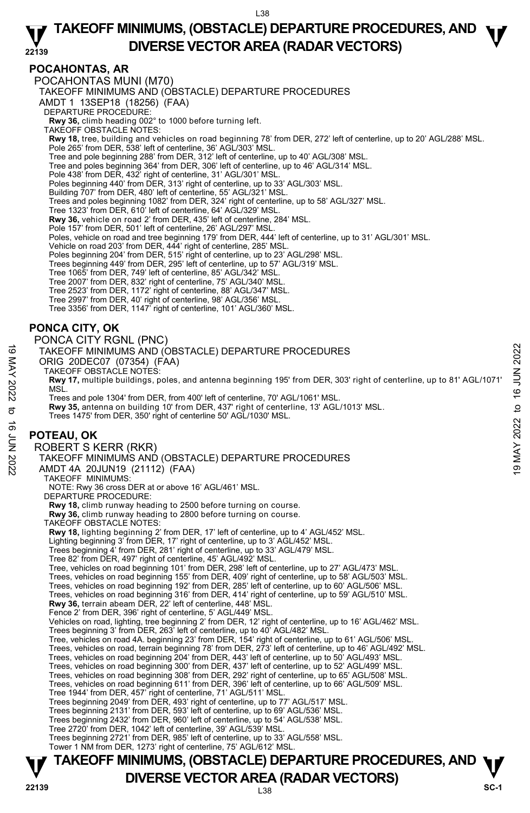### **22139 TAKEOFF MINIMUMS, (OBSTACLE) DEPARTURE PROCEDURES, AND**  $\Psi$ **DIVERSE VECTOR AREA (RADAR VECTORS)**

## **POCAHONTAS, AR**

POCAHONTAS MUNI (M70)

TAKEOFF MINIMUMS AND (OBSTACLE) DEPARTURE PROCEDURES

AMDT 1 13SEP18 (18256) (FAA)

DEPARTURE PROCEDURE:

**Rwy 36,** climb heading 002° to 1000 before turning left. TAKEOFF OBSTACLE NOTES:

**Rwy 18,** tree, building and vehicles on road beginning 78' from DER, 272' left of centerline, up to 20' AGL/288' MSL. Pole 265' from DER, 538' left of centerline, 36' AGL/303' MSL.

Tree and pole beginning 288' from DER, 312' left of centerline, up to 40' AGL/308' MSL

Tree and poles beginning 364' from DER, 306' left of centerline, up to 46' AGL/314' MSL.

Pole 438' from DER, 432' right of centerline, 31' AGL/301' MSL.

Poles beginning 440' from DER, 313' right of centerline, up to 33' AGL/303' MSL.

Building 707' from DER, 480' left of centerline, 55' AGL/321' MSL.

Trees and poles beginning 1082' from DER, 324' right of centerline, up to 58' AGL/327' MSL.

Tree 1323' from DER, 610' left of centerline, 64' AGL/329' MSL.

**Rwy 36,** vehicle on road 2' from DER, 435' left of centerline, 284' MSL.

Pole 157' from DER, 501' left of centerline, 26' AGL/297' MSL.

Poles, vehicle on road and tree beginning 179' from DER, 444' left of centerline, up to 31' AGL/301' MSL.

Vehicle on road 203' from DER, 444' right of centerline, 285' MSL.<br>Poles beginning 204' from DER, 515' right of centerline, up to 23' AGL/298' MSL.<br>Trees beginning 449' from DER, 295' left of centerline, up to 57' AGL/319'

Tree 1065' from DER, 749' left of centerline, 85' AGL/342' MSL. Tree 2007' from DER, 832' right of centerline, 75' AGL/340' MSL.

Tree 2523' from DER, 1172' right of centerline, 88' AGL/347' MSL.

Tree 2997' from DER, 40' right of centerline, 98' AGL/356' MSL.

Tree 3356' from DER, 1147' right of centerline, 101' AGL/360' MSL.

## **PONCA CITY, OK**

PONCA CITY RGNL (PNC)

TAKEOFF MINIMUMS AND (OBSTACLE) DEPARTURE PROCEDURES

ORIG 20DEC07 (07354) (FAA)

TAKEOFF OBSTACLE NOTES:

**Rwy 17,** multiple buildings, poles, and antenna beginning 195' from DER, 303' right of centerline, up to 81' AGL/1071' MSL.

Trees and pole 1304' from DER, from 400' left of centerline, 70' AGL/1061' MSL. **Rwy 35,** antenna on building 10' from DER, 437' right of centerline, 13' AGL/1013' MSL. Trees 1475' from DER, 350' right of centerline 50' AGL/1030' MSL.

## **POTEAU, OK**

## ROBERT S KERR (RKR) TAKEOFF MINIMUMS AND (OBSTACLE) DEPARTURE PROCEDURES AMDT 4A 20JUN19 (21112) (FAA) TAKEOFF MINIMUMS: NOTE: Rwy 36 cross DER at or above 16' AGL/461' MSL. DEPARTURE PROCEDURE: **Rwy 18,** climb runway heading to 2500 before turning on course. **Rwy 36,** climb runway heading to 2800 before turning on course. TAKEOFF OBSTACLE NOTES: **Rwy 18,** lighting beginning 2' from DER, 17' left of centerline, up to 4' AGL/452' MSL. Lighting beginning 3' from DER, 17' right of centerline, up to 3' AGL/452' MSL. Trees beginning 4' from DER, 281' right of centerline, up to 33' AGL/479' MSL. Tree 82' from DER, 497' right of centerline, 45' AGL/492' MSL. Tree, vehicles on road beginning 101' from DER, 298' left of centerline, up to 27' AGL/473' MSL. Trees, vehicles on road beginning 155' from DER, 409' right of centerline, up to 58' AGL/503' MSL. Trees, vehicles on road beginning 192' from DER, 285' left of centerline, up to 60' AGL/506' MSL. Trees, vehicles on road beginning 316' from DER, 414' right of centerline, up to 59' AGL/510' MSL. **Rwy 36,** terrain abeam DER, 22' left of centerline, 448' MSL. Fence 2' from DER, 396' right of centerline, 5' AGL/449' MSL. Vehicles on road, lighting, tree beginning 2' from DER, 12' right of centerline, up to 16' AGL/462' MSL. Trees beginning 3' from DER, 263' left of centerline, up to 40' AGL/482' MSL. Tree, vehicles on road 4A. beginning 23' from DER, 154' right of centerline, up to 61' AGL/506' MSL. Trees, vehicles on road, terrain beginning 78' from DER, 273' left of centerline, up to 46' AGL/492' MSL. Trees, vehicles on road beginning 204' from DER, 443' left of centerline, up to 50' AGL/493' MSL. Trees, vehicles on road beginning 300' from DER, 437' left of centerline, up to 52' AGL/499' MSL. Trees, vehicles on road beginning 308' from DER, 292' right of centerline, up to 65' AGL/508' MSL. Trees, vehicles on road beginning 611' from DER, 396' left of centerline, up to 66' AGL/509' MSL. Tree 1944' from DER, 457' right of centerline, 71' AGL/511' MSL. Trees beginning 2049' from DER, 493' right of centerline, up to 77' AGL/517' MSL. Trees beginning 2131' from DER, 593' left of centerline, up to 69' AGL/536' MSL. Trees beginning 2432' from DER, 960' left of centerline, up to 54' AGL/538' MSL. Tree 2720' from DER, 1042' left of centerline, 39' AGL/539' MSL. TAKEOFF MINIMUMS AND (OBSTACLE) DEPARTURE PROCEDURES<br>
ORIG 20DEC07 (07354) (FAA)<br>
TAKEOFF OBSTACLE NOTES.<br>
TAKEOFF OBSTACLE NOTES.<br>
NOT TAKEOFF OBSTACLE NOTES.<br>
MSL.<br>
MSL.<br>
MSL.<br>
Trees and pole 1304' from DER, 160 MAY 17

Trees beginning 2721' from DER, 985' left of centerline, up to 33' AGL/558' MSL. Tower 1 NM from DER, 1273' right of centerline, 75' AGL/612' MSL.

**TAKEOFF MINIMUMS, (OBSTACLE) DEPARTURE PROCEDURES, AND**  $\Psi$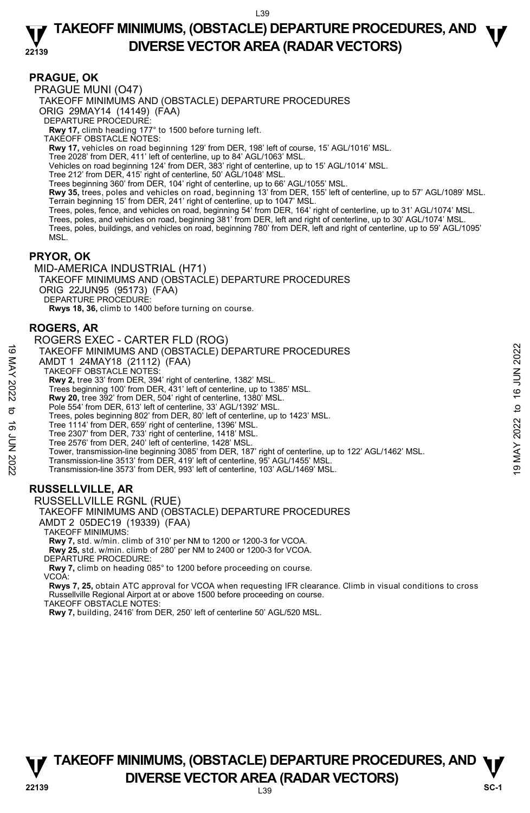### **PRAGUE, OK**

PRAGUE MUNI (O47) TAKEOFF MINIMUMS AND (OBSTACLE) DEPARTURE PROCEDURES ORIG 29MAY14 (14149) (FAA) DEPARTURE PROCEDURE: **Rwy 17,** climb heading 177° to 1500 before turning left. TAKEOFF OBSTACLE NOTES: **Rwy 17,** vehicles on road beginning 129' from DER, 198' left of course, 15' AGL/1016' MSL. Tree 2028' from DER, 411' left of centerline, up to 84' AGL/1063' MSL. Vehicles on road beginning 124' from DER, 383' right of centerline, up to 15' AGL/1014' MSL. Tree 212' from DER, 415' right of centerline, 50' AGL/1048' MSL. Trees beginning 360' from DER, 104' right of centerline, up to 66' AGL/1055' MSL. **Rwy 35,** trees, poles and vehicles on road, beginning 13' from DER, 155' left of centerline, up to 57' AGL/1089' MSL. Terrain beginning 15' from DER, 241' right of centerline, up to 1047' MSL. Trees, poles, fence, and vehicles on road, beginning 54' from DER, 164' right of centerline, up to 31' AGL/1074' MSL. Trees, poles, and vehicles on road, beginning 381' from DER, left and right of centerline, up to 30' AGL/1074' MSL. Trees, poles, buildings, and vehicles on road, beginning 780' from DER, left and right of centerline, up to 59' AGL/1095' MSL.

### **PRYOR, OK**

MID-AMERICA INDUSTRIAL (H71) TAKEOFF MINIMUMS AND (OBSTACLE) DEPARTURE PROCEDURES ORIG 22JUN95 (95173) (FAA) DEPARTURE PROCEDURE: **Rwys 18, 36,** climb to 1400 before turning on course.

### **ROGERS, AR**

| ಠ<br>MAY 2022<br>ಕ<br>ಹೆ<br>70N 2022 | ROGERS EXEC - CARTER FLD (ROG)<br>TAKEOFF MINIMUMS AND (OBSTACLE) DEPARTURE PROCEDURES<br>AMDT 1 24MAY18 (21112) (FAA)<br><b>TAKEOFF OBSTACLE NOTES:</b><br><b>Rwy 2, tree 33' from DER, 394' right of centerline, 1382' MSL.</b><br>Trees beginning 100' from DER, 431' left of centerline, up to 1385' MSL.<br>Rwy 20, tree 392' from DER, 504' right of centerline, 1380' MSL.<br>Pole 554' from DER, 613' left of centerline, 33' AGL/1392' MSL.<br>Trees, poles beginning 802' from DER, 80' left of centerline, up to 1423' MSL.<br>Tree 1114' from DER, 659' right of centerline, 1396' MSL.<br>Tree 2307' from DER, 733' right of centerline, 1418' MSL.<br>Tree 2576' from DER, 240' left of centerline, 1428' MSL.<br>Tower, transmission-line beginning 3085' from DER, 187' right of centerline, up to 122' AGL/1462' MSL.<br>Transmission-line 3513' from DER, 419' left of centerline, 95' AGL/1455' MSL.<br>Transmission-line 3573' from DER, 993' left of centerline, 103' AGL/1469' MSL. | 16 JUN 2022<br>đ<br>2022<br>MAY<br>ë |
|--------------------------------------|-----------------------------------------------------------------------------------------------------------------------------------------------------------------------------------------------------------------------------------------------------------------------------------------------------------------------------------------------------------------------------------------------------------------------------------------------------------------------------------------------------------------------------------------------------------------------------------------------------------------------------------------------------------------------------------------------------------------------------------------------------------------------------------------------------------------------------------------------------------------------------------------------------------------------------------------------------------------------------------------------------------|--------------------------------------|
|                                      | <b>RUSSELLVILLE, AR</b><br>RUSSELLVILLE RGNL (RUE)                                                                                                                                                                                                                                                                                                                                                                                                                                                                                                                                                                                                                                                                                                                                                                                                                                                                                                                                                        |                                      |

TAKEOFF MINIMUMS AND (OBSTACLE) DEPARTURE PROCEDURES AMDT 2 05DEC19 (19339) (FAA)

TAKEOFF MINIMUMS:

**Rwy 7,** std. w/min. climb of 310' per NM to 1200 or 1200-3 for VCOA.

**Rwy 25,** std. w/min. climb of 280' per NM to 2400 or 1200-3 for VCOA. DEPARTURE PROCEDURE:

**Rwy 7,** climb on heading 085° to 1200 before proceeding on course.

VCOA:

**Rwys 7, 25,** obtain ATC approval for VCOA when requesting IFR clearance. Climb in visual conditions to cross Russellville Regional Airport at or above 1500 before proceeding on course.

TAKEOFF OBSTACLE NOTES:

**Rwy 7,** building, 2416' from DER, 250' left of centerline 50' AGL/520 MSL.



L39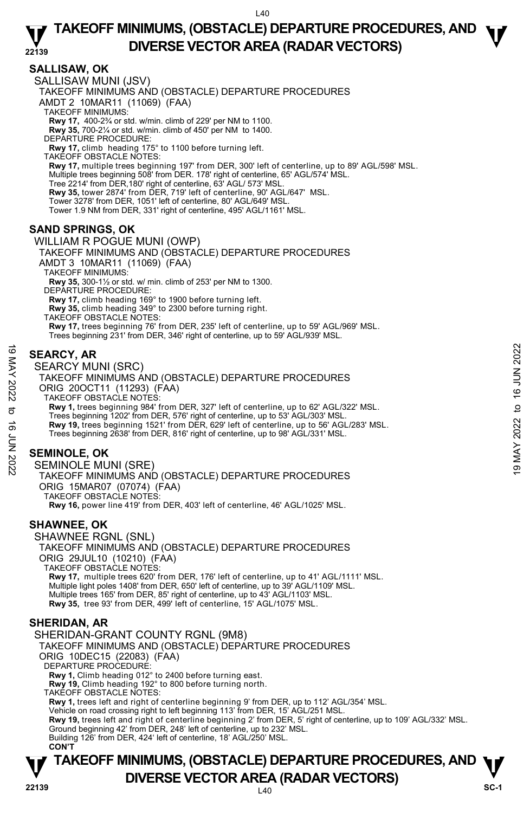## **SALLISAW, OK**

SALLISAW MUNI (JSV)

TAKEOFF MINIMUMS AND (OBSTACLE) DEPARTURE PROCEDURES

AMDT 2 10MAR11 (11069) (FAA)

TAKEOFF MINIMUMS:

**Rwy 17,** 400-2¾ or std. w/min. climb of 229' per NM to 1100. **Rwy 35,** 700-2¼ or std. w/min. climb of 450' per NM to 1400.

DEPARTURE PROCEDURE:

**Rwy 17,** climb heading 175° to 1100 before turning left.

TAKEOFF OBSTACLE NOTES: **Rwy 17,** multiple trees beginning 197' from DER, 300' left of centerline, up to 89' AGL/598' MSL. Multiple trees beginning 508' from DER. 178' right of centerline, 65' AGL/574' MSL. Tree 2214' from DER,180' right of centerline, 63' AGL/ 573' MSL. **Rwy 35,** tower 2874' from DER, 719' left of centerline, 90' AGL/647' MSL. Tower 3278' from DER, 1051' left of centerline, 80' AGL/649' MSL. Tower 1.9 NM from DER, 331' right of centerline, 495' AGL/1161' MSL.

## **SAND SPRINGS, OK**

#### WILLIAM R POGUE MUNI (OWP)

TAKEOFF MINIMUMS AND (OBSTACLE) DEPARTURE PROCEDURES AMDT 3 10MAR11 (11069) (FAA) TAKEOFF MINIMUMS: **Rwy 35,** 300-1½ or std. w/ min. climb of 253' per NM to 1300. DEPARTURE PROCEDURE: **Rwy 17,** climb heading 169° to 1900 before turning left. **Rwy 35,** climb heading 349° to 2300 before turning right. TAKEOFF OBSTACLE NOTES:

**Rwy 17,** trees beginning 76' from DER, 235' left of centerline, up to 59' AGL/969' MSL. Trees beginning 231' from DER, 346' right of centerline, up to 59' AGL/939' MSL.

## **SEARCY, AR**

SEARCY MUNI (SRC)

TAKEOFF MINIMUMS AND (OBSTACLE) DEPARTURE PROCEDURES ORIG 20OCT11 (11293) (FAA) TAKEOFF OBSTACLE NOTES: **Rwy 1,** trees beginning 984' from DER, 327' left of centerline, up to 62' AGL/322' MSL. Trees beginning 1202' from DER, 576' right of centerline, up to 53' AGL/303' MSL. **Rwy 19,** trees beginning 1521' from DER, 629' left of centerline, up to 56' AGL/283' MSL. Trees beginning 2638' from DER, 816' right of centerline, up to 98' AGL/331' MSL. SEARCY, AR<br>
SEARCY MUNI (SRC)<br>
SEARCY MUNI (SRC)<br>
TAKEOFF MINIMUMS AND (OBSTACLE) DEPARTURE PROCEDURES<br>
ORIG 200CT11 (11293) (FAA)<br>
TAKEOFF MINIMUMS AND (OBSTACLE) DEPARTURE PROCEDURES<br>
ORIG 200CT11 (11293) (FAA)<br>
TAKEO

## **SEMINOLE, OK**

SEMINOLE MUNI (SRE) TAKEOFF MINIMUMS AND (OBSTACLE) DEPARTURE PROCEDURES ORIG 15MAR07 (07074) (FAA) TAKEOFF OBSTACLE NOTES: **Rwy 16,** power line 419' from DER, 403' left of centerline, 46' AGL/1025' MSL.

### **SHAWNEE, OK**

SHAWNEE RGNL (SNL) TAKEOFF MINIMUMS AND (OBSTACLE) DEPARTURE PROCEDURES ORIG 29JUL10 (10210) (FAA) TAKEOFF OBSTACLE NOTES: **Rwy 17,** multiple trees 620' from DER, 176' left of centerline, up to 41' AGL/1111' MSL. <br>Multiple light poles 1408' from DER, 650' left of centerline, up to 39' AGL/1109' MSL. Multiple trees 165' from DER, 85' right of centerline, up to 43' AGL/1103' MSL. **Rwy 35,** tree 93' from DER, 499' left of centerline, 15' AGL/1075' MSL.

### **SHERIDAN, AR**

SHERIDAN-GRANT COUNTY RGNL (9M8) TAKEOFF MINIMUMS AND (OBSTACLE) DEPARTURE PROCEDURES ORIG 10DEC15 (22083) (FAA) DEPARTURE PROCEDURE **Rwy 1,** Climb heading 012° to 2400 before turning east. **Rwy 19,** Climb heading 192° to 800 before turning north. TAKEOFF OBSTACLE NOTES: **Rwy 1,** trees left and right of centerline beginning 9' from DER, up to 112' AGL/354' MSL.<br>Vehicle on road crossing right to left beginning 113' from DER, 15' AGL/251 MSL. **Rwy 19,** trees left and right of centerline beginning 2' from DER, 5' right of centerline, up to 109' AGL/332' MSL. Ground beginning 42' from DER, 248' left of centerline, up to 232' MSL. Building 126' from DER, 424' left of centerline, 18' AGL/250' MSL. **CON'T**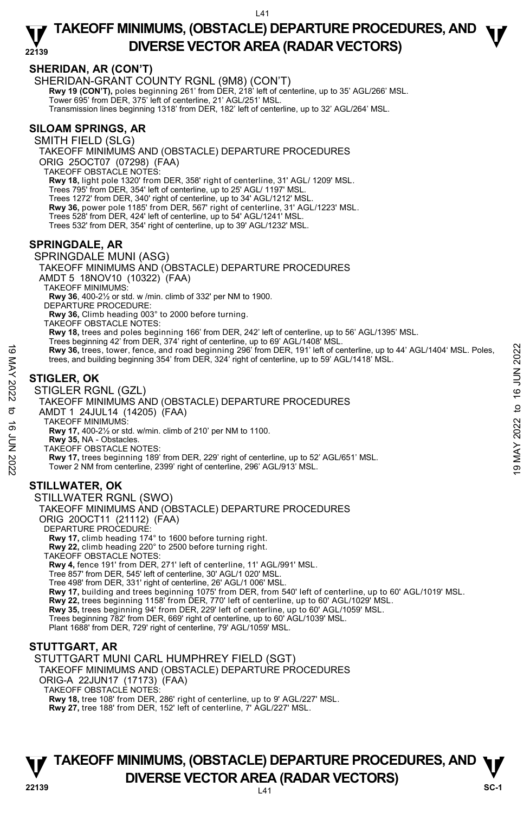## **SHERIDAN, AR (CON'T)**

SHERIDAN-GRANT COUNTY RGNL (9M8) (CON'T) **Rwy 19 (CON'T),** poles beginning 261' from DER, 218' left of centerline, up to 35' AGL/266' MSL.<br>Tower 695' from DER, 375' left of centerline, 21' AGL/251' MSL. Transmission lines beginning 1318' from DER, 182' left of centerline, up to 32' AGL/264' MSL.

## **SILOAM SPRINGS, AR**

SMITH FIELD (SLG) TAKEOFF MINIMUMS AND (OBSTACLE) DEPARTURE PROCEDURES ORIG 25OCT07 (07298) (FAA) TAKEOFF OBSTACLE NOTES: **Rwy 18,** light pole 1320' from DER, 358' right of centerline, 31' AGL/ 1209' MSL.<br>Trees 795' from DER, 354' left of centerline, up to 25' AGL/ 1197' MSL. Trees 1272' from DER, 340' right of centerline, up to 34' AGL/1212' MSL. **Rwy 36,** power pole 1185' from DER, 567' right of centerline, 31' AGL/1223' MSL. Trees 528' from DER, 424' left of centerline, up to 54' AGL/1241' MSL. Trees 532' from DER, 354' right of centerline, up to 39' AGL/1232' MSL.

## **SPRINGDALE, AR**

### SPRINGDALE MUNI (ASG)

TAKEOFF MINIMUMS AND (OBSTACLE) DEPARTURE PROCEDURES

AMDT 5 18NOV10 (10322) (FAA)

TAKEOFF MINIMUMS:

**Rwy 36**, 400-2½ or std. w /min. climb of 332' per NM to 1900.

DEPARTURE PROCEDURE

**Rwy 36,** Climb heading 003° to 2000 before turning.

TAKEOFF OBSTACLE NOTES:

**Rwy 18,** trees and poles beginning 166' from DER, 242' left of centerline, up to 56' AGL/1395' MSL.

- Trees beginning 42' from DER, 374' right of centerline, up to 69' AGL/1408' MSL.<br>**Rwy 36,** trees, tower, fence, and road beginning 296' from DER, 191' left of centerline, up to 44' AGL/1404' MSL. Poles,
- trees, and building beginning 354' from DER, 324' right of centerline, up to 59' AGL/1418' MSL.

## **STIGLER, OK**

STIGLER RGNL (GZL)

TAKEOFF MINIMUMS AND (OBSTACLE) DEPARTURE PROCEDURES

AMDT 1 24JUL14 (14205) (FAA)

TAKEOFF MINIMUMS:

**Rwy 17,** 400-2½ or std. w/min. climb of 210' per NM to 1100.

**Rwy 35,** NA - Obstacles.

TAKEOFF OBSTACLE NOTES:

**Rwy 17,** trees beginning 189' from DER, 229' right of centerline, up to 52' AGL/651' MSL. Tower 2 NM from centerline, 2399' right of centerline, 296' AGL/913' MSL. **EXECUTE:**<br> **EXECUTE:**<br> **EXECUTE:**<br> **EXECUTE:**<br> **EXECUTE:**<br> **EXECUTE:**<br> **EXECUTE:**<br> **EXECUTE:**<br> **EXECUTE:**<br> **EXECUTE:**<br> **EXECUTE:**<br> **EXECUTE:**<br> **EXECUTE:**<br> **EXECUTE:**<br> **EXECUTE:**<br> **EXECUTE:**<br> **EXECUTE:**<br> **EXECUTE:**<br> **EXE** 

## **STILLWATER, OK**

STILLWATER RGNL (SWO) TAKEOFF MINIMUMS AND (OBSTACLE) DEPARTURE PROCEDURES ORIG 20OCT11 (21112) (FAA) DEPARTURE PROCEDURE: **Rwy 17,** climb heading 174° to 1600 before turning right. **Rwy 22,** climb heading 220° to 2500 before turning right. TAKEOFF OBSTACLE NOTES: **Rwy 4,** fence 191' from DER, 271' left of centerline, 11' AGL/991' MSL. Tree 857' from DER, 545' left of centerline, 30' AGL/1 020' MSL. Tree 498' from DER, 331' right of centerline, 26' AGL/1 006' MSL. **Rwy 17,** building and trees beginning 1075' from DER, from 540' left of centerline, up to 60' AGL/1019' MSL.

**Rwy 22,** trees beginning 1158' from DER, 770' left of centerline, up to 60' AGL/1029' MSL.

**Rwy 35,** trees beginning 94' from DER, 229' left of centerline, up to 60' AGL/1059' MSL.

Trees beginning 782' from DER, 669' right of centerline, up to 60' AGL/1039' MSL.

Plant 1688' from DER, 729' right of centerline, 79' AGL/1059' MSL.

### **STUTTGART, AR**

STUTTGART MUNI CARL HUMPHREY FIELD (SGT)

TAKEOFF MINIMUMS AND (OBSTACLE) DEPARTURE PROCEDURES

ORIG-A 22JUN17 (17173) (FAA)

TAKEOFF OBSTACLE NOTES:

**Rwy 18,** tree 108' from DER, 286' right of centerline, up to 9' AGL/227' MSL. **Rwy 27,** tree 188' from DER, 152' left of centerline, 7' AGL/227' MSL.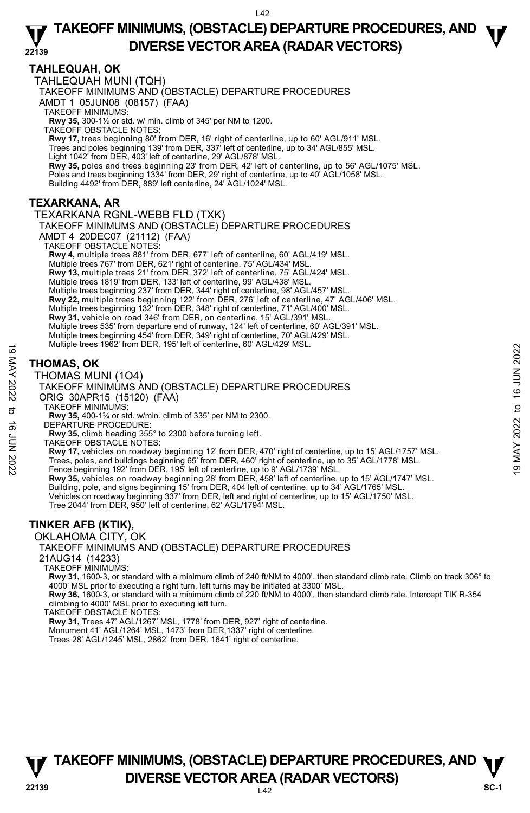## **TAHLEQUAH, OK**

TAHLEQUAH MUNI (TQH)

TAKEOFF MINIMUMS AND (OBSTACLE) DEPARTURE PROCEDURES

AMDT 1 05JUN08 (08157) (FAA)

TAKEOFF MINIMUMS:

**Rwy 35,** 300-1½ or std. w/ min. climb of 345' per NM to 1200. TAKEOFF OBSTACLE NOTES:

**Rwy 17,** trees beginning 80' from DER, 16' right of centerline, up to 60' AGL/911' MSL. Trees and poles beginning 139' from DER, 337' left of centerline, up to 34' AGL/855' MSL.

Light 1042' from DER, 403' left of centerline, 29' AGL/878' MSL.

**Rwy 35,** poles and trees beginning 23' from DER, 42' left of centerline, up to 56' AGL/1075' MSL.

Poles and trees beginning 1334' from DER, 29' right of centerline, up to 40' AGL/1058' MSL.

Building 4492' from DER, 889' left centerline, 24' AGL/1024' MSL.

## **TEXARKANA, AR**

TEXARKANA RGNL-WEBB FLD (TXK) TAKEOFF MINIMUMS AND (OBSTACLE) DEPARTURE PROCEDURES AMDT 4 20DEC07 (21112) (FAA) TAKEOFF OBSTACLE NOTES: **Rwy 4,** multiple trees 881' from DER, 677' left of centerline, 60' AGL/419' MSL. Multiple trees 767' from DER, 621' right of centerline, 75' AGL/434' MSL. **Rwy 13,** multiple trees 21' from DER, 372' left of centerline, 75' AGL/424' MSL. Multiple trees 1819' from DER, 133' left of centerline, 99' AGL/438' MSL. Multiple trees beginning 237' from DER, 344' right of centerline, 98' AGL/457' MSL. **Rwy 22,** multiple trees beginning 122' from DER, 276' left of centerline, 47' AGL/406' MSL. Multiple trees beginning 132' from DER, 348' right of centerline, 71' AGL/400' MSL. **Rwy 31,** vehicle on road 346' from DER, on centerline, 15' AGL/391' MSL. Multiple trees 535' from departure end of runway, 124' left of centerline, 60' AGL/391' MSL. Multiple trees beginning 454' from DER, 349' right of centerline, 70' AGL/429' MSL. Multiple trees 1962' from DER, 195' left of centerline, 60' AGL/429' MSL.

## **THOMAS, OK**

#### THOMAS MUNI (1O4)



TAKEOFF MINIMUMS:

**Rwy 35,** 400-1¾ or std. w/min. climb of 335' per NM to 2300.

- DEPARTURE PROCEDURE
	- **Rwy 35,** climb heading 355° to 2300 before turning left.
- TAKEOFF OBSTACLE NOTES:

**Rwy 17,** vehicles on roadway beginning 12' from DER, 470' right of centerline, up to 15' AGL/1757' MSL.

Rwy 35, vehicles on roadway beginning 28' from DER, 458' left of centerline, up to 15' AGL/1747' MSL.

- Building, pole, and signs beginning 15' from DER, 404 left of centerline, up to 34' AGL/1765' MSL.<br>Vehicles on roadway beginning 337' from DER, left and right of centerline, up to 15' AGL/1750' MSL.
- Tree 2044' from DER, 950' left of centerline, 62' AGL/1794' MSL.

## **TINKER AFB (KTIK),**

OKLAHOMA CITY, OK

TAKEOFF MINIMUMS AND (OBSTACLE) DEPARTURE PROCEDURES

21AUG14 (14233)

TAKEOFF MINIMUMS:

**Rwy 31,** 1600-3, or standard with a minimum climb of 240 ft/NM to 4000', then standard climb rate. Climb on track 306° to 4000' MSL prior to executing a right turn, left turns may be initiated at 3300' MSL.

**Rwy 36,** 1600-3, or standard with a minimum climb of 220 ft/NM to 4000', then standard climb rate. Intercept TIK R-354 climbing to 4000' MSL prior to executing left turn.

TAKEOFF OBSTACLE NOTES:

**Rwy 31,** Trees 47' AGL/1267' MSL, 1778' from DER, 927' right of centerline.

Monument 41' AGL/1264' MSL, 1473' from DER,1337' right of centerline.

Trees 28' AGL/1245' MSL, 2862' from DER, 1641' right of centerline.

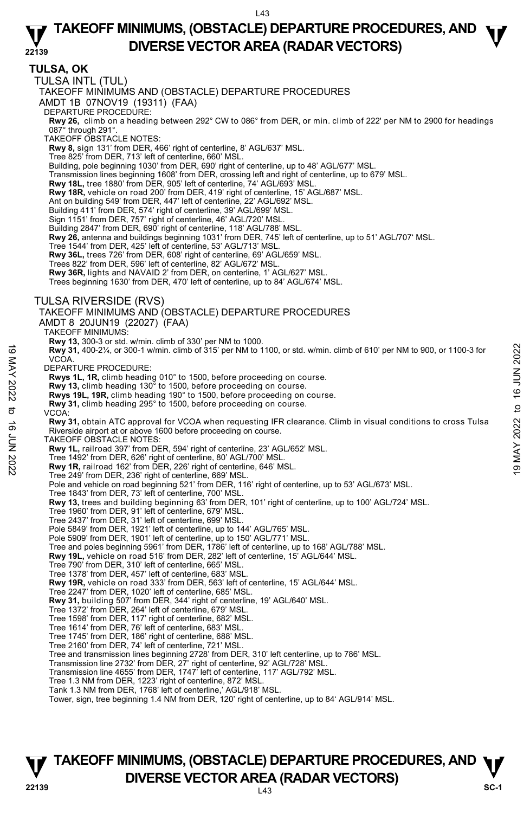**TULSA, OK**  TULSA INTL (TUL) TAKEOFF MINIMUMS AND (OBSTACLE) DEPARTURE PROCEDURES AMDT 1B 07NOV19 (19311) (FAA) DEPARTURE PROCEDURE: **Rwy 26,** climb on a heading between 292° CW to 086° from DER, or min. climb of 222' per NM to 2900 for headings<br>087° through 291°. TAKEOFF OBSTACLE NOTES: **Rwy 8,** sign 131' from DER, 466' right of centerline, 8' AGL/637' MSL. Tree 825' from DER, 713' left of centerline, 660' MSL. Building, pole beginning 1030' from DER, 690' right of centerline, up to 48' AGL/677' MSL. Transmission lines beginning 1608' from DER, crossing left and right of centerline, up to 679' MSL. **Rwy 18L,** tree 1880' from DER, 905' left of centerline, 74' AGL/693' MSL. **Rwy 18R,** vehicle on road 200' from DER, 419' right of centerline, 15' AGL/687' MSL. Ant on building 549' from DER, 447' left of centerline, 22' AGL/692' MSL. Building 411' from DER, 574' right of centerline, 39' AGL/699' MSL. Sign 1151' from DER, 757' right of centerline, 46' AGL/720' MSL. Building 2847' from DER, 690' right of centerline, 118' AGL/788' MSL. **Rwy 26,** antenna and buildings beginning 1031' from DER, 745' left of centerline, up to 51' AGL/707' MSL. Tree 1544' from DER, 425' left of centerline, 53' AGL/713' MSL. **Rwy 36L,** trees 726' from DER, 608' right of centerline, 69' AGL/659' MSL. Trees 822' from DER, 596' left of centerline, 82' AGL/672' MSL. **Rwy 36R,** lights and NAVAID 2' from DER, on centerline, 1' AGL/627' MSL. Trees beginning 1630' from DER, 470' left of centerline, up to 84' AGL/674' MSL. TULSA RIVERSIDE (RVS) TAKEOFF MINIMUMS AND (OBSTACLE) DEPARTURE PROCEDURES AMDT 8 20JUN19 (22027) (FAA) TAKEOFF MINIMUMS: **Rwy 13,** 300-3 or std. w/min. climb of 330' per NM to 1000.<br>**Rwy 31,** 400-2¼, or 300-1 w/min. climb of 315' per NM to 1100, or std. w/min. climb of 610' per NM to 900, or 1100-3 for **VCOA** DEPARTURE PROCEDURE: **Rwys 1L, 1R,** climb heading 010° to 1500, before proceeding on course. **Rwy 13,** climb heading 130° to 1500, before proceeding on course. **Rwys 19L, 19R,** climb heading 190° to 1500, before proceeding on course. **Rwy 31,** climb heading 295° to 1500, before proceeding on course. VCOA: **Rwy 31,** obtain ATC approval for VCOA when requesting IFR clearance. Climb in visual conditions to cross Tulsa Riverside airport at or above 1600 before proceeding on course. TAKEOFF OBSTACLE NOTES: **Rwy 1L,** railroad 397' from DER, 594' right of centerline, 23' AGL/652' MSL. Tree 1492' from DER, 626' right of centerline, 80' AGL/700' MSL. **Rwy 1R,** railroad 162' from DER, 226' right of centerline, 646' MSL. Tree 249' from DER, 236' right of centerline, 669' MSL. Pole and vehicle on road beginning 521' from DER, 116' right of centerline, up to 53' AGL/673' MSL. Tree 1843' from DER, 73' left of centerline, 700' MSL. **Rwy 13,** trees and building beginning 63' from DER, 101' right of centerline, up to 100' AGL/724' MSL. Tree 1960' from DER, 91' left of centerline, 679' MSL. Tree 2437' from DER, 31' left of centerline, 699' MSL. Pole 5849' from DER, 1921' left of centerline, up to 144' AGL/765' MSL. Pole 5909' from DER, 1901' left of centerline, up to 150' AGL/771' MSL. Tree and poles beginning 5961' from DER, 1786' left of centerline, up to 168' AGL/788' MSL. **Rwy 19L,** vehicle on road 516' from DER, 282' left of centerline, 15' AGL/644' MSL. Tree 790' from DER, 310' left of centerline, 665' MSL. Tree 1378' from DER, 457' left of centerline, 683' MSL. **Rwy 19R,** vehicle on road 333' from DER, 563' left of centerline, 15' AGL/644' MSL. Tree 2247' from DER, 1020' left of centerline, 685' MSL. **Rwy 31,** building 507' from DER, 344' right of centerline, 19' AGL/640' MSL. Tree 1372' from DER, 264' left of centerline, 679' MSL. Tree 1598' from DER, 117' right of centerline, 682' MSL. Tree 1614' from DER, 76' left of centerline, 683' MSL. Tree 1745' from DER, 186' right of centerline, 688' MSL. Tree 2160' from DER, 74' left of centerline, 721' MSL. Tree and transmission lines beginning 2728' from DER, 310' left centerline, up to 786' MSL. Transmission line 2732' from DER, 27' right of centerline, 92' AGL/728' MSL. Transmission line 4655' from DER, 1747' left of centerline, 117' AGL/792' MSL. Tree 1.3 NM from DER, 1223' right of centerline, 872' MSL. Tank 1.3 NM from DER, 1768' left of centerline,' AGL/918' MSL. Tower, sign, tree beginning 1.4 NM from DER, 120' right of centerline, up to 84' AGL/914' MSL. 19 May 31, 400-2%, or 300-1 w/min. climb of 315' per NM to 1100, or std. w/min. climb of 610' per NM to 900, or 1100-3 for<br>
VCOA.<br>
2022 to 16 JUN 2022<br>
News 11, 1R, climb heading 010° to 1500, before proceeding on course.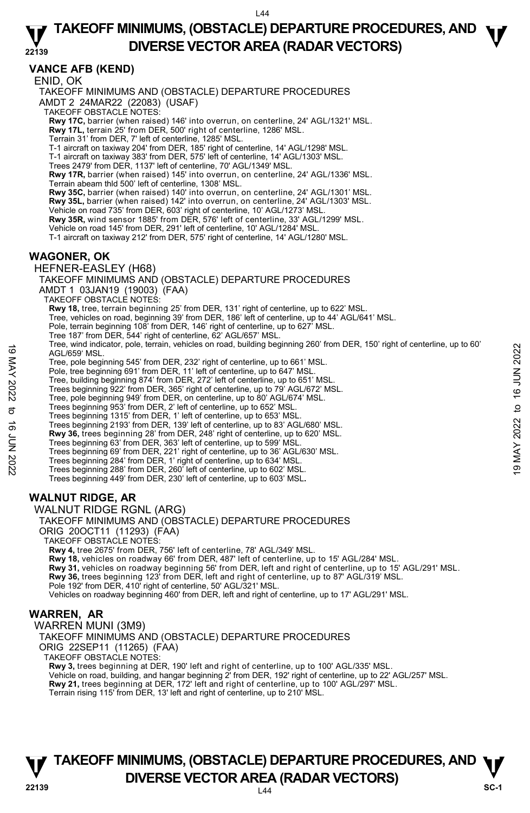### **22139 TAKEOFF MINIMUMS, (OBSTACLE) DEPARTURE PROCEDURES, AND**  $\Psi$ **DIVERSE VECTOR AREA (RADAR VECTORS)**

## **VANCE AFB (KEND)**

ENID, OK TAKEOFF MINIMUMS AND (OBSTACLE) DEPARTURE PROCEDURES AMDT 2 24MAR22 (22083) (USAF) TAKEOFF OBSTACLE NOTES: **Rwy 17C,** barrier (when raised) 146' into overrun, on centerline, 24' AGL/1321' MSL.<br>**Rwy 17L,** terrain 25' from DER, 500' right of centerline, 1286' MSL. Terrain 31' from DER, 7' left of centerline, 1285' MSL. T-1 aircraft on taxiway 204' from DER, 185' right of centerline, 14' AGL/1298' MSL. T-1 aircraft on taxiway 383' from DER, 575' left of centerline, 14' AGL/1303' MSL. Trees 2479' from DER, 1137' left of centerline, 70' AGL/1349' MSL. **Rwy 17R,** barrier (when raised) 145' into overrun, on centerline, 24' AGL/1336' MSL. Terrain abeam thld 500' left of centerline, 1308' MSL. **Rwy 35C,** barrier (when raised) 140' into overrun, on centerline, 24' AGL/1301' MSL. **Rwy 35L,** barrier (when raised) 142' into overrun, on centerline, 24' AGL/1303' MSL. Vehicle on road 735' from DER, 603' right of centerline, 10' AGL/1273' MSL. **Rwy 35R,** wind sensor 1885' from DER, 576' left of centerline, 33' AGL/1299' MSL. Vehicle on road 145' from DER, 291' left of centerline, 10' AGL/1284' MSL. T-1 aircraft on taxiway 212' from DER, 575' right of centerline, 14' AGL/1280' MSL. **WAGONER, OK**  HEFNER-EASLEY (H68) TAKEOFF MINIMUMS AND (OBSTACLE) DEPARTURE PROCEDURES AMDT 1 03JAN19 (19003) (FAA) TAKEOFF OBSTACLE NOTES: **Rwy 18,** tree, terrain beginning 25' from DER, 131' right of centerline, up to 622' MSL.<br>Tree, vehicles on road, beginning 39' from DER, 186' left of centerline, up to 44' AGL/641' MSL. Pole, terrain beginning 108' from DER, 146' right of centerline, up to 627' MSL. Tree 187' from DER, 544' right of centerline, 62' AGL/657' MSL.

Tree, wind indicator, pole, terrain, vehicles on road, building beginning 260' from DER, 150' right of centerline, up to 60' AGL/659' MSL. 19 May 10 Indicator, pole, terrain, venicies on road, bullding beginning 200 inom DER, 130 right of centerline, up to 80<br>
Tree, pole beginning 645' from DER, 1292' right of centerline, up to 661' MSL.<br>
The beginning 645'

Tree, pole beginning 545' from DER, 232' right of centerline, up to 661' MSL. Pole, tree beginning 691' from DER, 11' left of centerline, up to 647' MSL.

Tree, building beginning 874' from DER, 272' left of centerline, up to 651' MSL.

Trees beginning 922' from DER, 365' right of centerline, up to 79' AGL/672' MSL.

Tree, pole beginning 949' from DER, on centerline, up to 80' AGL/674' MSL. Trees beginning 953' from DER, 2' left of centerline, up to 652' MSL.

Trees beginning 1315' from DER, 1' left of centerline, up to 653' MSL.

Trees beginning 2193' from DER, 139' left of centerline, up to 83' AGL/680' MSL. **Rwy 36,** trees beginning 28' from DER, 248' right of centerline, up to 620' MSL.

Trees beginning 63' from DER, 363' left of centerline, up to 599' MSL.

Trees beginning 69' from DER, 221' right of centerline, up to 36' AGL/630' MSL.

Trees beginning 284' from DER, 1' right of centerline, up to 634' MSL. Trees beginning 288' from DER, 260' left of centerline, up to 602' MSL.

Trees beginning 449' from DER, 230' left of centerline, up to 603' MSL**.** 

## **WALNUT RIDGE, AR**

WALNUT RIDGE RGNL (ARG)

TAKEOFF MINIMUMS AND (OBSTACLE) DEPARTURE PROCEDURES

ORIG 20OCT11 (11293) (FAA)

TAKEOFF OBSTACLE NOTES:

**Rwy 4,** tree 2675' from DER, 756' left of centerline, 78' AGL/349' MSL.

**Rwy 18,** vehicles on roadway 66' from DER, 487' left of centerline, up to 15' AGL/284' MSL.

Rwy 31, vehicles on roadway beginning 56' from DER, left and right of centerline, up to 15' AGL/291' MSL.

**Rwy 36,** trees beginning 123' from DER, left and right of centerline, up to 87' AGL/319' MSL. Pole 192' from DER, 410' right of centerline, 50' AGL/321' MSL.

Vehicles on roadway beginning 460' from DER, left and right of centerline, up to 17' AGL/291' MSL.

## **WARREN, AR**

WARREN MUNI (3M9)

TAKEOFF MINIMUMS AND (OBSTACLE) DEPARTURE PROCEDURES

ORIG 22SEP11 (11265) (FAA)

TAKEOFF OBSTACLE NOTES:

**Rwy 3,** trees beginning at DER, 190' left and right of centerline, up to 100' AGL/335' MSL.

Vehicle on road, building, and hangar beginning 2' from DER, 192' right of centerline, up to 22' AGL/257' MSL.<br>**Rwy 21,** trees beginning at DER, 172' left and right of centerline, up to 100' AGL/297' MSL.